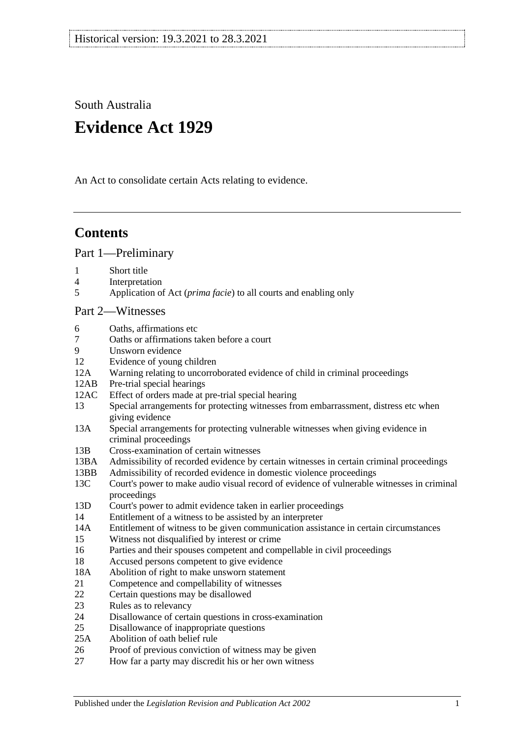South Australia

# **Evidence Act 1929**

An Act to consolidate certain Acts relating to evidence.

## **Contents**

[Part 1—Preliminary](#page-6-0)

- 1 [Short title](#page-6-1)
- 4 [Interpretation](#page-6-2)
- 5 Application of Act (*prima facie*[\) to all courts and enabling only](#page-8-0)

### [Part 2—Witnesses](#page-10-0)

- 6 [Oaths, affirmations etc](#page-10-1)
- 7 [Oaths or affirmations taken before a court](#page-10-2)
- 9 [Unsworn evidence](#page-10-3)
- 12 [Evidence of young children](#page-11-0)<br>12A Warning relating to uncorro
- [Warning relating to uncorroborated evidence of child in criminal proceedings](#page-11-1)
- 12AB [Pre-trial special hearings](#page-12-0)<br>12AC Effect of orders made at 1
- [Effect of orders made at pre-trial special hearing](#page-15-0)
- 13 [Special arrangements for protecting witnesses from embarrassment, distress etc when](#page-16-0)  [giving evidence](#page-16-0)
- 13A [Special arrangements for protecting vulnerable witnesses when giving evidence in](#page-18-0)  [criminal proceedings](#page-18-0)
- 13B [Cross-examination of certain witnesses](#page-21-0)
- 13BA [Admissibility of recorded evidence by certain witnesses in certain criminal proceedings](#page-22-0)
- 13BB [Admissibility of recorded evidence in domestic violence proceedings](#page-24-0)
- 13C [Court's power to make audio visual record of evidence of vulnerable witnesses in criminal](#page-26-0)  [proceedings](#page-26-0)
- 13D [Court's power to admit evidence taken in earlier proceedings](#page-27-0)
- 14 [Entitlement of a witness to be assisted by an interpreter](#page-27-1)
- 14A [Entitlement of witness to be given communication assistance in certain circumstances](#page-28-0)
- 15 [Witness not disqualified by interest or crime](#page-28-1)
- 16 [Parties and their spouses competent and compellable in civil proceedings](#page-29-0)
- 18 [Accused persons competent to give evidence](#page-29-1)<br>18A Abolition of right to make unsworn statement
- [Abolition of right to make unsworn statement](#page-30-0)
- 21 [Competence and compellability of witnesses](#page-30-1)
- 22 [Certain questions may be disallowed](#page-31-0)
- 23 [Rules as to relevancy](#page-31-1)
- 24 [Disallowance of certain questions in cross-examination](#page-32-0)
- 25 [Disallowance of inappropriate questions](#page-32-1)<br>25A Abolition of oath belief rule
- [Abolition of oath belief rule](#page-33-0)
- 26 [Proof of previous conviction of witness may be given](#page-33-1)
- 27 [How far a party may discredit his or her own witness](#page-33-2)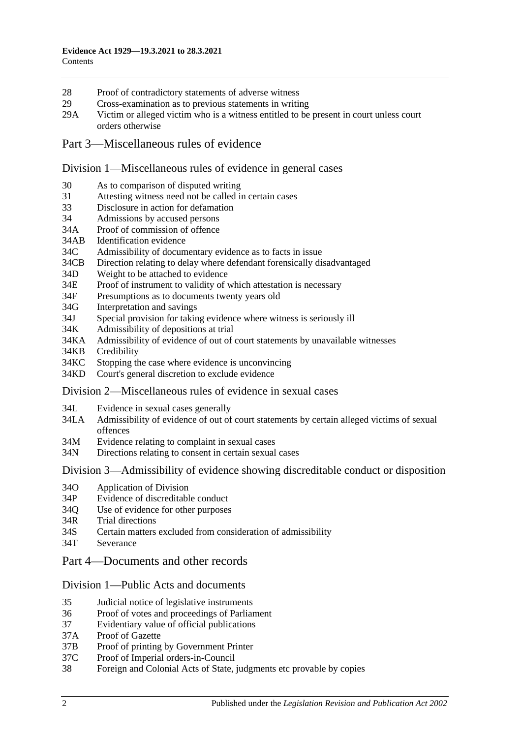- 28 [Proof of contradictory statements of adverse witness](#page-33-3)<br>29 Cross-examination as to previous statements in writing
- [Cross-examination as to previous statements in writing](#page-34-0)
- 29A [Victim or alleged victim who is a witness entitled to be present in court unless court](#page-34-1)  [orders otherwise](#page-34-1)

## [Part 3—Miscellaneous rules of evidence](#page-36-0)

### [Division 1—Miscellaneous rules of evidence in general cases](#page-36-1)

- 30 [As to comparison of disputed writing](#page-36-2)<br>31 Attesting witness need not be called in
- [Attesting witness need not be called in certain cases](#page-36-3)
- 33 [Disclosure in action for defamation](#page-36-4)<br>34 Admissions by accused persons
- [Admissions by accused persons](#page-36-5)
- 34A [Proof of commission of offence](#page-36-6)
- 34AB [Identification evidence](#page-36-7)
- 34C [Admissibility of documentary evidence as to facts in issue](#page-37-0)
- 34CB [Direction relating to delay where defendant forensically disadvantaged](#page-38-0)<br>34D Weight to be attached to evidence
- [Weight to be attached to evidence](#page-39-0)
- 34E [Proof of instrument to validity of which attestation is necessary](#page-39-1)
- 34F [Presumptions as to documents twenty years old](#page-39-2)
- 34G [Interpretation and savings](#page-39-3)
- 34J Special provision for taking [evidence where witness is seriously ill](#page-40-0) 34K Admissibility of depositions at trial
- 34K [Admissibility of depositions at trial](#page-40-1)<br>34KA Admissibility of evidence of out of
- [Admissibility of evidence of out of court statements by unavailable witnesses](#page-40-2)
- 34KB [Credibility](#page-42-0)
- 34KC [Stopping the case where evidence is unconvincing](#page-42-1)
- 34KD [Court's general discretion to exclude evidence](#page-43-0)

### [Division 2—Miscellaneous rules of evidence in sexual cases](#page-43-1)

- 34L [Evidence in sexual cases generally](#page-43-2)<br>34LA Admissibility of evidence of out of
- Admissibility of evidence of out of court statements by certain alleged victims of sexual [offences](#page-44-0)
- 34M [Evidence relating to complaint in sexual cases](#page-45-0)
- 34N [Directions relating to consent in certain sexual cases](#page-46-0)

### Division [3—Admissibility of evidence showing discreditable conduct or disposition](#page-46-1)

- 34O [Application of Division](#page-46-2)
- 34P [Evidence of discreditable conduct](#page-47-0)
- 34Q [Use of evidence for other purposes](#page-47-1)
- 34R [Trial directions](#page-47-2)<br>34S Certain matters
- [Certain matters excluded from consideration of admissibility](#page-48-0)
- 34T [Severance](#page-48-1)

## [Part 4—Documents and other records](#page-50-0)

## [Division 1—Public Acts and documents](#page-50-1)

- 35 [Judicial notice of legislative instruments](#page-50-2)
- 36 [Proof of votes and proceedings of Parliament](#page-50-3)
- 37 [Evidentiary value of official publications](#page-50-4)<br>37A Proof of Gazette
- [Proof of Gazette](#page-50-5)
- 37B [Proof of printing by Government Printer](#page-51-0)
- 37C [Proof of Imperial orders-in-Council](#page-51-1)<br>38 Foreign and Colonial Acts of State, i
- 38 [Foreign and Colonial Acts of State, judgments etc provable by copies](#page-51-2)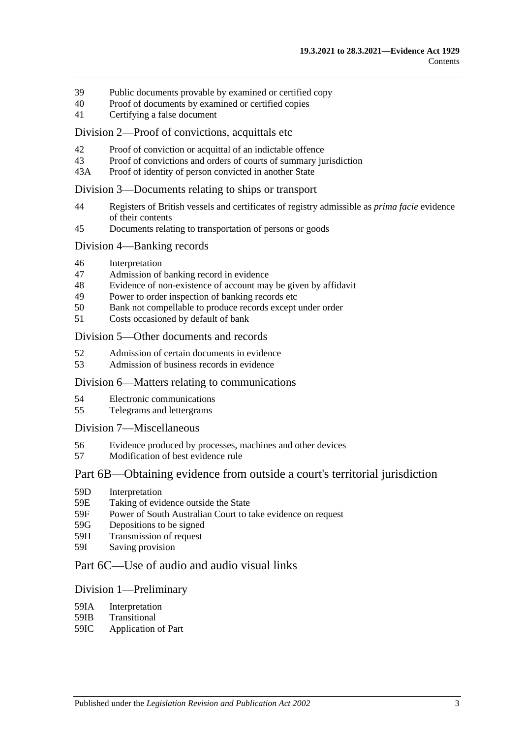- 39 [Public documents provable by examined](#page-52-0) or certified copy<br>40 Proof of documents by examined or certified copies
- [Proof of documents by examined or certified copies](#page-52-1)
- 41 [Certifying a false document](#page-52-2)

### [Division 2—Proof of convictions, acquittals etc](#page-52-3)

- 42 [Proof of conviction or acquittal of an indictable offence](#page-52-4)<br>43 Proof of convictions and orders of courts of summary iu
- 43 [Proof of convictions and orders of courts of summary jurisdiction](#page-53-0)<br>43A Proof of identity of person convicted in another State
- [Proof of identity of person convicted in another State](#page-53-1)

### [Division 3—Documents relating to ships or transport](#page-53-2)

- 44 [Registers of British vessels and certificates of registry admissible as](#page-53-3) *prima facie* evidence [of their contents](#page-53-3)
- 45 [Documents relating to transportation of persons or goods](#page-54-0)

### [Division 4—Banking records](#page-54-1)

- 46 [Interpretation](#page-54-2)<br>47 Admission of
- 47 [Admission of banking record in evidence](#page-55-0)<br>48 Evidence of non-existence of account may
- 48 [Evidence of non-existence of account may be given by affidavit](#page-55-1)<br>49 Power to order inspection of banking records etc
- [Power to order inspection of banking records etc](#page-55-2)
- 50 [Bank not compellable to produce records except under order](#page-56-0)<br>51 Costs occasioned by default of bank
- [Costs occasioned by default of bank](#page-57-0)

#### [Division 5—Other documents and records](#page-57-1)

- 52 [Admission of certain documents in evidence](#page-57-2)<br>53 Admission of business records in evidence
- [Admission of business records in evidence](#page-57-3)

### [Division 6—Matters relating to communications](#page-58-0)

- 
- 54 [Electronic communications](#page-58-1)<br>55 Telegrams and lettergrams 55 [Telegrams and lettergrams](#page-59-0)

### [Division 7—Miscellaneous](#page-59-1)

- 56 [Evidence produced by processes, machines and other devices](#page-59-2)
- 57 [Modification of best evidence rule](#page-60-0)

### [Part 6B—Obtaining evidence from outside a court's territorial jurisdiction](#page-62-0)

- 59D [Interpretation](#page-62-1)<br>59E Taking of evic
- [Taking of evidence outside the State](#page-62-2)
- 59F [Power of South Australian Court to take evidence on request](#page-63-0)
- 59G [Depositions to be signed](#page-63-1)
- 59H [Transmission of request](#page-63-2)
- 59I [Saving provision](#page-64-0)

## [Part 6C—Use of audio and audio visual links](#page-66-0)

### [Division 1—Preliminary](#page-66-1)

- 59IA [Interpretation](#page-66-2)
- 59IB [Transitional](#page-66-3)
- 59IC [Application of Part](#page-66-4)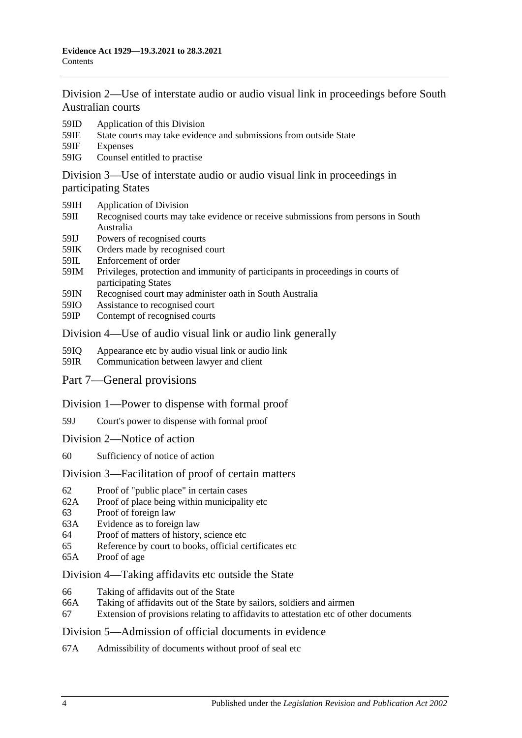[Division 2—Use of interstate audio or audio visual link in proceedings before South](#page-67-0)  [Australian courts](#page-67-0)

- 59ID [Application of this Division](#page-67-1)
- 59IE [State courts may take evidence and submissions from outside State](#page-67-2)
- 59IF [Expenses](#page-67-3)
- 59IG [Counsel entitled to practise](#page-67-4)

[Division 3—Use of interstate audio or audio visual link in proceedings in](#page-68-0)  [participating States](#page-68-0)

- 59IH [Application of Division](#page-68-1)
- 59II [Recognised courts may take evidence or receive submissions from persons in South](#page-68-2)  [Australia](#page-68-2)
- 59IJ [Powers of recognised courts](#page-68-3)
- 59IK [Orders made by recognised court](#page-68-4)
- 59IL [Enforcement of order](#page-68-5)
- 59IM [Privileges, protection and immunity of participants in proceedings in courts of](#page-69-0)  [participating States](#page-69-0)
- 59IN [Recognised court may administer oath in South Australia](#page-69-1)
- 59IO [Assistance to recognised court](#page-69-2)
- 59IP [Contempt of recognised courts](#page-69-3)

### [Division 4—Use of audio visual link or audio link generally](#page-70-0)

- 59IQ [Appearance etc by audio visual link or audio link](#page-70-1)<br>59IR Communication between lawver and client
- [Communication between lawyer and client](#page-71-0)
- [Part 7—General provisions](#page-72-0)
- [Division 1—Power to dispense with formal proof](#page-72-1)
- 59J [Court's power to dispense with formal proof](#page-72-2)
- [Division 2—Notice of action](#page-72-3)
- 60 [Sufficiency of notice of action](#page-72-4)

### [Division 3—Facilitation of proof of certain matters](#page-72-5)

- 62 [Proof of "public place" in certain cases](#page-72-6)
- 62A [Proof of place being within municipality etc](#page-72-7)
- 63 [Proof of foreign law](#page-73-0)
- 63A [Evidence as to foreign law](#page-73-1)<br>64 Proof of matters of history
- [Proof of matters of history, science etc](#page-73-2)
- 65 [Reference by court to books, official certificates etc](#page-73-3)
- 65A [Proof of age](#page-74-0)

### [Division 4—Taking affidavits etc outside the State](#page-74-1)

- 66 [Taking of affidavits out of the State](#page-74-2)
- 66A [Taking of affidavits out of the State by sailors, soldiers and airmen](#page-75-0)
- 67 [Extension of provisions relating to affidavits to attestation etc of other documents](#page-76-0)

### [Division 5—Admission of official documents in evidence](#page-76-1)

67A [Admissibility of documents without proof of seal etc](#page-76-2)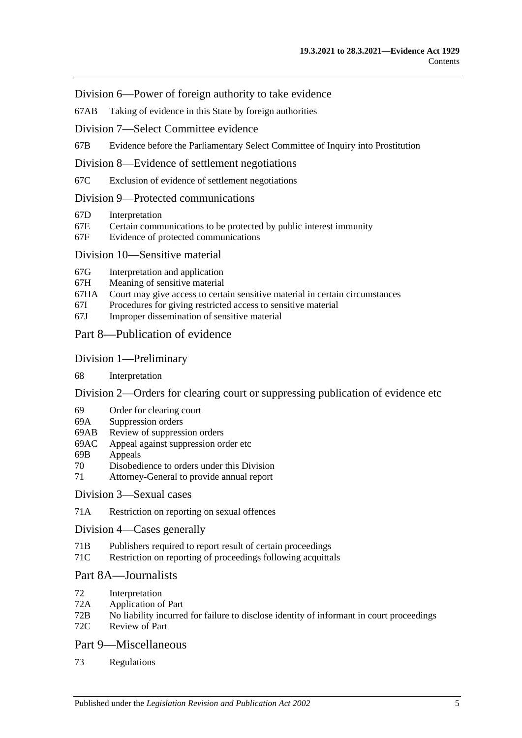[Division 6—Power of foreign authority to take evidence](#page-77-0)

67AB [Taking of evidence in this State by foreign authorities](#page-77-1)

[Division 7—Select Committee evidence](#page-77-2)

67B [Evidence before the Parliamentary Select Committee of Inquiry into Prostitution](#page-77-3)

[Division 8—Evidence of settlement negotiations](#page-78-0)

67C [Exclusion of evidence of settlement negotiations](#page-78-1)

[Division 9—Protected communications](#page-79-0)

- 67D [Interpretation](#page-79-1)<br>67E Certain comm
- 67E [Certain communications to be protected by public interest immunity](#page-79-2)<br>67F Evidence of protected communications
- [Evidence of protected communications](#page-80-0)

### [Division 10—Sensitive material](#page-81-0)

- 67G [Interpretation and application](#page-81-1)
- 67H [Meaning of sensitive material](#page-83-0)
- 67HA [Court may give access to certain sensitive material in certain circumstances](#page-83-1)
- 67I [Procedures for giving restricted access to sensitive material](#page-83-2)
- 67J [Improper dissemination of sensitive material](#page-84-0)

## [Part 8—Publication of evidence](#page-86-0)

#### [Division 1—Preliminary](#page-86-1)

68 [Interpretation](#page-86-2)

[Division 2—Orders for clearing court or suppressing publication of evidence etc](#page-86-3)

- 69 [Order for clearing court](#page-86-4)
- 69A [Suppression orders](#page-87-0)
- 69AB [Review of suppression orders](#page-89-0)
- 69AC [Appeal against suppression order etc](#page-90-0)
- 69B [Appeals](#page-91-0)
- 70 [Disobedience to orders under this Division](#page-91-1)
- 71 [Attorney-General to provide annual report](#page-92-0)

#### [Division 3—Sexual cases](#page-92-1)

71A [Restriction on reporting on sexual offences](#page-92-2)

[Division 4—Cases generally](#page-93-0)

- 71B [Publishers required to report result of certain proceedings](#page-93-1)
- 71C [Restriction on reporting of proceedings following acquittals](#page-94-0)

## [Part 8A—Journalists](#page-96-0)

- 72 [Interpretation](#page-96-1)<br>72A Application of
- [Application of Part](#page-96-2)
- 72B [No liability incurred for failure to disclose identity of informant in court proceedings](#page-96-3)
- 72C [Review of Part](#page-97-0)

## [Part 9—Miscellaneous](#page-98-0)

73 [Regulations](#page-98-1)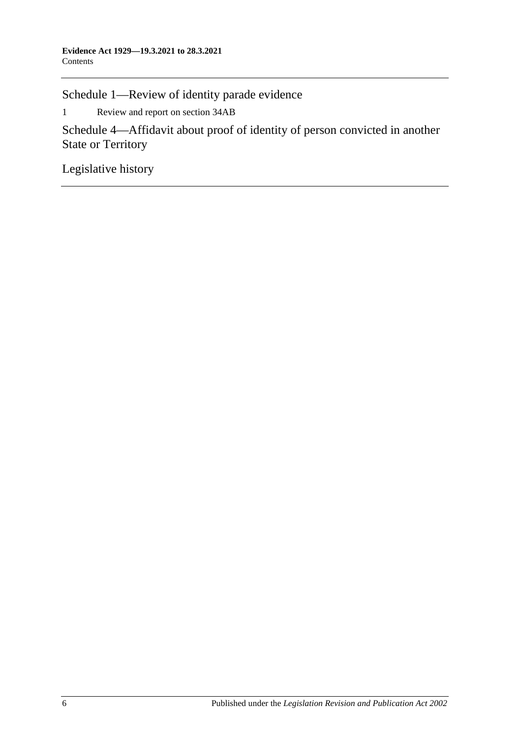[Schedule 1—Review of identity parade evidence](#page-100-0)

1 [Review and report on section](#page-100-1) 34AB

[Schedule 4—Affidavit about proof of identity of person convicted in another](#page-101-0)  [State or Territory](#page-101-0)

[Legislative history](#page-102-0)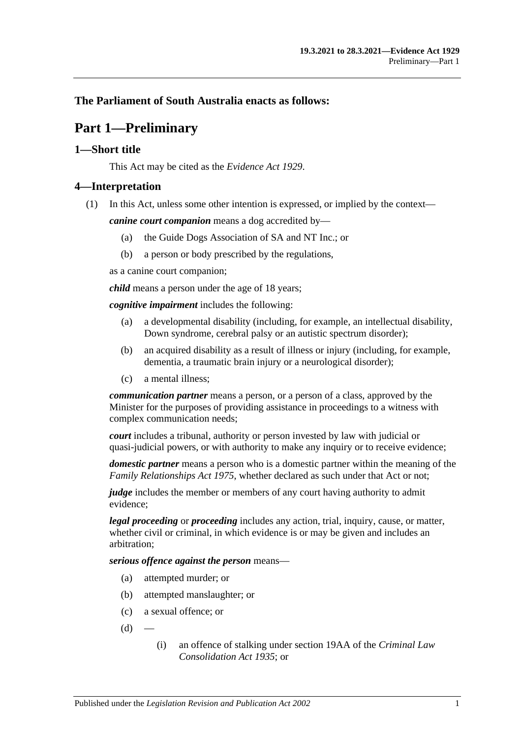## <span id="page-6-0"></span>**The Parliament of South Australia enacts as follows:**

## **Part 1—Preliminary**

## <span id="page-6-1"></span>**1—Short title**

This Act may be cited as the *Evidence Act 1929*.

## <span id="page-6-2"></span>**4—Interpretation**

(1) In this Act, unless some other intention is expressed, or implied by the context—

*canine court companion* means a dog accredited by—

- (a) the Guide Dogs Association of SA and NT Inc.; or
- (b) a person or body prescribed by the regulations,

as a canine court companion;

*child* means a person under the age of 18 years;

*cognitive impairment* includes the following:

- (a) a developmental disability (including, for example, an intellectual disability, Down syndrome, cerebral palsy or an autistic spectrum disorder);
- (b) an acquired disability as a result of illness or injury (including, for example, dementia, a traumatic brain injury or a neurological disorder);
- (c) a mental illness;

*communication partner* means a person, or a person of a class, approved by the Minister for the purposes of providing assistance in proceedings to a witness with complex communication needs;

*court* includes a tribunal, authority or person invested by law with judicial or quasi-judicial powers, or with authority to make any inquiry or to receive evidence;

*domestic partner* means a person who is a domestic partner within the meaning of the *[Family Relationships Act](http://www.legislation.sa.gov.au/index.aspx?action=legref&type=act&legtitle=Family%20Relationships%20Act%201975) 1975*, whether declared as such under that Act or not;

*judge* includes the member or members of any court having authority to admit evidence;

*legal proceeding* or *proceeding* includes any action, trial, inquiry, cause, or matter, whether civil or criminal, in which evidence is or may be given and includes an arbitration;

*serious offence against the person* means—

- (a) attempted murder; or
- (b) attempted manslaughter; or
- (c) a sexual offence; or
- $(d)$
- (i) an offence of stalking under section 19AA of the *[Criminal Law](http://www.legislation.sa.gov.au/index.aspx?action=legref&type=act&legtitle=Criminal%20Law%20Consolidation%20Act%201935)  [Consolidation Act](http://www.legislation.sa.gov.au/index.aspx?action=legref&type=act&legtitle=Criminal%20Law%20Consolidation%20Act%201935) 1935*; or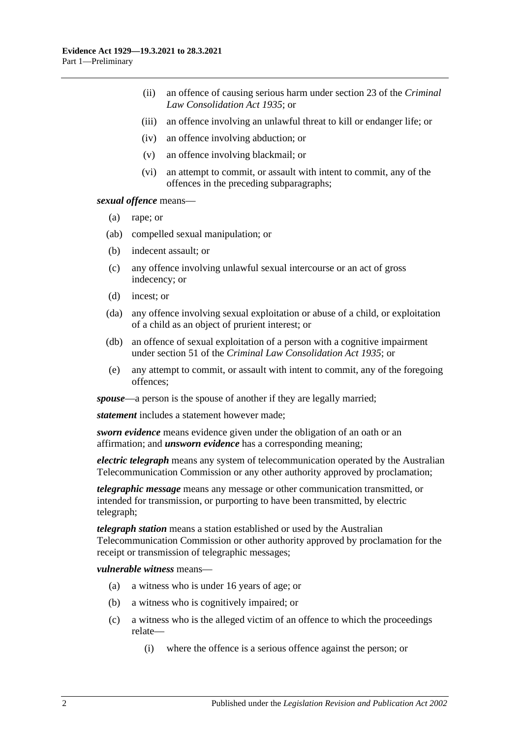- (ii) an offence of causing serious harm under section 23 of the *[Criminal](http://www.legislation.sa.gov.au/index.aspx?action=legref&type=act&legtitle=Criminal%20Law%20Consolidation%20Act%201935)  [Law Consolidation Act](http://www.legislation.sa.gov.au/index.aspx?action=legref&type=act&legtitle=Criminal%20Law%20Consolidation%20Act%201935) 1935*; or
- (iii) an offence involving an unlawful threat to kill or endanger life; or
- (iv) an offence involving abduction; or
- (v) an offence involving blackmail; or
- (vi) an attempt to commit, or assault with intent to commit, any of the offences in the preceding subparagraphs;

*sexual offence* means—

- (a) rape; or
- (ab) compelled sexual manipulation; or
- (b) indecent assault; or
- (c) any offence involving unlawful sexual intercourse or an act of gross indecency; or
- (d) incest; or
- (da) any offence involving sexual exploitation or abuse of a child, or exploitation of a child as an object of prurient interest; or
- (db) an offence of sexual exploitation of a person with a cognitive impairment under section 51 of the *[Criminal Law Consolidation Act](http://www.legislation.sa.gov.au/index.aspx?action=legref&type=act&legtitle=Criminal%20Law%20Consolidation%20Act%201935) 1935*; or
- (e) any attempt to commit, or assault with intent to commit, any of the foregoing offences;

*spouse*—a person is the spouse of another if they are legally married;

*statement* includes a statement however made;

*sworn evidence* means evidence given under the obligation of an oath or an affirmation; and *unsworn evidence* has a corresponding meaning;

*electric telegraph* means any system of telecommunication operated by the Australian Telecommunication Commission or any other authority approved by proclamation;

*telegraphic message* means any message or other communication transmitted, or intended for transmission, or purporting to have been transmitted, by electric telegraph;

*telegraph station* means a station established or used by the Australian Telecommunication Commission or other authority approved by proclamation for the receipt or transmission of telegraphic messages;

*vulnerable witness* means—

- (a) a witness who is under 16 years of age; or
- (b) a witness who is cognitively impaired; or
- (c) a witness who is the alleged victim of an offence to which the proceedings relate—
	- (i) where the offence is a serious offence against the person; or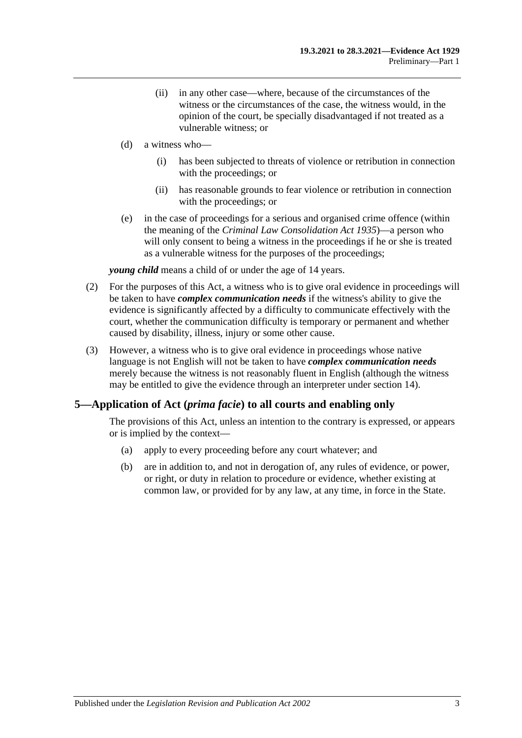- (ii) in any other case—where, because of the circumstances of the witness or the circumstances of the case, the witness would, in the opinion of the court, be specially disadvantaged if not treated as a vulnerable witness; or
- (d) a witness who—
	- (i) has been subjected to threats of violence or retribution in connection with the proceedings; or
	- (ii) has reasonable grounds to fear violence or retribution in connection with the proceedings; or
- (e) in the case of proceedings for a serious and organised crime offence (within the meaning of the *[Criminal Law Consolidation Act](http://www.legislation.sa.gov.au/index.aspx?action=legref&type=act&legtitle=Criminal%20Law%20Consolidation%20Act%201935) 1935*)—a person who will only consent to being a witness in the proceedings if he or she is treated as a vulnerable witness for the purposes of the proceedings;

*young child* means a child of or under the age of 14 years.

- (2) For the purposes of this Act, a witness who is to give oral evidence in proceedings will be taken to have *complex communication needs* if the witness's ability to give the evidence is significantly affected by a difficulty to communicate effectively with the court, whether the communication difficulty is temporary or permanent and whether caused by disability, illness, injury or some other cause.
- (3) However, a witness who is to give oral evidence in proceedings whose native language is not English will not be taken to have *complex communication needs* merely because the witness is not reasonably fluent in English (although the witness may be entitled to give the evidence through an interpreter under [section](#page-27-1) 14).

### <span id="page-8-0"></span>**5—Application of Act (***prima facie***) to all courts and enabling only**

The provisions of this Act, unless an intention to the contrary is expressed, or appears or is implied by the context—

- (a) apply to every proceeding before any court whatever; and
- (b) are in addition to, and not in derogation of, any rules of evidence, or power, or right, or duty in relation to procedure or evidence, whether existing at common law, or provided for by any law, at any time, in force in the State.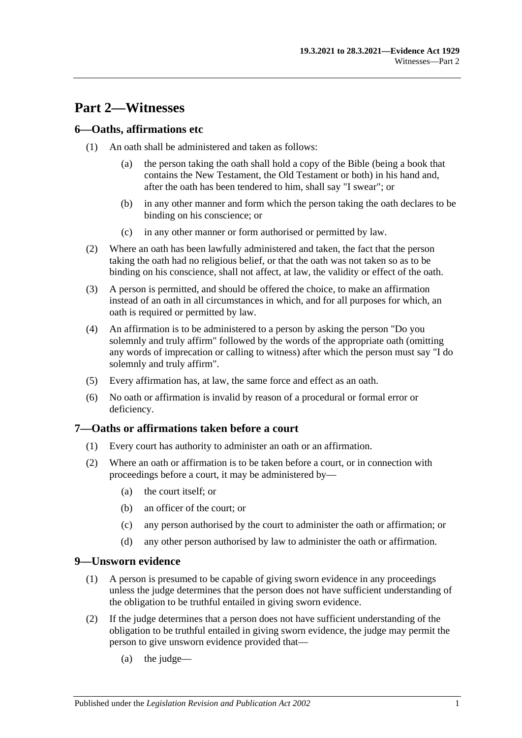## <span id="page-10-0"></span>**Part 2—Witnesses**

## <span id="page-10-1"></span>**6—Oaths, affirmations etc**

- (1) An oath shall be administered and taken as follows:
	- (a) the person taking the oath shall hold a copy of the Bible (being a book that contains the New Testament, the Old Testament or both) in his hand and, after the oath has been tendered to him, shall say "I swear"; or
	- (b) in any other manner and form which the person taking the oath declares to be binding on his conscience; or
	- (c) in any other manner or form authorised or permitted by law.
- (2) Where an oath has been lawfully administered and taken, the fact that the person taking the oath had no religious belief, or that the oath was not taken so as to be binding on his conscience, shall not affect, at law, the validity or effect of the oath.
- (3) A person is permitted, and should be offered the choice, to make an affirmation instead of an oath in all circumstances in which, and for all purposes for which, an oath is required or permitted by law.
- (4) An affirmation is to be administered to a person by asking the person "Do you solemnly and truly affirm" followed by the words of the appropriate oath (omitting any words of imprecation or calling to witness) after which the person must say "I do solemnly and truly affirm".
- (5) Every affirmation has, at law, the same force and effect as an oath.
- (6) No oath or affirmation is invalid by reason of a procedural or formal error or deficiency.

## <span id="page-10-2"></span>**7—Oaths or affirmations taken before a court**

- (1) Every court has authority to administer an oath or an affirmation.
- (2) Where an oath or affirmation is to be taken before a court, or in connection with proceedings before a court, it may be administered by—
	- (a) the court itself; or
	- (b) an officer of the court; or
	- (c) any person authorised by the court to administer the oath or affirmation; or
	- (d) any other person authorised by law to administer the oath or affirmation.

### <span id="page-10-3"></span>**9—Unsworn evidence**

- (1) A person is presumed to be capable of giving sworn evidence in any proceedings unless the judge determines that the person does not have sufficient understanding of the obligation to be truthful entailed in giving sworn evidence.
- (2) If the judge determines that a person does not have sufficient understanding of the obligation to be truthful entailed in giving sworn evidence, the judge may permit the person to give unsworn evidence provided that—
	- (a) the judge—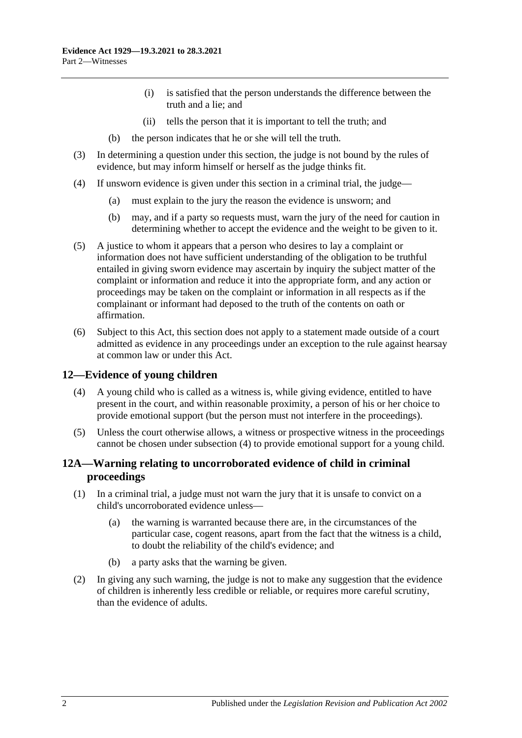- (i) is satisfied that the person understands the difference between the truth and a lie; and
- (ii) tells the person that it is important to tell the truth; and
- (b) the person indicates that he or she will tell the truth.
- (3) In determining a question under this section, the judge is not bound by the rules of evidence, but may inform himself or herself as the judge thinks fit.
- (4) If unsworn evidence is given under this section in a criminal trial, the judge—
	- (a) must explain to the jury the reason the evidence is unsworn; and
	- (b) may, and if a party so requests must, warn the jury of the need for caution in determining whether to accept the evidence and the weight to be given to it.
- (5) A justice to whom it appears that a person who desires to lay a complaint or information does not have sufficient understanding of the obligation to be truthful entailed in giving sworn evidence may ascertain by inquiry the subject matter of the complaint or information and reduce it into the appropriate form, and any action or proceedings may be taken on the complaint or information in all respects as if the complainant or informant had deposed to the truth of the contents on oath or affirmation.
- (6) Subject to this Act, this section does not apply to a statement made outside of a court admitted as evidence in any proceedings under an exception to the rule against hearsay at common law or under this Act.

## <span id="page-11-2"></span><span id="page-11-0"></span>**12—Evidence of young children**

- (4) A young child who is called as a witness is, while giving evidence, entitled to have present in the court, and within reasonable proximity, a person of his or her choice to provide emotional support (but the person must not interfere in the proceedings).
- (5) Unless the court otherwise allows, a witness or prospective witness in the proceedings cannot be chosen under [subsection](#page-11-2) (4) to provide emotional support for a young child.

## <span id="page-11-1"></span>**12A—Warning relating to uncorroborated evidence of child in criminal proceedings**

- (1) In a criminal trial, a judge must not warn the jury that it is unsafe to convict on a child's uncorroborated evidence unless—
	- (a) the warning is warranted because there are, in the circumstances of the particular case, cogent reasons, apart from the fact that the witness is a child, to doubt the reliability of the child's evidence; and
	- (b) a party asks that the warning be given.
- (2) In giving any such warning, the judge is not to make any suggestion that the evidence of children is inherently less credible or reliable, or requires more careful scrutiny, than the evidence of adults.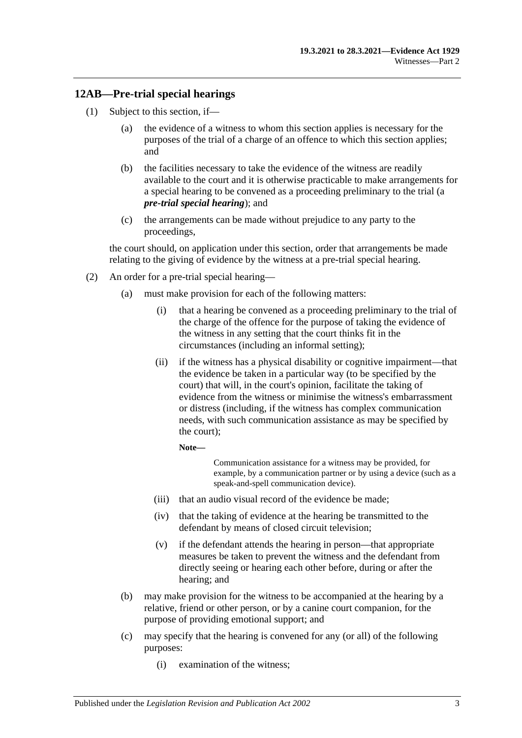## <span id="page-12-0"></span>**12AB—Pre-trial special hearings**

- <span id="page-12-1"></span>(1) Subject to this section, if—
	- (a) the evidence of a witness to whom this section applies is necessary for the purposes of the trial of a charge of an offence to which this section applies; and
	- (b) the facilities necessary to take the evidence of the witness are readily available to the court and it is otherwise practicable to make arrangements for a special hearing to be convened as a proceeding preliminary to the trial (a *pre-trial special hearing*); and
	- (c) the arrangements can be made without prejudice to any party to the proceedings,

<span id="page-12-2"></span>the court should, on application under this section, order that arrangements be made relating to the giving of evidence by the witness at a pre-trial special hearing.

- <span id="page-12-3"></span>(2) An order for a pre-trial special hearing—
	- (a) must make provision for each of the following matters:
		- (i) that a hearing be convened as a proceeding preliminary to the trial of the charge of the offence for the purpose of taking the evidence of the witness in any setting that the court thinks fit in the circumstances (including an informal setting);
		- (ii) if the witness has a physical disability or cognitive impairment—that the evidence be taken in a particular way (to be specified by the court) that will, in the court's opinion, facilitate the taking of evidence from the witness or minimise the witness's embarrassment or distress (including, if the witness has complex communication needs, with such communication assistance as may be specified by the court);

**Note—**

Communication assistance for a witness may be provided, for example, by a communication partner or by using a device (such as a speak-and-spell communication device).

- (iii) that an audio visual record of the evidence be made;
- (iv) that the taking of evidence at the hearing be transmitted to the defendant by means of closed circuit television;
- (v) if the defendant attends the hearing in person—that appropriate measures be taken to prevent the witness and the defendant from directly seeing or hearing each other before, during or after the hearing; and
- (b) may make provision for the witness to be accompanied at the hearing by a relative, friend or other person, or by a canine court companion, for the purpose of providing emotional support; and
- (c) may specify that the hearing is convened for any (or all) of the following purposes:
	- (i) examination of the witness;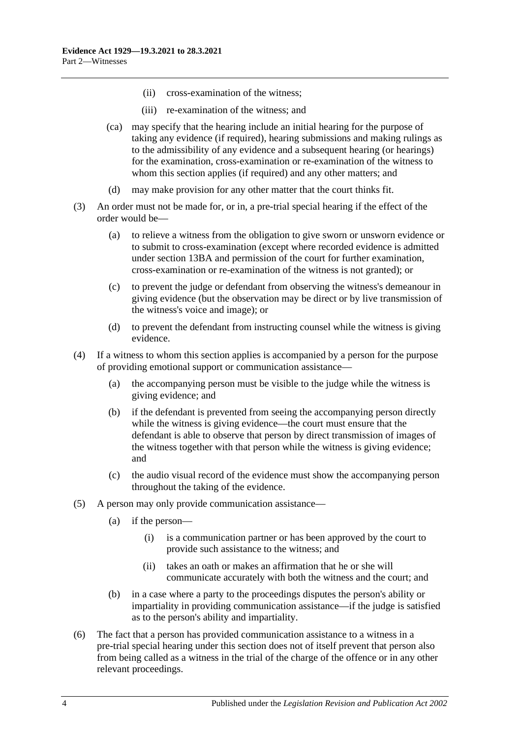- (ii) cross-examination of the witness;
- (iii) re-examination of the witness; and
- (ca) may specify that the hearing include an initial hearing for the purpose of taking any evidence (if required), hearing submissions and making rulings as to the admissibility of any evidence and a subsequent hearing (or hearings) for the examination, cross-examination or re-examination of the witness to whom this section applies (if required) and any other matters; and
- (d) may make provision for any other matter that the court thinks fit.
- (3) An order must not be made for, or in, a pre-trial special hearing if the effect of the order would be—
	- (a) to relieve a witness from the obligation to give sworn or unsworn evidence or to submit to cross-examination (except where recorded evidence is admitted under [section](#page-22-0) 13BA and permission of the court for further examination, cross-examination or re-examination of the witness is not granted); or
	- (c) to prevent the judge or defendant from observing the witness's demeanour in giving evidence (but the observation may be direct or by live transmission of the witness's voice and image); or
	- (d) to prevent the defendant from instructing counsel while the witness is giving evidence.
- <span id="page-13-0"></span>(4) If a witness to whom this section applies is accompanied by a person for the purpose of providing emotional support or communication assistance—
	- (a) the accompanying person must be visible to the judge while the witness is giving evidence; and
	- (b) if the defendant is prevented from seeing the accompanying person directly while the witness is giving evidence—the court must ensure that the defendant is able to observe that person by direct transmission of images of the witness together with that person while the witness is giving evidence; and
	- (c) the audio visual record of the evidence must show the accompanying person throughout the taking of the evidence.
- (5) A person may only provide communication assistance—
	- (a) if the person—
		- (i) is a communication partner or has been approved by the court to provide such assistance to the witness; and
		- (ii) takes an oath or makes an affirmation that he or she will communicate accurately with both the witness and the court; and
	- (b) in a case where a party to the proceedings disputes the person's ability or impartiality in providing communication assistance—if the judge is satisfied as to the person's ability and impartiality.
- (6) The fact that a person has provided communication assistance to a witness in a pre-trial special hearing under this section does not of itself prevent that person also from being called as a witness in the trial of the charge of the offence or in any other relevant proceedings.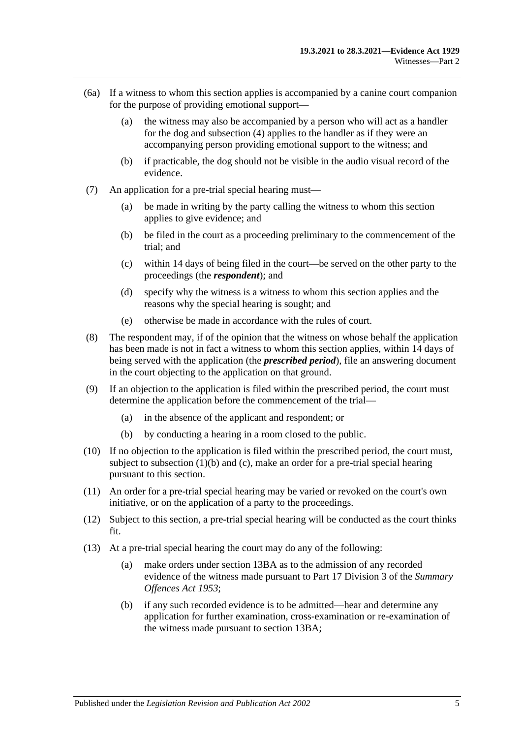- (6a) If a witness to whom this section applies is accompanied by a canine court companion for the purpose of providing emotional support—
	- (a) the witness may also be accompanied by a person who will act as a handler for the dog and [subsection](#page-13-0) (4) applies to the handler as if they were an accompanying person providing emotional support to the witness; and
	- (b) if practicable, the dog should not be visible in the audio visual record of the evidence.
- (7) An application for a pre-trial special hearing must—
	- (a) be made in writing by the party calling the witness to whom this section applies to give evidence; and
	- (b) be filed in the court as a proceeding preliminary to the commencement of the trial; and
	- (c) within 14 days of being filed in the court—be served on the other party to the proceedings (the *respondent*); and
	- (d) specify why the witness is a witness to whom this section applies and the reasons why the special hearing is sought; and
	- (e) otherwise be made in accordance with the rules of court.
- (8) The respondent may, if of the opinion that the witness on whose behalf the application has been made is not in fact a witness to whom this section applies, within 14 days of being served with the application (the *prescribed period*), file an answering document in the court objecting to the application on that ground.
- (9) If an objection to the application is filed within the prescribed period, the court must determine the application before the commencement of the trial—
	- (a) in the absence of the applicant and respondent; or
	- (b) by conducting a hearing in a room closed to the public.
- (10) If no objection to the application is filed within the prescribed period, the court must, subject to [subsection](#page-12-1)  $(1)(b)$  and  $(c)$ , make an order for a pre-trial special hearing pursuant to this section.
- (11) An order for a pre-trial special hearing may be varied or revoked on the court's own initiative, or on the application of a party to the proceedings.
- (12) Subject to this section, a pre-trial special hearing will be conducted as the court thinks fit.
- <span id="page-14-0"></span>(13) At a pre-trial special hearing the court may do any of the following:
	- (a) make orders under [section](#page-22-0) 13BA as to the admission of any recorded evidence of the witness made pursuant to Part 17 Division 3 of the *[Summary](http://www.legislation.sa.gov.au/index.aspx?action=legref&type=act&legtitle=Summary%20Offences%20Act%201953)  [Offences Act](http://www.legislation.sa.gov.au/index.aspx?action=legref&type=act&legtitle=Summary%20Offences%20Act%201953) 1953*;
	- (b) if any such recorded evidence is to be admitted—hear and determine any application for further examination, cross-examination or re-examination of the witness made pursuant to [section](#page-22-0) 13BA;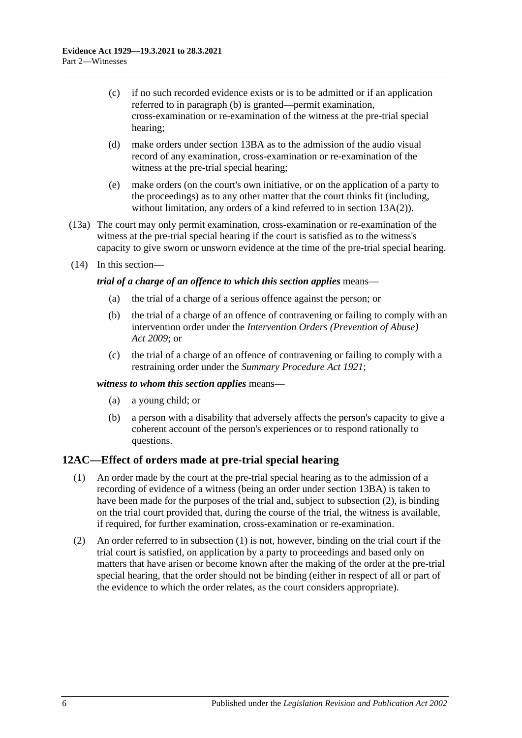- (c) if no such recorded evidence exists or is to be admitted or if an application referred to in [paragraph](#page-14-0) (b) is granted—permit examination, cross-examination or re-examination of the witness at the pre-trial special hearing;
- (d) make orders under [section](#page-22-0) 13BA as to the admission of the audio visual record of any examination, cross-examination or re-examination of the witness at the pre-trial special hearing;
- (e) make orders (on the court's own initiative, or on the application of a party to the proceedings) as to any other matter that the court thinks fit (including, without limitation, any orders of a kind referred to in [section](#page-18-1) 13A(2)).
- (13a) The court may only permit examination, cross-examination or re-examination of the witness at the pre-trial special hearing if the court is satisfied as to the witness's capacity to give sworn or unsworn evidence at the time of the pre-trial special hearing.
- (14) In this section—

### *trial of a charge of an offence to which this section applies* means—

- (a) the trial of a charge of a serious offence against the person; or
- (b) the trial of a charge of an offence of contravening or failing to comply with an intervention order under the *[Intervention Orders \(Prevention of Abuse\)](http://www.legislation.sa.gov.au/index.aspx?action=legref&type=act&legtitle=Intervention%20Orders%20(Prevention%20of%20Abuse)%20Act%202009)  Act [2009](http://www.legislation.sa.gov.au/index.aspx?action=legref&type=act&legtitle=Intervention%20Orders%20(Prevention%20of%20Abuse)%20Act%202009)*; or
- (c) the trial of a charge of an offence of contravening or failing to comply with a restraining order under the *[Summary Procedure Act](http://www.legislation.sa.gov.au/index.aspx?action=legref&type=act&legtitle=Summary%20Procedure%20Act%201921) 1921*;

### *witness to whom this section applies* means—

- (a) a young child; or
- (b) a person with a disability that adversely affects the person's capacity to give a coherent account of the person's experiences or to respond rationally to questions.

## <span id="page-15-2"></span><span id="page-15-0"></span>**12AC—Effect of orders made at pre-trial special hearing**

- (1) An order made by the court at the pre-trial special hearing as to the admission of a recording of evidence of a witness (being an order unde[r section](#page-22-0) 13BA) is taken to have been made for the purposes of the trial and, subject to [subsection](#page-15-1) (2), is binding on the trial court provided that, during the course of the trial, the witness is available, if required, for further examination, cross-examination or re-examination.
- <span id="page-15-1"></span>(2) An order referred to in [subsection](#page-15-2) (1) is not, however, binding on the trial court if the trial court is satisfied, on application by a party to proceedings and based only on matters that have arisen or become known after the making of the order at the pre-trial special hearing, that the order should not be binding (either in respect of all or part of the evidence to which the order relates, as the court considers appropriate).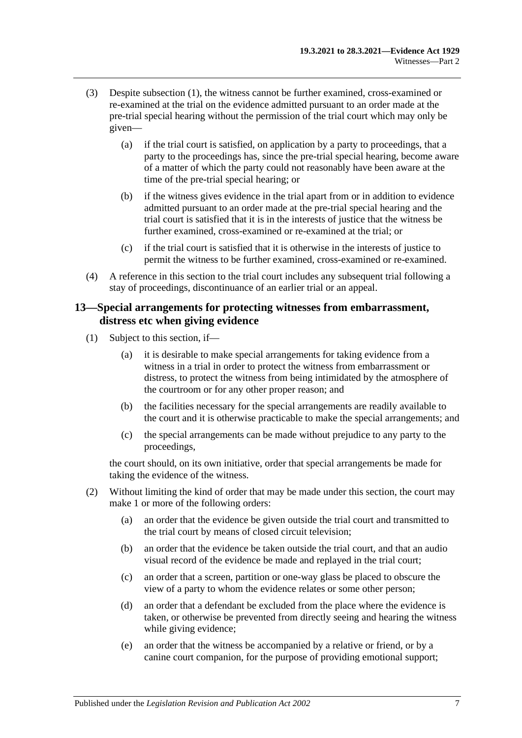- (3) Despite [subsection](#page-15-2) (1), the witness cannot be further examined, cross-examined or re-examined at the trial on the evidence admitted pursuant to an order made at the pre-trial special hearing without the permission of the trial court which may only be given—
	- (a) if the trial court is satisfied, on application by a party to proceedings, that a party to the proceedings has, since the pre-trial special hearing, become aware of a matter of which the party could not reasonably have been aware at the time of the pre-trial special hearing; or
	- (b) if the witness gives evidence in the trial apart from or in addition to evidence admitted pursuant to an order made at the pre-trial special hearing and the trial court is satisfied that it is in the interests of justice that the witness be further examined, cross-examined or re-examined at the trial; or
	- (c) if the trial court is satisfied that it is otherwise in the interests of justice to permit the witness to be further examined, cross-examined or re-examined.
- (4) A reference in this section to the trial court includes any subsequent trial following a stay of proceedings, discontinuance of an earlier trial or an appeal.

## <span id="page-16-0"></span>**13—Special arrangements for protecting witnesses from embarrassment, distress etc when giving evidence**

- (1) Subject to this section, if—
	- (a) it is desirable to make special arrangements for taking evidence from a witness in a trial in order to protect the witness from embarrassment or distress, to protect the witness from being intimidated by the atmosphere of the courtroom or for any other proper reason; and
	- (b) the facilities necessary for the special arrangements are readily available to the court and it is otherwise practicable to make the special arrangements; and
	- (c) the special arrangements can be made without prejudice to any party to the proceedings,

the court should, on its own initiative, order that special arrangements be made for taking the evidence of the witness.

- (2) Without limiting the kind of order that may be made under this section, the court may make 1 or more of the following orders:
	- (a) an order that the evidence be given outside the trial court and transmitted to the trial court by means of closed circuit television;
	- (b) an order that the evidence be taken outside the trial court, and that an audio visual record of the evidence be made and replayed in the trial court;
	- (c) an order that a screen, partition or one-way glass be placed to obscure the view of a party to whom the evidence relates or some other person;
	- (d) an order that a defendant be excluded from the place where the evidence is taken, or otherwise be prevented from directly seeing and hearing the witness while giving evidence;
	- (e) an order that the witness be accompanied by a relative or friend, or by a canine court companion, for the purpose of providing emotional support;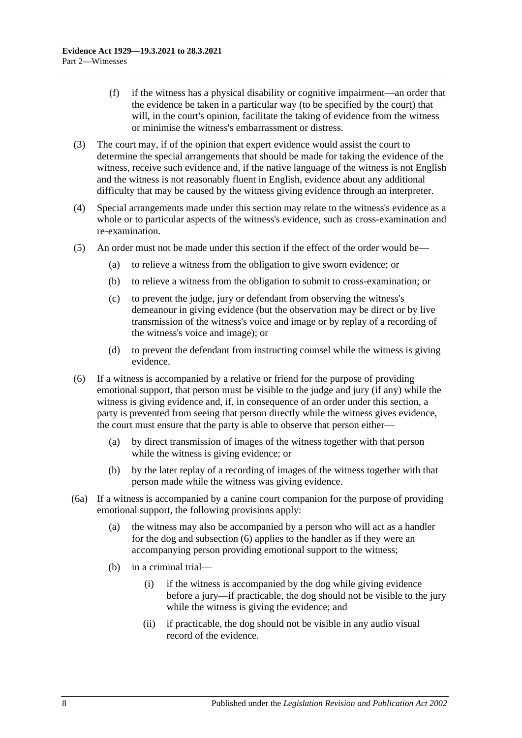- (f) if the witness has a physical disability or cognitive impairment—an order that the evidence be taken in a particular way (to be specified by the court) that will, in the court's opinion, facilitate the taking of evidence from the witness or minimise the witness's embarrassment or distress.
- (3) The court may, if of the opinion that expert evidence would assist the court to determine the special arrangements that should be made for taking the evidence of the witness, receive such evidence and, if the native language of the witness is not English and the witness is not reasonably fluent in English, evidence about any additional difficulty that may be caused by the witness giving evidence through an interpreter.
- (4) Special arrangements made under this section may relate to the witness's evidence as a whole or to particular aspects of the witness's evidence, such as cross-examination and re-examination.
- (5) An order must not be made under this section if the effect of the order would be—
	- (a) to relieve a witness from the obligation to give sworn evidence; or
	- (b) to relieve a witness from the obligation to submit to cross-examination; or
	- (c) to prevent the judge, jury or defendant from observing the witness's demeanour in giving evidence (but the observation may be direct or by live transmission of the witness's voice and image or by replay of a recording of the witness's voice and image); or
	- (d) to prevent the defendant from instructing counsel while the witness is giving evidence.
- <span id="page-17-0"></span>(6) If a witness is accompanied by a relative or friend for the purpose of providing emotional support, that person must be visible to the judge and jury (if any) while the witness is giving evidence and, if, in consequence of an order under this section, a party is prevented from seeing that person directly while the witness gives evidence, the court must ensure that the party is able to observe that person either—
	- (a) by direct transmission of images of the witness together with that person while the witness is giving evidence; or
	- (b) by the later replay of a recording of images of the witness together with that person made while the witness was giving evidence.
- (6a) If a witness is accompanied by a canine court companion for the purpose of providing emotional support, the following provisions apply:
	- (a) the witness may also be accompanied by a person who will act as a handler for the dog and [subsection](#page-17-0) (6) applies to the handler as if they were an accompanying person providing emotional support to the witness;
	- (b) in a criminal trial—
		- (i) if the witness is accompanied by the dog while giving evidence before a jury—if practicable, the dog should not be visible to the jury while the witness is giving the evidence; and
		- (ii) if practicable, the dog should not be visible in any audio visual record of the evidence.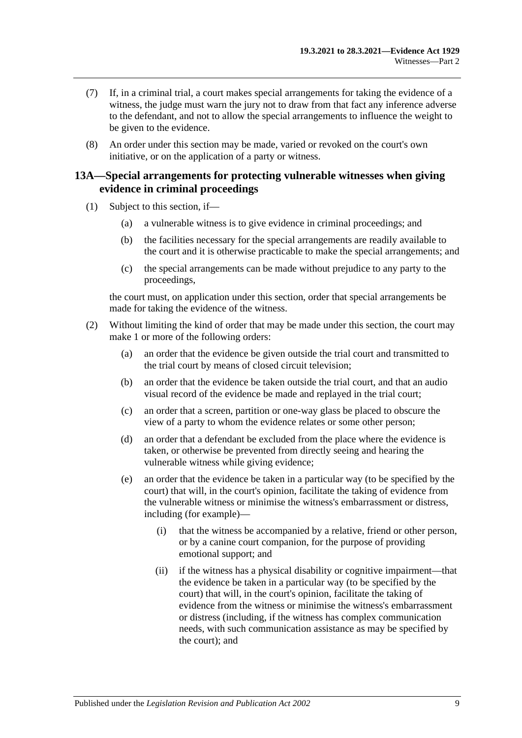- (7) If, in a criminal trial, a court makes special arrangements for taking the evidence of a witness, the judge must warn the jury not to draw from that fact any inference adverse to the defendant, and not to allow the special arrangements to influence the weight to be given to the evidence.
- (8) An order under this section may be made, varied or revoked on the court's own initiative, or on the application of a party or witness.

## <span id="page-18-0"></span>**13A—Special arrangements for protecting vulnerable witnesses when giving evidence in criminal proceedings**

- (1) Subject to this section, if—
	- (a) a vulnerable witness is to give evidence in criminal proceedings; and
	- (b) the facilities necessary for the special arrangements are readily available to the court and it is otherwise practicable to make the special arrangements; and
	- (c) the special arrangements can be made without prejudice to any party to the proceedings,

the court must, on application under this section, order that special arrangements be made for taking the evidence of the witness.

- <span id="page-18-2"></span><span id="page-18-1"></span>(2) Without limiting the kind of order that may be made under this section, the court may make 1 or more of the following orders:
	- (a) an order that the evidence be given outside the trial court and transmitted to the trial court by means of closed circuit television;
	- (b) an order that the evidence be taken outside the trial court, and that an audio visual record of the evidence be made and replayed in the trial court;
	- (c) an order that a screen, partition or one-way glass be placed to obscure the view of a party to whom the evidence relates or some other person;
	- (d) an order that a defendant be excluded from the place where the evidence is taken, or otherwise be prevented from directly seeing and hearing the vulnerable witness while giving evidence;
	- (e) an order that the evidence be taken in a particular way (to be specified by the court) that will, in the court's opinion, facilitate the taking of evidence from the vulnerable witness or minimise the witness's embarrassment or distress, including (for example)—
		- (i) that the witness be accompanied by a relative, friend or other person, or by a canine court companion, for the purpose of providing emotional support; and
		- (ii) if the witness has a physical disability or cognitive impairment—that the evidence be taken in a particular way (to be specified by the court) that will, in the court's opinion, facilitate the taking of evidence from the witness or minimise the witness's embarrassment or distress (including, if the witness has complex communication needs, with such communication assistance as may be specified by the court); and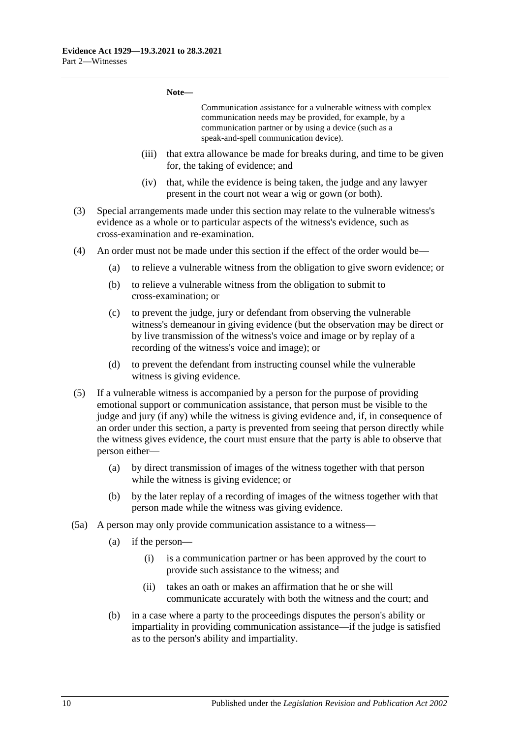#### **Note—**

Communication assistance for a vulnerable witness with complex communication needs may be provided, for example, by a communication partner or by using a device (such as a speak-and-spell communication device).

- (iii) that extra allowance be made for breaks during, and time to be given for, the taking of evidence; and
- (iv) that, while the evidence is being taken, the judge and any lawyer present in the court not wear a wig or gown (or both).
- (3) Special arrangements made under this section may relate to the vulnerable witness's evidence as a whole or to particular aspects of the witness's evidence, such as cross-examination and re-examination.
- (4) An order must not be made under this section if the effect of the order would be—
	- (a) to relieve a vulnerable witness from the obligation to give sworn evidence; or
	- (b) to relieve a vulnerable witness from the obligation to submit to cross-examination; or
	- (c) to prevent the judge, jury or defendant from observing the vulnerable witness's demeanour in giving evidence (but the observation may be direct or by live transmission of the witness's voice and image or by replay of a recording of the witness's voice and image); or
	- (d) to prevent the defendant from instructing counsel while the vulnerable witness is giving evidence.
- <span id="page-19-0"></span>(5) If a vulnerable witness is accompanied by a person for the purpose of providing emotional support or communication assistance, that person must be visible to the judge and jury (if any) while the witness is giving evidence and, if, in consequence of an order under this section, a party is prevented from seeing that person directly while the witness gives evidence, the court must ensure that the party is able to observe that person either—
	- (a) by direct transmission of images of the witness together with that person while the witness is giving evidence; or
	- (b) by the later replay of a recording of images of the witness together with that person made while the witness was giving evidence.
- (5a) A person may only provide communication assistance to a witness—
	- (a) if the person—
		- (i) is a communication partner or has been approved by the court to provide such assistance to the witness; and
		- (ii) takes an oath or makes an affirmation that he or she will communicate accurately with both the witness and the court; and
	- (b) in a case where a party to the proceedings disputes the person's ability or impartiality in providing communication assistance—if the judge is satisfied as to the person's ability and impartiality.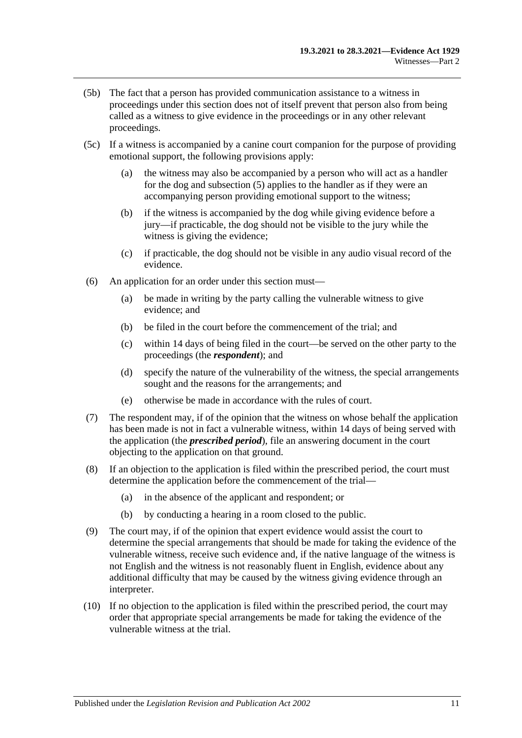- (5b) The fact that a person has provided communication assistance to a witness in proceedings under this section does not of itself prevent that person also from being called as a witness to give evidence in the proceedings or in any other relevant proceedings.
- (5c) If a witness is accompanied by a canine court companion for the purpose of providing emotional support, the following provisions apply:
	- (a) the witness may also be accompanied by a person who will act as a handler for the dog and [subsection](#page-19-0) (5) applies to the handler as if they were an accompanying person providing emotional support to the witness;
	- (b) if the witness is accompanied by the dog while giving evidence before a jury—if practicable, the dog should not be visible to the jury while the witness is giving the evidence;
	- (c) if practicable, the dog should not be visible in any audio visual record of the evidence.
- (6) An application for an order under this section must—
	- (a) be made in writing by the party calling the vulnerable witness to give evidence; and
	- (b) be filed in the court before the commencement of the trial; and
	- (c) within 14 days of being filed in the court—be served on the other party to the proceedings (the *respondent*); and
	- (d) specify the nature of the vulnerability of the witness, the special arrangements sought and the reasons for the arrangements; and
	- (e) otherwise be made in accordance with the rules of court.
- (7) The respondent may, if of the opinion that the witness on whose behalf the application has been made is not in fact a vulnerable witness, within 14 days of being served with the application (the *prescribed period*), file an answering document in the court objecting to the application on that ground.
- (8) If an objection to the application is filed within the prescribed period, the court must determine the application before the commencement of the trial—
	- (a) in the absence of the applicant and respondent; or
	- (b) by conducting a hearing in a room closed to the public.
- (9) The court may, if of the opinion that expert evidence would assist the court to determine the special arrangements that should be made for taking the evidence of the vulnerable witness, receive such evidence and, if the native language of the witness is not English and the witness is not reasonably fluent in English, evidence about any additional difficulty that may be caused by the witness giving evidence through an interpreter.
- (10) If no objection to the application is filed within the prescribed period, the court may order that appropriate special arrangements be made for taking the evidence of the vulnerable witness at the trial.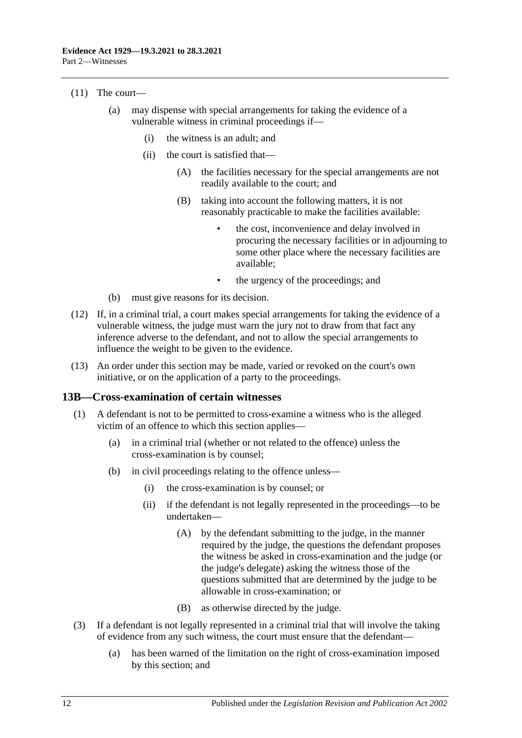- (11) The court—
	- (a) may dispense with special arrangements for taking the evidence of a vulnerable witness in criminal proceedings if—
		- (i) the witness is an adult; and
		- (ii) the court is satisfied that—
			- (A) the facilities necessary for the special arrangements are not readily available to the court; and
			- (B) taking into account the following matters, it is not reasonably practicable to make the facilities available:
				- the cost, inconvenience and delay involved in procuring the necessary facilities or in adjourning to some other place where the necessary facilities are available;
				- the urgency of the proceedings; and
	- (b) must give reasons for its decision.
- (12) If, in a criminal trial, a court makes special arrangements for taking the evidence of a vulnerable witness, the judge must warn the jury not to draw from that fact any inference adverse to the defendant, and not to allow the special arrangements to influence the weight to be given to the evidence.
- (13) An order under this section may be made, varied or revoked on the court's own initiative, or on the application of a party to the proceedings.

### <span id="page-21-0"></span>**13B—Cross-examination of certain witnesses**

- (1) A defendant is not to be permitted to cross-examine a witness who is the alleged victim of an offence to which this section applies—
	- (a) in a criminal trial (whether or not related to the offence) unless the cross-examination is by counsel;
	- (b) in civil proceedings relating to the offence unless—
		- (i) the cross-examination is by counsel; or
		- (ii) if the defendant is not legally represented in the proceedings—to be undertaken—
			- (A) by the defendant submitting to the judge, in the manner required by the judge, the questions the defendant proposes the witness be asked in cross-examination and the judge (or the judge's delegate) asking the witness those of the questions submitted that are determined by the judge to be allowable in cross-examination; or
			- (B) as otherwise directed by the judge.
- (3) If a defendant is not legally represented in a criminal trial that will involve the taking of evidence from any such witness, the court must ensure that the defendant—
	- (a) has been warned of the limitation on the right of cross-examination imposed by this section; and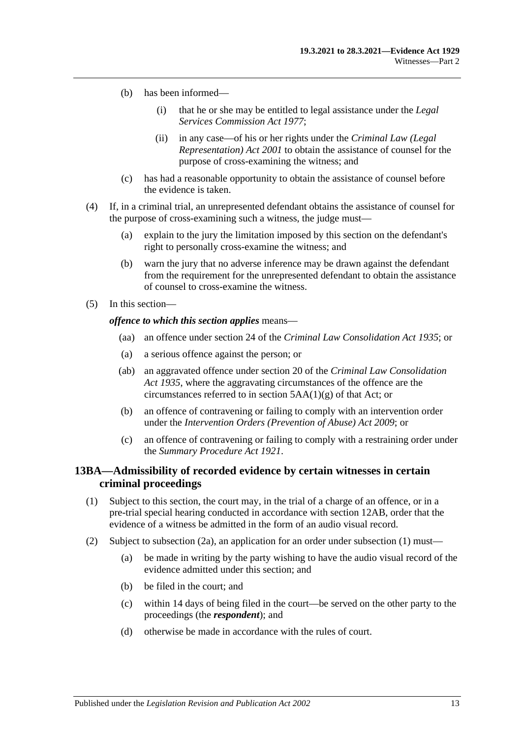- (b) has been informed—
	- (i) that he or she may be entitled to legal assistance under the *[Legal](http://www.legislation.sa.gov.au/index.aspx?action=legref&type=act&legtitle=Legal%20Services%20Commission%20Act%201977)  [Services Commission Act](http://www.legislation.sa.gov.au/index.aspx?action=legref&type=act&legtitle=Legal%20Services%20Commission%20Act%201977) 1977*;
	- (ii) in any case—of his or her rights under the *[Criminal Law \(Legal](http://www.legislation.sa.gov.au/index.aspx?action=legref&type=act&legtitle=Criminal%20Law%20(Legal%20Representation)%20Act%202001)  [Representation\) Act](http://www.legislation.sa.gov.au/index.aspx?action=legref&type=act&legtitle=Criminal%20Law%20(Legal%20Representation)%20Act%202001) 2001* to obtain the assistance of counsel for the purpose of cross-examining the witness; and
- (c) has had a reasonable opportunity to obtain the assistance of counsel before the evidence is taken.
- (4) If, in a criminal trial, an unrepresented defendant obtains the assistance of counsel for the purpose of cross-examining such a witness, the judge must—
	- (a) explain to the jury the limitation imposed by this section on the defendant's right to personally cross-examine the witness; and
	- (b) warn the jury that no adverse inference may be drawn against the defendant from the requirement for the unrepresented defendant to obtain the assistance of counsel to cross-examine the witness.
- (5) In this section—

#### *offence to which this section applies* means—

- (aa) an offence under section 24 of the *[Criminal Law Consolidation Act](http://www.legislation.sa.gov.au/index.aspx?action=legref&type=act&legtitle=Criminal%20Law%20Consolidation%20Act%201935) 1935*; or
- (a) a serious offence against the person; or
- (ab) an aggravated offence under section 20 of the *[Criminal Law Consolidation](http://www.legislation.sa.gov.au/index.aspx?action=legref&type=act&legtitle=Criminal%20Law%20Consolidation%20Act%201935)  Act [1935](http://www.legislation.sa.gov.au/index.aspx?action=legref&type=act&legtitle=Criminal%20Law%20Consolidation%20Act%201935)*, where the aggravating circumstances of the offence are the circumstances referred to in section  $5AA(1)(g)$  of that Act; or
- (b) an offence of contravening or failing to comply with an intervention order under the *[Intervention Orders \(Prevention of Abuse\) Act](http://www.legislation.sa.gov.au/index.aspx?action=legref&type=act&legtitle=Intervention%20Orders%20(Prevention%20of%20Abuse)%20Act%202009) 2009*; or
- (c) an offence of contravening or failing to comply with a restraining order under the *[Summary Procedure Act](http://www.legislation.sa.gov.au/index.aspx?action=legref&type=act&legtitle=Summary%20Procedure%20Act%201921) 1921*.

## <span id="page-22-0"></span>**13BA—Admissibility of recorded evidence by certain witnesses in certain criminal proceedings**

- <span id="page-22-1"></span>(1) Subject to this section, the court may, in the trial of a charge of an offence, or in a pre-trial special hearing conducted in accordance wit[h section](#page-12-0) 12AB, order that the evidence of a witness be admitted in the form of an audio visual record.
- (2) Subject to subsection (2a), an application for an order under [subsection](#page-22-1) (1) must—
	- (a) be made in writing by the party wishing to have the audio visual record of the evidence admitted under this section; and
	- (b) be filed in the court; and
	- (c) within 14 days of being filed in the court—be served on the other party to the proceedings (the *respondent*); and
	- (d) otherwise be made in accordance with the rules of court.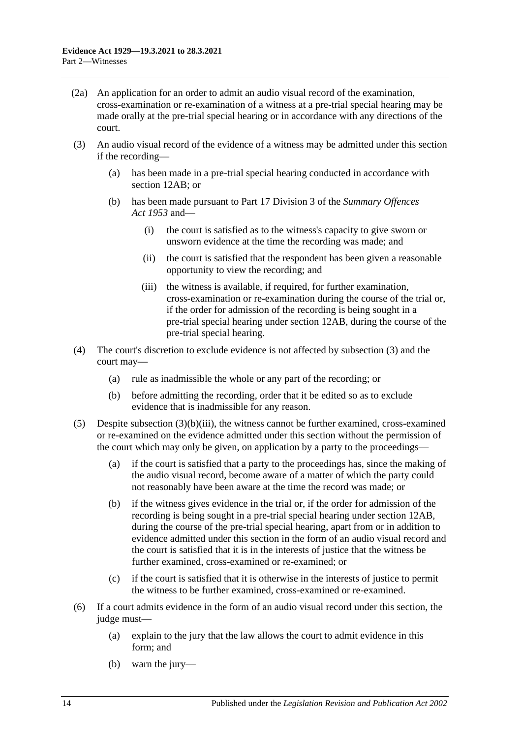- (2a) An application for an order to admit an audio visual record of the examination, cross-examination or re-examination of a witness at a pre-trial special hearing may be made orally at the pre-trial special hearing or in accordance with any directions of the court.
- (3) An audio visual record of the evidence of a witness may be admitted under this section if the recording—
	- (a) has been made in a pre-trial special hearing conducted in accordance with [section](#page-12-0) 12AB; or
	- (b) has been made pursuant to Part 17 Division 3 of the *[Summary Offences](http://www.legislation.sa.gov.au/index.aspx?action=legref&type=act&legtitle=Summary%20Offences%20Act%201953)  Act [1953](http://www.legislation.sa.gov.au/index.aspx?action=legref&type=act&legtitle=Summary%20Offences%20Act%201953)* and—
		- (i) the court is satisfied as to the witness's capacity to give sworn or unsworn evidence at the time the recording was made; and
		- (ii) the court is satisfied that the respondent has been given a reasonable opportunity to view the recording; and
		- (iii) the witness is available, if required, for further examination, cross-examination or re-examination during the course of the trial or, if the order for admission of the recording is being sought in a pre-trial special hearing under [section](#page-12-0) 12AB, during the course of the pre-trial special hearing.
- <span id="page-23-0"></span>(4) The court's discretion to exclude evidence is not affected by subsection (3) and the court may—
	- (a) rule as inadmissible the whole or any part of the recording; or
	- (b) before admitting the recording, order that it be edited so as to exclude evidence that is inadmissible for any reason.
- (5) Despite [subsection](#page-23-0)  $(3)(b)(iii)$ , the witness cannot be further examined, cross-examined or re-examined on the evidence admitted under this section without the permission of the court which may only be given, on application by a party to the proceedings—
	- (a) if the court is satisfied that a party to the proceedings has, since the making of the audio visual record, become aware of a matter of which the party could not reasonably have been aware at the time the record was made; or
	- (b) if the witness gives evidence in the trial or, if the order for admission of the recording is being sought in a pre-trial special hearing under [section](#page-12-0) 12AB, during the course of the pre-trial special hearing, apart from or in addition to evidence admitted under this section in the form of an audio visual record and the court is satisfied that it is in the interests of justice that the witness be further examined, cross-examined or re-examined; or
	- (c) if the court is satisfied that it is otherwise in the interests of justice to permit the witness to be further examined, cross-examined or re-examined.
- (6) If a court admits evidence in the form of an audio visual record under this section, the judge must—
	- (a) explain to the jury that the law allows the court to admit evidence in this form; and
	- (b) warn the jury—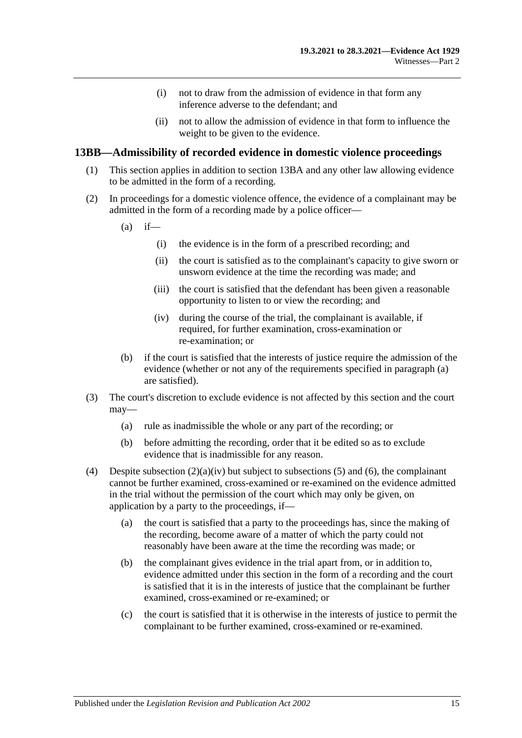- (i) not to draw from the admission of evidence in that form any inference adverse to the defendant; and
- (ii) not to allow the admission of evidence in that form to influence the weight to be given to the evidence.

### <span id="page-24-0"></span>**13BB—Admissibility of recorded evidence in domestic violence proceedings**

- (1) This section applies in addition to [section](#page-22-0) 13BA and any other law allowing evidence to be admitted in the form of a recording.
- <span id="page-24-1"></span>(2) In proceedings for a domestic violence offence, the evidence of a complainant may be admitted in the form of a recording made by a police officer—
	- $(a)$  if—
		- (i) the evidence is in the form of a prescribed recording; and
		- (ii) the court is satisfied as to the complainant's capacity to give sworn or unsworn evidence at the time the recording was made; and
		- (iii) the court is satisfied that the defendant has been given a reasonable opportunity to listen to or view the recording; and
		- (iv) during the course of the trial, the complainant is available, if required, for further examination, cross-examination or re-examination; or
	- (b) if the court is satisfied that the interests of justice require the admission of the evidence (whether or not any of the requirements specified in [paragraph](#page-24-1) (a) are satisfied).
- <span id="page-24-2"></span>(3) The court's discretion to exclude evidence is not affected by this section and the court may—
	- (a) rule as inadmissible the whole or any part of the recording; or
	- (b) before admitting the recording, order that it be edited so as to exclude evidence that is inadmissible for any reason.
- <span id="page-24-3"></span>(4) Despite [subsection](#page-24-2)  $(2)(a)(iv)$  but subject to [subsections](#page-25-0) (5) and [\(6\),](#page-25-1) the complainant cannot be further examined, cross-examined or re-examined on the evidence admitted in the trial without the permission of the court which may only be given, on application by a party to the proceedings, if—
	- (a) the court is satisfied that a party to the proceedings has, since the making of the recording, become aware of a matter of which the party could not reasonably have been aware at the time the recording was made; or
	- (b) the complainant gives evidence in the trial apart from, or in addition to, evidence admitted under this section in the form of a recording and the court is satisfied that it is in the interests of justice that the complainant be further examined, cross-examined or re-examined; or
	- (c) the court is satisfied that it is otherwise in the interests of justice to permit the complainant to be further examined, cross-examined or re-examined.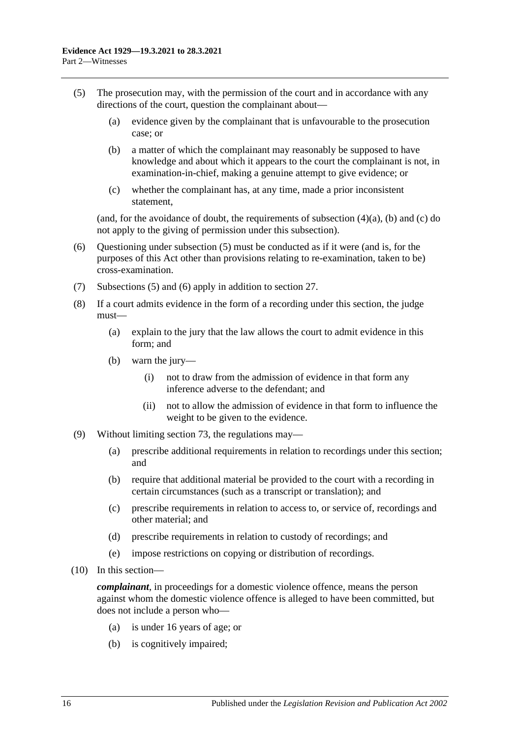- <span id="page-25-2"></span><span id="page-25-0"></span>(5) The prosecution may, with the permission of the court and in accordance with any directions of the court, question the complainant about—
	- (a) evidence given by the complainant that is unfavourable to the prosecution case; or
	- (b) a matter of which the complainant may reasonably be supposed to have knowledge and about which it appears to the court the complainant is not, in examination-in-chief, making a genuine attempt to give evidence; or
	- (c) whether the complainant has, at any time, made a prior inconsistent statement,

<span id="page-25-3"></span>(and, for the avoidance of doubt, the requirements of [subsection](#page-24-3)  $(4)(a)$ , [\(b\)](#page-25-2) and [\(c\)](#page-25-3) do not apply to the giving of permission under this subsection).

- <span id="page-25-1"></span>(6) Questioning under [subsection](#page-25-0) (5) must be conducted as if it were (and is, for the purposes of this Act other than provisions relating to re-examination, taken to be) cross-examination.
- (7) [Subsections](#page-25-0) (5) and [\(6\)](#page-25-1) apply in addition to [section](#page-33-2) 27.
- (8) If a court admits evidence in the form of a recording under this section, the judge must—
	- (a) explain to the jury that the law allows the court to admit evidence in this form; and
	- (b) warn the jury—
		- (i) not to draw from the admission of evidence in that form any inference adverse to the defendant; and
		- (ii) not to allow the admission of evidence in that form to influence the weight to be given to the evidence.
- (9) Without limiting [section](#page-98-1) 73, the regulations may—
	- (a) prescribe additional requirements in relation to recordings under this section; and
	- (b) require that additional material be provided to the court with a recording in certain circumstances (such as a transcript or translation); and
	- (c) prescribe requirements in relation to access to, or service of, recordings and other material; and
	- (d) prescribe requirements in relation to custody of recordings; and
	- (e) impose restrictions on copying or distribution of recordings.
- (10) In this section—

*complainant*, in proceedings for a domestic violence offence, means the person against whom the domestic violence offence is alleged to have been committed, but does not include a person who—

- (a) is under 16 years of age; or
- (b) is cognitively impaired;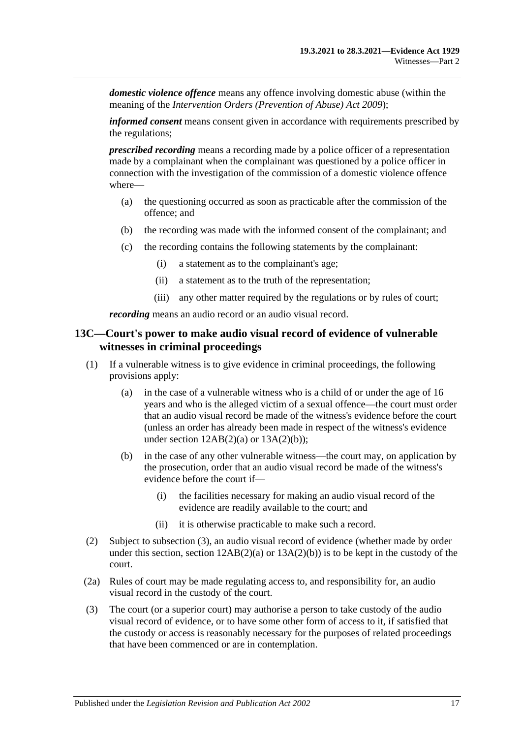*domestic violence offence* means any offence involving domestic abuse (within the meaning of the *[Intervention Orders \(Prevention of Abuse\) Act](http://www.legislation.sa.gov.au/index.aspx?action=legref&type=act&legtitle=Intervention%20Orders%20(Prevention%20of%20Abuse)%20Act%202009) 2009*);

*informed consent* means consent given in accordance with requirements prescribed by the regulations;

*prescribed recording* means a recording made by a police officer of a representation made by a complainant when the complainant was questioned by a police officer in connection with the investigation of the commission of a domestic violence offence where—

- (a) the questioning occurred as soon as practicable after the commission of the offence; and
- (b) the recording was made with the informed consent of the complainant; and
- (c) the recording contains the following statements by the complainant:
	- (i) a statement as to the complainant's age;
	- (ii) a statement as to the truth of the representation;
	- (iii) any other matter required by the regulations or by rules of court;

*recording* means an audio record or an audio visual record.

## <span id="page-26-0"></span>**13C—Court's power to make audio visual record of evidence of vulnerable witnesses in criminal proceedings**

- (1) If a vulnerable witness is to give evidence in criminal proceedings, the following provisions apply:
	- (a) in the case of a vulnerable witness who is a child of or under the age of 16 years and who is the alleged victim of a sexual offence—the court must order that an audio visual record be made of the witness's evidence before the court (unless an order has already been made in respect of the witness's evidence under section  $12AB(2)(a)$  or  $13A(2)(b)$ ;
	- (b) in the case of any other vulnerable witness—the court may, on application by the prosecution, order that an audio visual record be made of the witness's evidence before the court if—
		- (i) the facilities necessary for making an audio visual record of the evidence are readily available to the court; and
		- (ii) it is otherwise practicable to make such a record.
- (2) Subject to [subsection](#page-26-1) (3), an audio visual record of evidence (whether made by order under this section, section  $12AB(2)(a)$  or  $13A(2)(b)$  is to be kept in the custody of the court.
- (2a) Rules of court may be made regulating access to, and responsibility for, an audio visual record in the custody of the court.
- <span id="page-26-1"></span>(3) The court (or a superior court) may authorise a person to take custody of the audio visual record of evidence, or to have some other form of access to it, if satisfied that the custody or access is reasonably necessary for the purposes of related proceedings that have been commenced or are in contemplation.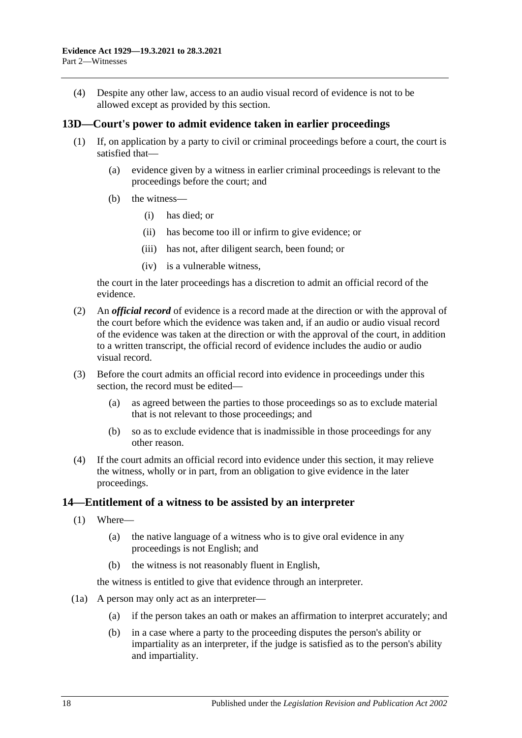(4) Despite any other law, access to an audio visual record of evidence is not to be allowed except as provided by this section.

## <span id="page-27-0"></span>**13D—Court's power to admit evidence taken in earlier proceedings**

- (1) If, on application by a party to civil or criminal proceedings before a court, the court is satisfied that—
	- (a) evidence given by a witness in earlier criminal proceedings is relevant to the proceedings before the court; and
	- (b) the witness—
		- (i) has died; or
		- (ii) has become too ill or infirm to give evidence; or
		- (iii) has not, after diligent search, been found; or
		- (iv) is a vulnerable witness,

the court in the later proceedings has a discretion to admit an official record of the evidence.

- (2) An *official record* of evidence is a record made at the direction or with the approval of the court before which the evidence was taken and, if an audio or audio visual record of the evidence was taken at the direction or with the approval of the court, in addition to a written transcript, the official record of evidence includes the audio or audio visual record.
- (3) Before the court admits an official record into evidence in proceedings under this section, the record must be edited—
	- (a) as agreed between the parties to those proceedings so as to exclude material that is not relevant to those proceedings; and
	- (b) so as to exclude evidence that is inadmissible in those proceedings for any other reason.
- (4) If the court admits an official record into evidence under this section, it may relieve the witness, wholly or in part, from an obligation to give evidence in the later proceedings.

### <span id="page-27-1"></span>**14—Entitlement of a witness to be assisted by an interpreter**

- (1) Where—
	- (a) the native language of a witness who is to give oral evidence in any proceedings is not English; and
	- (b) the witness is not reasonably fluent in English,

the witness is entitled to give that evidence through an interpreter.

- (1a) A person may only act as an interpreter—
	- (a) if the person takes an oath or makes an affirmation to interpret accurately; and
	- (b) in a case where a party to the proceeding disputes the person's ability or impartiality as an interpreter, if the judge is satisfied as to the person's ability and impartiality.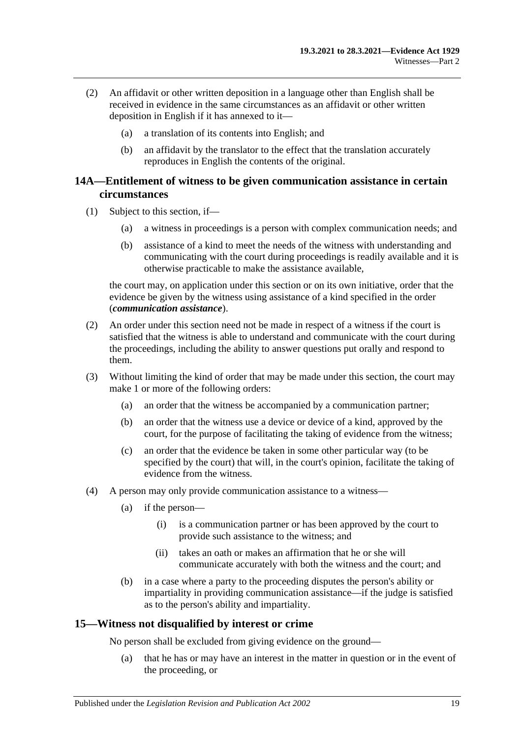- (2) An affidavit or other written deposition in a language other than English shall be received in evidence in the same circumstances as an affidavit or other written deposition in English if it has annexed to it—
	- (a) a translation of its contents into English; and
	- (b) an affidavit by the translator to the effect that the translation accurately reproduces in English the contents of the original.

## <span id="page-28-0"></span>**14A—Entitlement of witness to be given communication assistance in certain circumstances**

- (1) Subject to this section, if—
	- (a) a witness in proceedings is a person with complex communication needs; and
	- (b) assistance of a kind to meet the needs of the witness with understanding and communicating with the court during proceedings is readily available and it is otherwise practicable to make the assistance available,

the court may, on application under this section or on its own initiative, order that the evidence be given by the witness using assistance of a kind specified in the order (*communication assistance*).

- (2) An order under this section need not be made in respect of a witness if the court is satisfied that the witness is able to understand and communicate with the court during the proceedings, including the ability to answer questions put orally and respond to them.
- (3) Without limiting the kind of order that may be made under this section, the court may make 1 or more of the following orders:
	- (a) an order that the witness be accompanied by a communication partner;
	- (b) an order that the witness use a device or device of a kind, approved by the court, for the purpose of facilitating the taking of evidence from the witness;
	- (c) an order that the evidence be taken in some other particular way (to be specified by the court) that will, in the court's opinion, facilitate the taking of evidence from the witness.
- (4) A person may only provide communication assistance to a witness—
	- (a) if the person—
		- (i) is a communication partner or has been approved by the court to provide such assistance to the witness; and
		- (ii) takes an oath or makes an affirmation that he or she will communicate accurately with both the witness and the court; and
	- (b) in a case where a party to the proceeding disputes the person's ability or impartiality in providing communication assistance—if the judge is satisfied as to the person's ability and impartiality.

### <span id="page-28-1"></span>**15—Witness not disqualified by interest or crime**

No person shall be excluded from giving evidence on the ground—

(a) that he has or may have an interest in the matter in question or in the event of the proceeding, or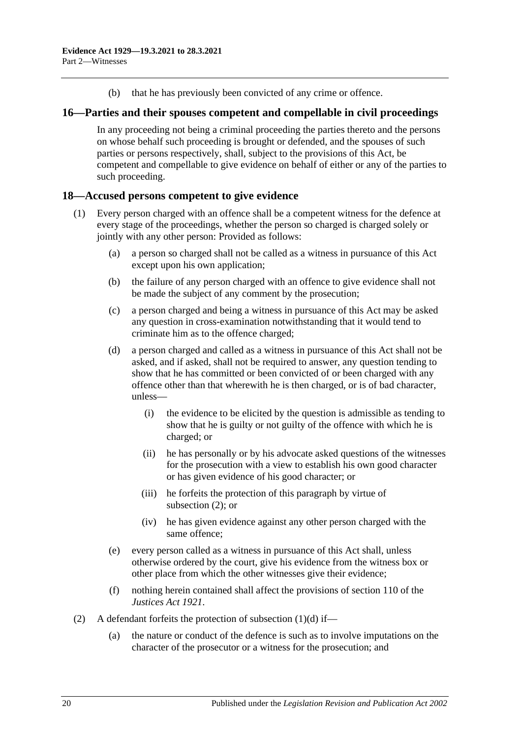(b) that he has previously been convicted of any crime or offence.

## <span id="page-29-0"></span>**16—Parties and their spouses competent and compellable in civil proceedings**

In any proceeding not being a criminal proceeding the parties thereto and the persons on whose behalf such proceeding is brought or defended, and the spouses of such parties or persons respectively, shall, subject to the provisions of this Act, be competent and compellable to give evidence on behalf of either or any of the parties to such proceeding.

## <span id="page-29-1"></span>**18—Accused persons competent to give evidence**

- <span id="page-29-3"></span>(1) Every person charged with an offence shall be a competent witness for the defence at every stage of the proceedings, whether the person so charged is charged solely or jointly with any other person: Provided as follows:
	- (a) a person so charged shall not be called as a witness in pursuance of this Act except upon his own application;
	- (b) the failure of any person charged with an offence to give evidence shall not be made the subject of any comment by the prosecution;
	- (c) a person charged and being a witness in pursuance of this Act may be asked any question in cross-examination notwithstanding that it would tend to criminate him as to the offence charged;
	- (d) a person charged and called as a witness in pursuance of this Act shall not be asked, and if asked, shall not be required to answer, any question tending to show that he has committed or been convicted of or been charged with any offence other than that wherewith he is then charged, or is of bad character, unless—
		- (i) the evidence to be elicited by the question is admissible as tending to show that he is guilty or not guilty of the offence with which he is charged; or
		- (ii) he has personally or by his advocate asked questions of the witnesses for the prosecution with a view to establish his own good character or has given evidence of his good character; or
		- (iii) he forfeits the protection of this paragraph by virtue of [subsection](#page-29-2) (2); or
		- (iv) he has given evidence against any other person charged with the same offence;
	- (e) every person called as a witness in pursuance of this Act shall, unless otherwise ordered by the court, give his evidence from the witness box or other place from which the other witnesses give their evidence;
	- (f) nothing herein contained shall affect the provisions of section 110 of the *[Justices Act](http://www.legislation.sa.gov.au/index.aspx?action=legref&type=act&legtitle=Justices%20Act%201921) 1921*.
- <span id="page-29-2"></span>(2) A defendant forfeits the protection of [subsection](#page-29-3)  $(1)(d)$  if—
	- (a) the nature or conduct of the defence is such as to involve imputations on the character of the prosecutor or a witness for the prosecution; and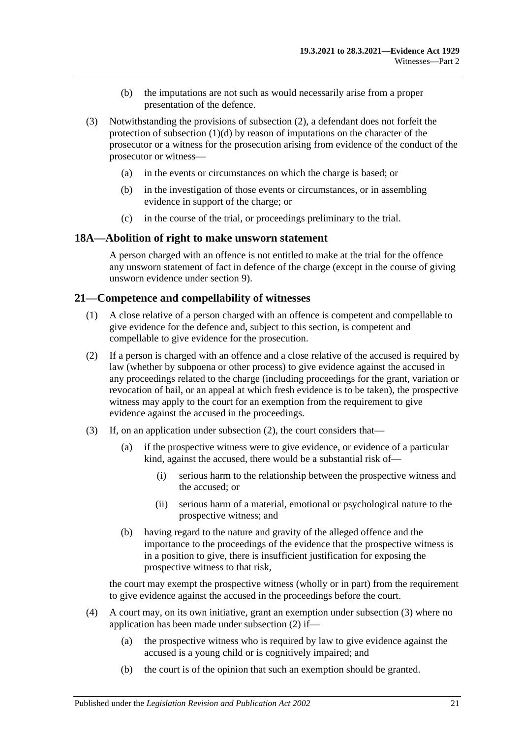- (b) the imputations are not such as would necessarily arise from a proper presentation of the defence.
- (3) Notwithstanding the provisions of [subsection](#page-29-2) (2), a defendant does not forfeit the protection of [subsection](#page-29-3) (1)(d) by reason of imputations on the character of the prosecutor or a witness for the prosecution arising from evidence of the conduct of the prosecutor or witness—
	- (a) in the events or circumstances on which the charge is based; or
	- (b) in the investigation of those events or circumstances, or in assembling evidence in support of the charge; or
	- (c) in the course of the trial, or proceedings preliminary to the trial.

## <span id="page-30-0"></span>**18A—Abolition of right to make unsworn statement**

A person charged with an offence is not entitled to make at the trial for the offence any unsworn statement of fact in defence of the charge (except in the course of giving unsworn evidence under [section](#page-10-3) 9).

## <span id="page-30-1"></span>**21—Competence and compellability of witnesses**

- (1) A close relative of a person charged with an offence is competent and compellable to give evidence for the defence and, subject to this section, is competent and compellable to give evidence for the prosecution.
- <span id="page-30-2"></span>(2) If a person is charged with an offence and a close relative of the accused is required by law (whether by subpoena or other process) to give evidence against the accused in any proceedings related to the charge (including proceedings for the grant, variation or revocation of bail, or an appeal at which fresh evidence is to be taken), the prospective witness may apply to the court for an exemption from the requirement to give evidence against the accused in the proceedings.
- <span id="page-30-3"></span>(3) If, on an application under [subsection](#page-30-2) (2), the court considers that—
	- (a) if the prospective witness were to give evidence, or evidence of a particular kind, against the accused, there would be a substantial risk of—
		- (i) serious harm to the relationship between the prospective witness and the accused; or
		- (ii) serious harm of a material, emotional or psychological nature to the prospective witness; and
	- (b) having regard to the nature and gravity of the alleged offence and the importance to the proceedings of the evidence that the prospective witness is in a position to give, there is insufficient justification for exposing the prospective witness to that risk,

the court may exempt the prospective witness (wholly or in part) from the requirement to give evidence against the accused in the proceedings before the court.

- <span id="page-30-4"></span>(4) A court may, on its own initiative, grant an exemption under [subsection](#page-30-3) (3) where no application has been made under [subsection](#page-30-2) (2) if—
	- (a) the prospective witness who is required by law to give evidence against the accused is a young child or is cognitively impaired; and
	- (b) the court is of the opinion that such an exemption should be granted.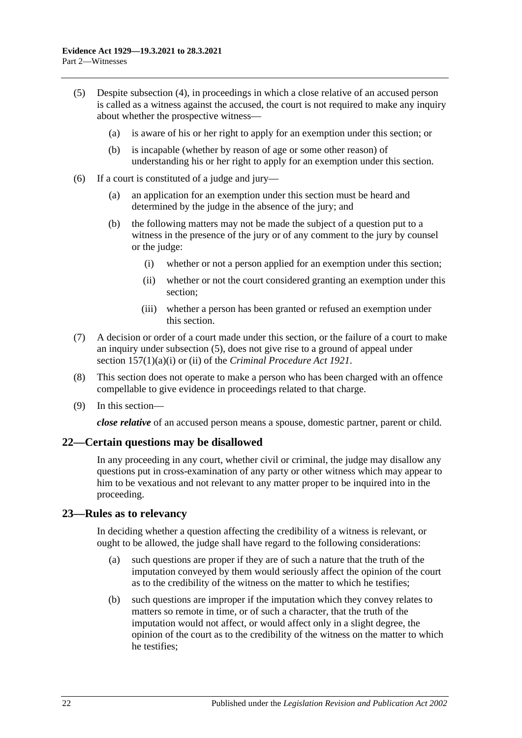- <span id="page-31-2"></span>(5) Despite [subsection](#page-30-4) (4), in proceedings in which a close relative of an accused person is called as a witness against the accused, the court is not required to make any inquiry about whether the prospective witness—
	- (a) is aware of his or her right to apply for an exemption under this section; or
	- (b) is incapable (whether by reason of age or some other reason) of understanding his or her right to apply for an exemption under this section.
- (6) If a court is constituted of a judge and jury—
	- (a) an application for an exemption under this section must be heard and determined by the judge in the absence of the jury; and
	- (b) the following matters may not be made the subject of a question put to a witness in the presence of the jury or of any comment to the jury by counsel or the judge:
		- (i) whether or not a person applied for an exemption under this section;
		- (ii) whether or not the court considered granting an exemption under this section;
		- (iii) whether a person has been granted or refused an exemption under this section.
- (7) A decision or order of a court made under this section, or the failure of a court to make an inquiry under [subsection](#page-31-2) (5), does not give rise to a ground of appeal under section 157(1)(a)(i) or (ii) of the *[Criminal Procedure Act](http://www.legislation.sa.gov.au/index.aspx?action=legref&type=act&legtitle=Criminal%20Procedure%20Act%201921) 1921*.
- (8) This section does not operate to make a person who has been charged with an offence compellable to give evidence in proceedings related to that charge.
- (9) In this section—

*close relative* of an accused person means a spouse, domestic partner, parent or child.

## <span id="page-31-0"></span>**22—Certain questions may be disallowed**

In any proceeding in any court, whether civil or criminal, the judge may disallow any questions put in cross-examination of any party or other witness which may appear to him to be vexatious and not relevant to any matter proper to be inquired into in the proceeding.

### <span id="page-31-1"></span>**23—Rules as to relevancy**

In deciding whether a question affecting the credibility of a witness is relevant, or ought to be allowed, the judge shall have regard to the following considerations:

- (a) such questions are proper if they are of such a nature that the truth of the imputation conveyed by them would seriously affect the opinion of the court as to the credibility of the witness on the matter to which he testifies;
- (b) such questions are improper if the imputation which they convey relates to matters so remote in time, or of such a character, that the truth of the imputation would not affect, or would affect only in a slight degree, the opinion of the court as to the credibility of the witness on the matter to which he testifies;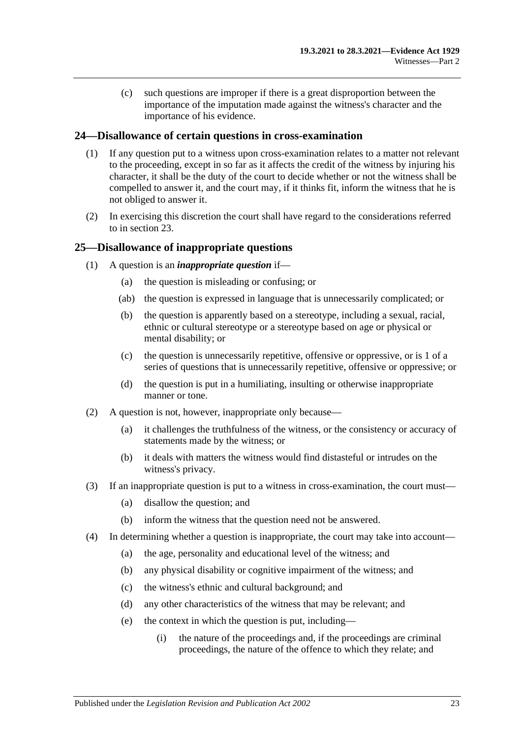(c) such questions are improper if there is a great disproportion between the importance of the imputation made against the witness's character and the importance of his evidence.

## <span id="page-32-0"></span>**24—Disallowance of certain questions in cross-examination**

- (1) If any question put to a witness upon cross-examination relates to a matter not relevant to the proceeding, except in so far as it affects the credit of the witness by injuring his character, it shall be the duty of the court to decide whether or not the witness shall be compelled to answer it, and the court may, if it thinks fit, inform the witness that he is not obliged to answer it.
- (2) In exercising this discretion the court shall have regard to the considerations referred to in [section](#page-31-1) 23.

## <span id="page-32-1"></span>**25—Disallowance of inappropriate questions**

- (1) A question is an *inappropriate question* if—
	- (a) the question is misleading or confusing; or
	- (ab) the question is expressed in language that is unnecessarily complicated; or
	- (b) the question is apparently based on a stereotype, including a sexual, racial, ethnic or cultural stereotype or a stereotype based on age or physical or mental disability; or
	- (c) the question is unnecessarily repetitive, offensive or oppressive, or is 1 of a series of questions that is unnecessarily repetitive, offensive or oppressive; or
	- (d) the question is put in a humiliating, insulting or otherwise inappropriate manner or tone.
- (2) A question is not, however, inappropriate only because—
	- (a) it challenges the truthfulness of the witness, or the consistency or accuracy of statements made by the witness; or
	- (b) it deals with matters the witness would find distasteful or intrudes on the witness's privacy.
- (3) If an inappropriate question is put to a witness in cross-examination, the court must—
	- (a) disallow the question; and
	- (b) inform the witness that the question need not be answered.
- (4) In determining whether a question is inappropriate, the court may take into account—
	- (a) the age, personality and educational level of the witness; and
	- (b) any physical disability or cognitive impairment of the witness; and
	- (c) the witness's ethnic and cultural background; and
	- (d) any other characteristics of the witness that may be relevant; and
	- (e) the context in which the question is put, including—
		- (i) the nature of the proceedings and, if the proceedings are criminal proceedings, the nature of the offence to which they relate; and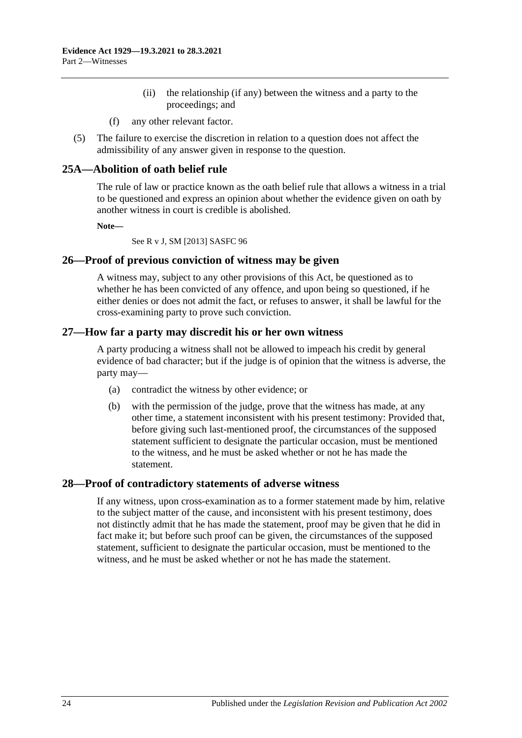- (ii) the relationship (if any) between the witness and a party to the proceedings; and
- (f) any other relevant factor.
- (5) The failure to exercise the discretion in relation to a question does not affect the admissibility of any answer given in response to the question.

## <span id="page-33-0"></span>**25A—Abolition of oath belief rule**

The rule of law or practice known as the oath belief rule that allows a witness in a trial to be questioned and express an opinion about whether the evidence given on oath by another witness in court is credible is abolished.

**Note—**

See R v J, SM [2013] SASFC 96

### <span id="page-33-1"></span>**26—Proof of previous conviction of witness may be given**

A witness may, subject to any other provisions of this Act, be questioned as to whether he has been convicted of any offence, and upon being so questioned, if he either denies or does not admit the fact, or refuses to answer, it shall be lawful for the cross-examining party to prove such conviction.

### <span id="page-33-2"></span>**27—How far a party may discredit his or her own witness**

A party producing a witness shall not be allowed to impeach his credit by general evidence of bad character; but if the judge is of opinion that the witness is adverse, the party may—

- (a) contradict the witness by other evidence; or
- (b) with the permission of the judge, prove that the witness has made, at any other time, a statement inconsistent with his present testimony: Provided that, before giving such last-mentioned proof, the circumstances of the supposed statement sufficient to designate the particular occasion, must be mentioned to the witness, and he must be asked whether or not he has made the statement.

### <span id="page-33-3"></span>**28—Proof of contradictory statements of adverse witness**

If any witness, upon cross-examination as to a former statement made by him, relative to the subject matter of the cause, and inconsistent with his present testimony, does not distinctly admit that he has made the statement, proof may be given that he did in fact make it; but before such proof can be given, the circumstances of the supposed statement, sufficient to designate the particular occasion, must be mentioned to the witness, and he must be asked whether or not he has made the statement.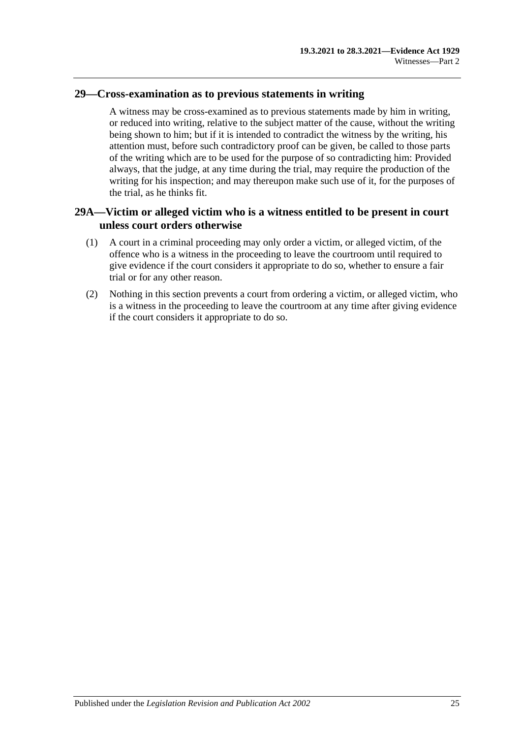## <span id="page-34-0"></span>**29—Cross-examination as to previous statements in writing**

A witness may be cross-examined as to previous statements made by him in writing, or reduced into writing, relative to the subject matter of the cause, without the writing being shown to him; but if it is intended to contradict the witness by the writing, his attention must, before such contradictory proof can be given, be called to those parts of the writing which are to be used for the purpose of so contradicting him: Provided always, that the judge, at any time during the trial, may require the production of the writing for his inspection; and may thereupon make such use of it, for the purposes of the trial, as he thinks fit.

## <span id="page-34-1"></span>**29A—Victim or alleged victim who is a witness entitled to be present in court unless court orders otherwise**

- (1) A court in a criminal proceeding may only order a victim, or alleged victim, of the offence who is a witness in the proceeding to leave the courtroom until required to give evidence if the court considers it appropriate to do so, whether to ensure a fair trial or for any other reason.
- (2) Nothing in this section prevents a court from ordering a victim, or alleged victim, who is a witness in the proceeding to leave the courtroom at any time after giving evidence if the court considers it appropriate to do so.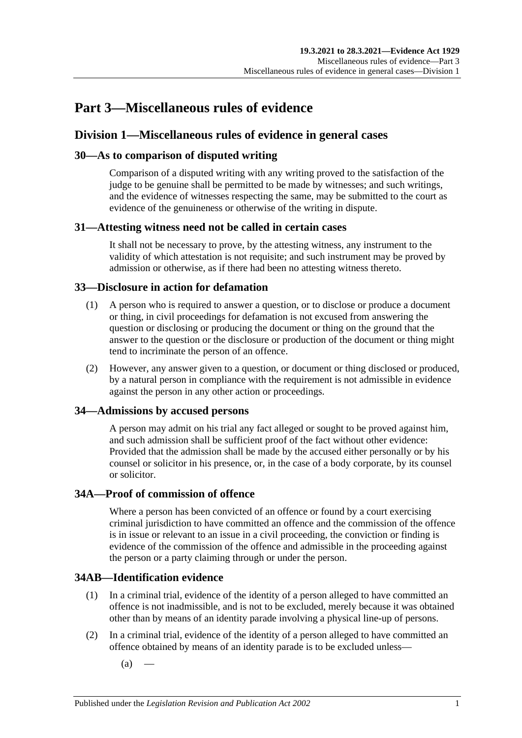# **Part 3—Miscellaneous rules of evidence**

# **Division 1—Miscellaneous rules of evidence in general cases**

# **30—As to comparison of disputed writing**

Comparison of a disputed writing with any writing proved to the satisfaction of the judge to be genuine shall be permitted to be made by witnesses; and such writings, and the evidence of witnesses respecting the same, may be submitted to the court as evidence of the genuineness or otherwise of the writing in dispute.

# **31—Attesting witness need not be called in certain cases**

It shall not be necessary to prove, by the attesting witness, any instrument to the validity of which attestation is not requisite; and such instrument may be proved by admission or otherwise, as if there had been no attesting witness thereto.

## **33—Disclosure in action for defamation**

- (1) A person who is required to answer a question, or to disclose or produce a document or thing, in civil proceedings for defamation is not excused from answering the question or disclosing or producing the document or thing on the ground that the answer to the question or the disclosure or production of the document or thing might tend to incriminate the person of an offence.
- (2) However, any answer given to a question, or document or thing disclosed or produced, by a natural person in compliance with the requirement is not admissible in evidence against the person in any other action or proceedings.

# **34—Admissions by accused persons**

A person may admit on his trial any fact alleged or sought to be proved against him, and such admission shall be sufficient proof of the fact without other evidence: Provided that the admission shall be made by the accused either personally or by his counsel or solicitor in his presence, or, in the case of a body corporate, by its counsel or solicitor.

## **34A—Proof of commission of offence**

Where a person has been convicted of an offence or found by a court exercising criminal jurisdiction to have committed an offence and the commission of the offence is in issue or relevant to an issue in a civil proceeding, the conviction or finding is evidence of the commission of the offence and admissible in the proceeding against the person or a party claiming through or under the person.

# **34AB—Identification evidence**

- (1) In a criminal trial, evidence of the identity of a person alleged to have committed an offence is not inadmissible, and is not to be excluded, merely because it was obtained other than by means of an identity parade involving a physical line-up of persons.
- <span id="page-36-0"></span>(2) In a criminal trial, evidence of the identity of a person alleged to have committed an offence obtained by means of an identity parade is to be excluded unless—
	- $(a)$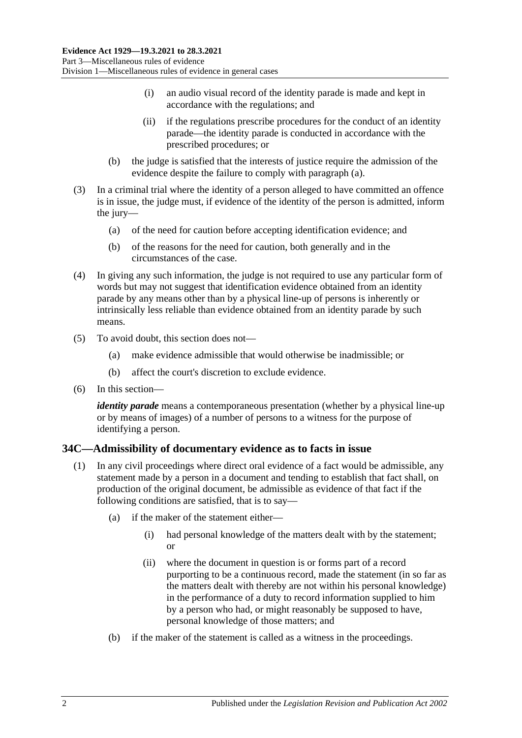- (i) an audio visual record of the identity parade is made and kept in accordance with the regulations; and
- (ii) if the regulations prescribe procedures for the conduct of an identity parade—the identity parade is conducted in accordance with the prescribed procedures; or
- (b) the judge is satisfied that the interests of justice require the admission of the evidence despite the failure to comply with [paragraph](#page-36-0) (a).
- (3) In a criminal trial where the identity of a person alleged to have committed an offence is in issue, the judge must, if evidence of the identity of the person is admitted, inform the jury—
	- (a) of the need for caution before accepting identification evidence; and
	- (b) of the reasons for the need for caution, both generally and in the circumstances of the case.
- (4) In giving any such information, the judge is not required to use any particular form of words but may not suggest that identification evidence obtained from an identity parade by any means other than by a physical line-up of persons is inherently or intrinsically less reliable than evidence obtained from an identity parade by such means.
- (5) To avoid doubt, this section does not—
	- (a) make evidence admissible that would otherwise be inadmissible; or
	- (b) affect the court's discretion to exclude evidence.
- (6) In this section—

*identity parade* means a contemporaneous presentation (whether by a physical line-up or by means of images) of a number of persons to a witness for the purpose of identifying a person.

## <span id="page-37-1"></span><span id="page-37-0"></span>**34C—Admissibility of documentary evidence as to facts in issue**

- (1) In any civil proceedings where direct oral evidence of a fact would be admissible, any statement made by a person in a document and tending to establish that fact shall, on production of the original document, be admissible as evidence of that fact if the following conditions are satisfied, that is to say—
	- (a) if the maker of the statement either—
		- (i) had personal knowledge of the matters dealt with by the statement; or
		- (ii) where the document in question is or forms part of a record purporting to be a continuous record, made the statement (in so far as the matters dealt with thereby are not within his personal knowledge) in the performance of a duty to record information supplied to him by a person who had, or might reasonably be supposed to have, personal knowledge of those matters; and
	- (b) if the maker of the statement is called as a witness in the proceedings.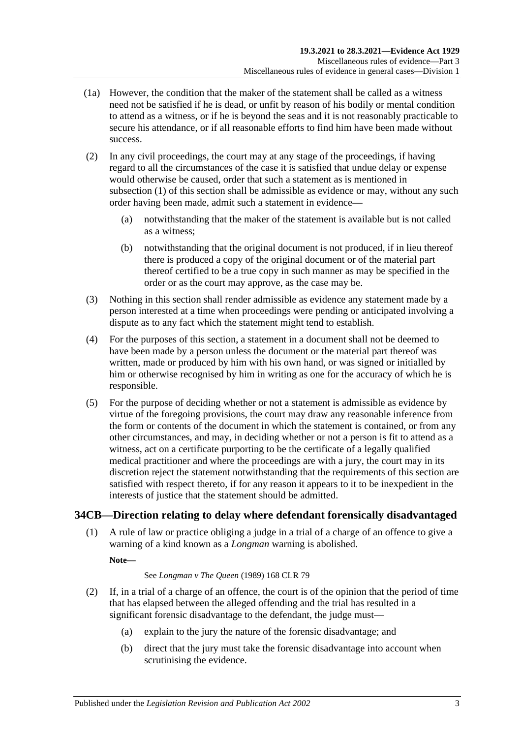- (1a) However, the condition that the maker of the statement shall be called as a witness need not be satisfied if he is dead, or unfit by reason of his bodily or mental condition to attend as a witness, or if he is beyond the seas and it is not reasonably practicable to secure his attendance, or if all reasonable efforts to find him have been made without success.
- (2) In any civil proceedings, the court may at any stage of the proceedings, if having regard to all the circumstances of the case it is satisfied that undue delay or expense would otherwise be caused, order that such a statement as is mentioned in [subsection](#page-37-0) (1) of this section shall be admissible as evidence or may, without any such order having been made, admit such a statement in evidence—
	- (a) notwithstanding that the maker of the statement is available but is not called as a witness;
	- (b) notwithstanding that the original document is not produced, if in lieu thereof there is produced a copy of the original document or of the material part thereof certified to be a true copy in such manner as may be specified in the order or as the court may approve, as the case may be.
- (3) Nothing in this section shall render admissible as evidence any statement made by a person interested at a time when proceedings were pending or anticipated involving a dispute as to any fact which the statement might tend to establish.
- (4) For the purposes of this section, a statement in a document shall not be deemed to have been made by a person unless the document or the material part thereof was written, made or produced by him with his own hand, or was signed or initialled by him or otherwise recognised by him in writing as one for the accuracy of which he is responsible.
- (5) For the purpose of deciding whether or not a statement is admissible as evidence by virtue of the foregoing provisions, the court may draw any reasonable inference from the form or contents of the document in which the statement is contained, or from any other circumstances, and may, in deciding whether or not a person is fit to attend as a witness, act on a certificate purporting to be the certificate of a legally qualified medical practitioner and where the proceedings are with a jury, the court may in its discretion reject the statement notwithstanding that the requirements of this section are satisfied with respect thereto, if for any reason it appears to it to be inexpedient in the interests of justice that the statement should be admitted.

# **34CB—Direction relating to delay where defendant forensically disadvantaged**

(1) A rule of law or practice obliging a judge in a trial of a charge of an offence to give a warning of a kind known as a *Longman* warning is abolished.

**Note—**

#### See *Longman v The Queen* (1989) 168 CLR 79

- <span id="page-38-0"></span>(2) If, in a trial of a charge of an offence, the court is of the opinion that the period of time that has elapsed between the alleged offending and the trial has resulted in a significant forensic disadvantage to the defendant, the judge must—
	- (a) explain to the jury the nature of the forensic disadvantage; and
	- (b) direct that the jury must take the forensic disadvantage into account when scrutinising the evidence.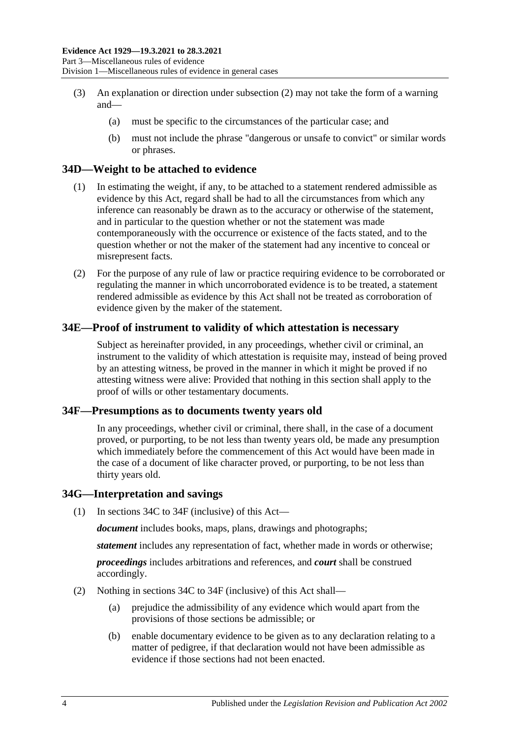- (3) An explanation or direction under [subsection](#page-38-0) (2) may not take the form of a warning and—
	- (a) must be specific to the circumstances of the particular case; and
	- (b) must not include the phrase "dangerous or unsafe to convict" or similar words or phrases.

## **34D—Weight to be attached to evidence**

- (1) In estimating the weight, if any, to be attached to a statement rendered admissible as evidence by this Act, regard shall be had to all the circumstances from which any inference can reasonably be drawn as to the accuracy or otherwise of the statement, and in particular to the question whether or not the statement was made contemporaneously with the occurrence or existence of the facts stated, and to the question whether or not the maker of the statement had any incentive to conceal or misrepresent facts.
- (2) For the purpose of any rule of law or practice requiring evidence to be corroborated or regulating the manner in which uncorroborated evidence is to be treated, a statement rendered admissible as evidence by this Act shall not be treated as corroboration of evidence given by the maker of the statement.

### **34E—Proof of instrument to validity of which attestation is necessary**

Subject as hereinafter provided, in any proceedings, whether civil or criminal, an instrument to the validity of which attestation is requisite may, instead of being proved by an attesting witness, be proved in the manner in which it might be proved if no attesting witness were alive: Provided that nothing in this section shall apply to the proof of wills or other testamentary documents.

#### <span id="page-39-0"></span>**34F—Presumptions as to documents twenty years old**

In any proceedings, whether civil or criminal, there shall, in the case of a document proved, or purporting, to be not less than twenty years old, be made any presumption which immediately before the commencement of this Act would have been made in the case of a document of like character proved, or purporting, to be not less than thirty years old.

#### **34G—Interpretation and savings**

(1) In [sections](#page-37-1) 34C to [34F](#page-39-0) (inclusive) of this Act—

*document* includes books, maps, plans, drawings and photographs;

*statement* includes any representation of fact, whether made in words or otherwise;

*proceedings* includes arbitrations and references, and *court* shall be construed accordingly.

- (2) Nothing in [sections](#page-37-1) 34C to [34F](#page-39-0) (inclusive) of this Act shall—
	- (a) prejudice the admissibility of any evidence which would apart from the provisions of those sections be admissible; or
	- (b) enable documentary evidence to be given as to any declaration relating to a matter of pedigree, if that declaration would not have been admissible as evidence if those sections had not been enacted.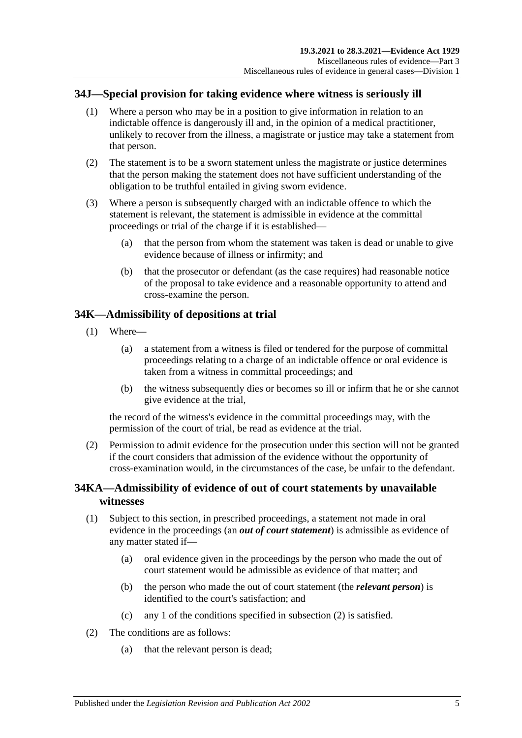# **34J—Special provision for taking evidence where witness is seriously ill**

- (1) Where a person who may be in a position to give information in relation to an indictable offence is dangerously ill and, in the opinion of a medical practitioner, unlikely to recover from the illness, a magistrate or justice may take a statement from that person.
- (2) The statement is to be a sworn statement unless the magistrate or justice determines that the person making the statement does not have sufficient understanding of the obligation to be truthful entailed in giving sworn evidence.
- (3) Where a person is subsequently charged with an indictable offence to which the statement is relevant, the statement is admissible in evidence at the committal proceedings or trial of the charge if it is established—
	- (a) that the person from whom the statement was taken is dead or unable to give evidence because of illness or infirmity; and
	- (b) that the prosecutor or defendant (as the case requires) had reasonable notice of the proposal to take evidence and a reasonable opportunity to attend and cross-examine the person.

# **34K—Admissibility of depositions at trial**

- (1) Where—
	- (a) a statement from a witness is filed or tendered for the purpose of committal proceedings relating to a charge of an indictable offence or oral evidence is taken from a witness in committal proceedings; and
	- (b) the witness subsequently dies or becomes so ill or infirm that he or she cannot give evidence at the trial,

the record of the witness's evidence in the committal proceedings may, with the permission of the court of trial, be read as evidence at the trial.

(2) Permission to admit evidence for the prosecution under this section will not be granted if the court considers that admission of the evidence without the opportunity of cross-examination would, in the circumstances of the case, be unfair to the defendant.

# **34KA—Admissibility of evidence of out of court statements by unavailable witnesses**

- (1) Subject to this section, in prescribed proceedings, a statement not made in oral evidence in the proceedings (an *out of court statement*) is admissible as evidence of any matter stated if—
	- (a) oral evidence given in the proceedings by the person who made the out of court statement would be admissible as evidence of that matter; and
	- (b) the person who made the out of court statement (the *relevant person*) is identified to the court's satisfaction; and
	- (c) any 1 of the conditions specified in [subsection](#page-40-0) (2) is satisfied.
- <span id="page-40-0"></span>(2) The conditions are as follows:
	- (a) that the relevant person is dead;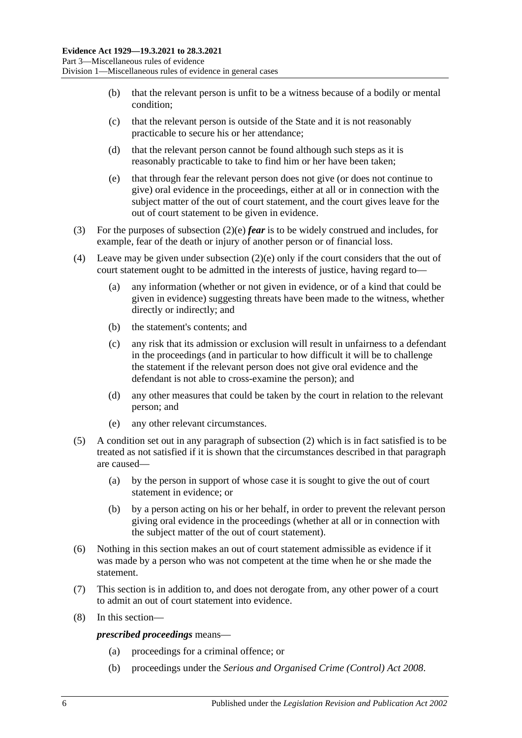- (b) that the relevant person is unfit to be a witness because of a bodily or mental condition;
- (c) that the relevant person is outside of the State and it is not reasonably practicable to secure his or her attendance;
- (d) that the relevant person cannot be found although such steps as it is reasonably practicable to take to find him or her have been taken;
- <span id="page-41-0"></span>(e) that through fear the relevant person does not give (or does not continue to give) oral evidence in the proceedings, either at all or in connection with the subject matter of the out of court statement, and the court gives leave for the out of court statement to be given in evidence.
- (3) For the purposes of [subsection](#page-41-0) (2)(e) *fear* is to be widely construed and includes, for example, fear of the death or injury of another person or of financial loss.
- (4) Leave may be given under [subsection](#page-41-0) (2)(e) only if the court considers that the out of court statement ought to be admitted in the interests of justice, having regard to—
	- (a) any information (whether or not given in evidence, or of a kind that could be given in evidence) suggesting threats have been made to the witness, whether directly or indirectly; and
	- (b) the statement's contents; and
	- (c) any risk that its admission or exclusion will result in unfairness to a defendant in the proceedings (and in particular to how difficult it will be to challenge the statement if the relevant person does not give oral evidence and the defendant is not able to cross-examine the person); and
	- (d) any other measures that could be taken by the court in relation to the relevant person; and
	- (e) any other relevant circumstances.
- (5) A condition set out in any paragraph of [subsection](#page-40-0) (2) which is in fact satisfied is to be treated as not satisfied if it is shown that the circumstances described in that paragraph are caused—
	- (a) by the person in support of whose case it is sought to give the out of court statement in evidence; or
	- (b) by a person acting on his or her behalf, in order to prevent the relevant person giving oral evidence in the proceedings (whether at all or in connection with the subject matter of the out of court statement).
- (6) Nothing in this section makes an out of court statement admissible as evidence if it was made by a person who was not competent at the time when he or she made the statement.
- (7) This section is in addition to, and does not derogate from, any other power of a court to admit an out of court statement into evidence.
- (8) In this section—

*prescribed proceedings* means—

- (a) proceedings for a criminal offence; or
- (b) proceedings under the *[Serious and Organised Crime \(Control\) Act](http://www.legislation.sa.gov.au/index.aspx?action=legref&type=act&legtitle=Serious%20and%20Organised%20Crime%20(Control)%20Act%202008) 2008*.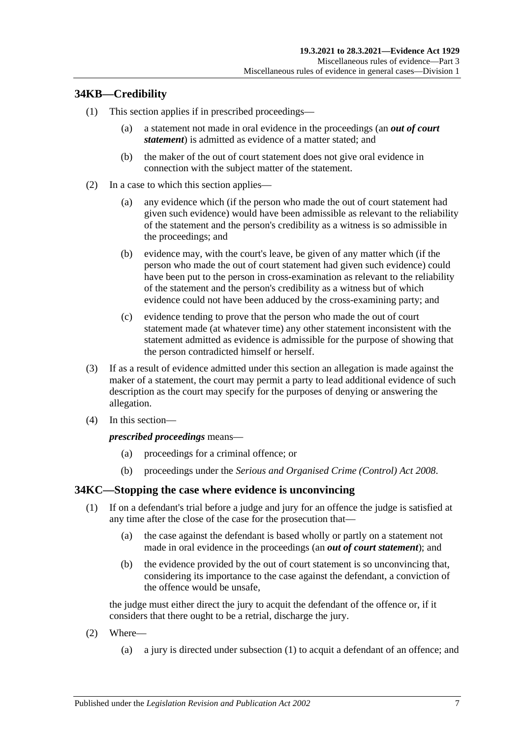# **34KB—Credibility**

- (1) This section applies if in prescribed proceedings—
	- (a) a statement not made in oral evidence in the proceedings (an *out of court statement*) is admitted as evidence of a matter stated; and
	- (b) the maker of the out of court statement does not give oral evidence in connection with the subject matter of the statement.
- (2) In a case to which this section applies—
	- (a) any evidence which (if the person who made the out of court statement had given such evidence) would have been admissible as relevant to the reliability of the statement and the person's credibility as a witness is so admissible in the proceedings; and
	- (b) evidence may, with the court's leave, be given of any matter which (if the person who made the out of court statement had given such evidence) could have been put to the person in cross-examination as relevant to the reliability of the statement and the person's credibility as a witness but of which evidence could not have been adduced by the cross-examining party; and
	- (c) evidence tending to prove that the person who made the out of court statement made (at whatever time) any other statement inconsistent with the statement admitted as evidence is admissible for the purpose of showing that the person contradicted himself or herself.
- (3) If as a result of evidence admitted under this section an allegation is made against the maker of a statement, the court may permit a party to lead additional evidence of such description as the court may specify for the purposes of denying or answering the allegation.
- (4) In this section—

#### *prescribed proceedings* means—

- (a) proceedings for a criminal offence; or
- (b) proceedings under the *[Serious and Organised Crime \(Control\) Act](http://www.legislation.sa.gov.au/index.aspx?action=legref&type=act&legtitle=Serious%20and%20Organised%20Crime%20(Control)%20Act%202008) 2008*.

## <span id="page-42-0"></span>**34KC—Stopping the case where evidence is unconvincing**

- (1) If on a defendant's trial before a judge and jury for an offence the judge is satisfied at any time after the close of the case for the prosecution that—
	- (a) the case against the defendant is based wholly or partly on a statement not made in oral evidence in the proceedings (an *out of court statement*); and
	- (b) the evidence provided by the out of court statement is so unconvincing that, considering its importance to the case against the defendant, a conviction of the offence would be unsafe,

the judge must either direct the jury to acquit the defendant of the offence or, if it considers that there ought to be a retrial, discharge the jury.

- (2) Where—
	- (a) a jury is directed under [subsection](#page-42-0) (1) to acquit a defendant of an offence; and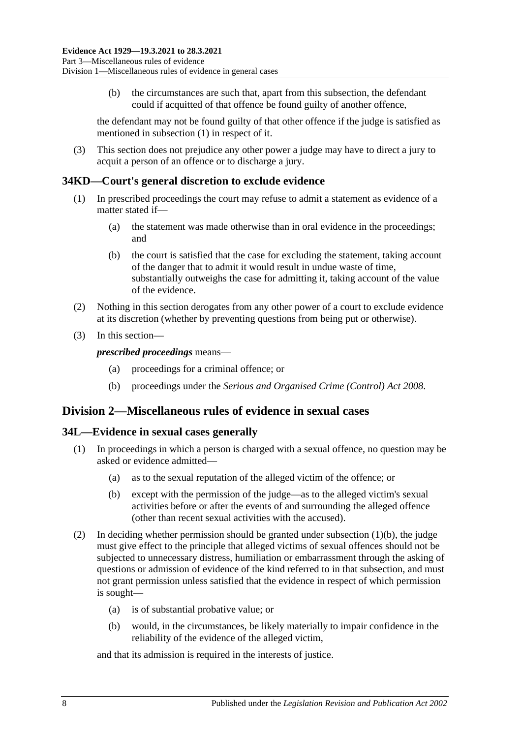(b) the circumstances are such that, apart from this subsection, the defendant could if acquitted of that offence be found guilty of another offence,

the defendant may not be found guilty of that other offence if the judge is satisfied as mentioned in [subsection](#page-42-0) (1) in respect of it.

(3) This section does not prejudice any other power a judge may have to direct a jury to acquit a person of an offence or to discharge a jury.

## **34KD—Court's general discretion to exclude evidence**

- (1) In prescribed proceedings the court may refuse to admit a statement as evidence of a matter stated if—
	- (a) the statement was made otherwise than in oral evidence in the proceedings; and
	- (b) the court is satisfied that the case for excluding the statement, taking account of the danger that to admit it would result in undue waste of time, substantially outweighs the case for admitting it, taking account of the value of the evidence.
- (2) Nothing in this section derogates from any other power of a court to exclude evidence at its discretion (whether by preventing questions from being put or otherwise).
- (3) In this section—

*prescribed proceedings* means—

- (a) proceedings for a criminal offence; or
- (b) proceedings under the *[Serious and Organised Crime \(Control\) Act](http://www.legislation.sa.gov.au/index.aspx?action=legref&type=act&legtitle=Serious%20and%20Organised%20Crime%20(Control)%20Act%202008) 2008*.

# **Division 2—Miscellaneous rules of evidence in sexual cases**

#### **34L—Evidence in sexual cases generally**

- <span id="page-43-0"></span>(1) In proceedings in which a person is charged with a sexual offence, no question may be asked or evidence admitted—
	- (a) as to the sexual reputation of the alleged victim of the offence; or
	- (b) except with the permission of the judge—as to the alleged victim's sexual activities before or after the events of and surrounding the alleged offence (other than recent sexual activities with the accused).
- (2) In deciding whether permission should be granted under [subsection](#page-43-0) (1)(b), the judge must give effect to the principle that alleged victims of sexual offences should not be subjected to unnecessary distress, humiliation or embarrassment through the asking of questions or admission of evidence of the kind referred to in that subsection, and must not grant permission unless satisfied that the evidence in respect of which permission is sought—
	- (a) is of substantial probative value; or
	- (b) would, in the circumstances, be likely materially to impair confidence in the reliability of the evidence of the alleged victim,

and that its admission is required in the interests of justice.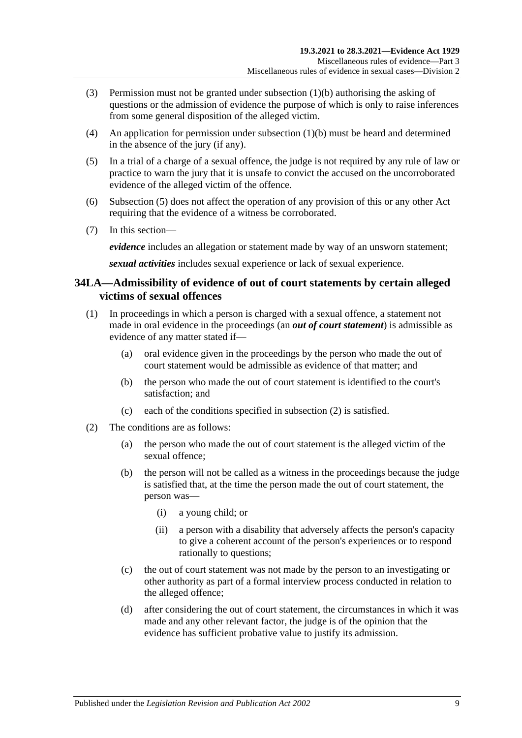- (3) Permission must not be granted unde[r subsection](#page-43-0) (1)(b) authorising the asking of questions or the admission of evidence the purpose of which is only to raise inferences from some general disposition of the alleged victim.
- (4) An application for permission under [subsection](#page-43-0) (1)(b) must be heard and determined in the absence of the jury (if any).
- <span id="page-44-0"></span>(5) In a trial of a charge of a sexual offence, the judge is not required by any rule of law or practice to warn the jury that it is unsafe to convict the accused on the uncorroborated evidence of the alleged victim of the offence.
- (6) [Subsection](#page-44-0) (5) does not affect the operation of any provision of this or any other Act requiring that the evidence of a witness be corroborated.
- (7) In this section—

*evidence* includes an allegation or statement made by way of an unsworn statement;

*sexual activities* includes sexual experience or lack of sexual experience.

# **34LA—Admissibility of evidence of out of court statements by certain alleged victims of sexual offences**

- (1) In proceedings in which a person is charged with a sexual offence, a statement not made in oral evidence in the proceedings (an *out of court statement*) is admissible as evidence of any matter stated if—
	- (a) oral evidence given in the proceedings by the person who made the out of court statement would be admissible as evidence of that matter; and
	- (b) the person who made the out of court statement is identified to the court's satisfaction; and
	- (c) each of the conditions specified in [subsection](#page-44-1) (2) is satisfied.
- <span id="page-44-2"></span><span id="page-44-1"></span>(2) The conditions are as follows:
	- (a) the person who made the out of court statement is the alleged victim of the sexual offence;
	- (b) the person will not be called as a witness in the proceedings because the judge is satisfied that, at the time the person made the out of court statement, the person was—
		- (i) a young child; or
		- (ii) a person with a disability that adversely affects the person's capacity to give a coherent account of the person's experiences or to respond rationally to questions;
	- (c) the out of court statement was not made by the person to an investigating or other authority as part of a formal interview process conducted in relation to the alleged offence;
	- (d) after considering the out of court statement, the circumstances in which it was made and any other relevant factor, the judge is of the opinion that the evidence has sufficient probative value to justify its admission.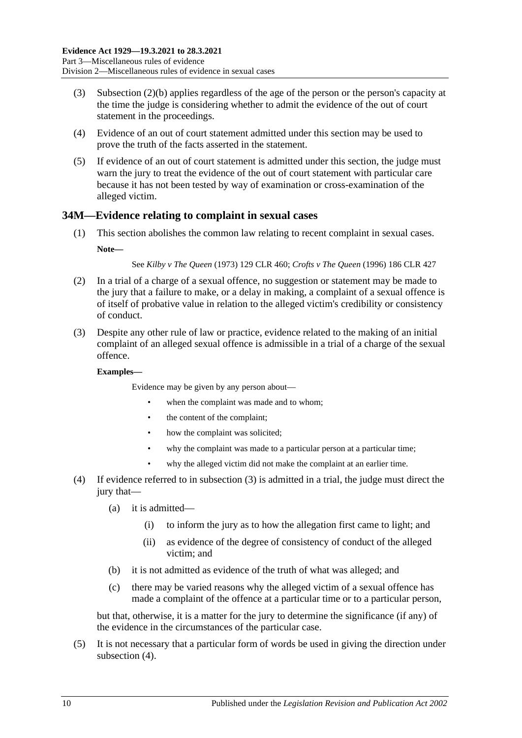- (3) [Subsection \(2\)\(b\)](#page-44-2) applies regardless of the age of the person or the person's capacity at the time the judge is considering whether to admit the evidence of the out of court statement in the proceedings.
- (4) Evidence of an out of court statement admitted under this section may be used to prove the truth of the facts asserted in the statement.
- (5) If evidence of an out of court statement is admitted under this section, the judge must warn the jury to treat the evidence of the out of court statement with particular care because it has not been tested by way of examination or cross-examination of the alleged victim.

## **34M—Evidence relating to complaint in sexual cases**

(1) This section abolishes the common law relating to recent complaint in sexual cases. **Note—**

See *Kilby v The Queen* (1973) 129 CLR 460; *Crofts v The Queen* (1996) 186 CLR 427

- (2) In a trial of a charge of a sexual offence, no suggestion or statement may be made to the jury that a failure to make, or a delay in making, a complaint of a sexual offence is of itself of probative value in relation to the alleged victim's credibility or consistency of conduct.
- <span id="page-45-0"></span>(3) Despite any other rule of law or practice, evidence related to the making of an initial complaint of an alleged sexual offence is admissible in a trial of a charge of the sexual offence.

#### **Examples—**

Evidence may be given by any person about—

- when the complaint was made and to whom;
- the content of the complaint;
- how the complaint was solicited;
- why the complaint was made to a particular person at a particular time;
- why the alleged victim did not make the complaint at an earlier time.
- <span id="page-45-1"></span>(4) If evidence referred to in [subsection](#page-45-0) (3) is admitted in a trial, the judge must direct the jury that—
	- (a) it is admitted—
		- (i) to inform the jury as to how the allegation first came to light; and
		- (ii) as evidence of the degree of consistency of conduct of the alleged victim; and
	- (b) it is not admitted as evidence of the truth of what was alleged; and
	- (c) there may be varied reasons why the alleged victim of a sexual offence has made a complaint of the offence at a particular time or to a particular person,

but that, otherwise, it is a matter for the jury to determine the significance (if any) of the evidence in the circumstances of the particular case.

(5) It is not necessary that a particular form of words be used in giving the direction under [subsection](#page-45-1)  $(4)$ .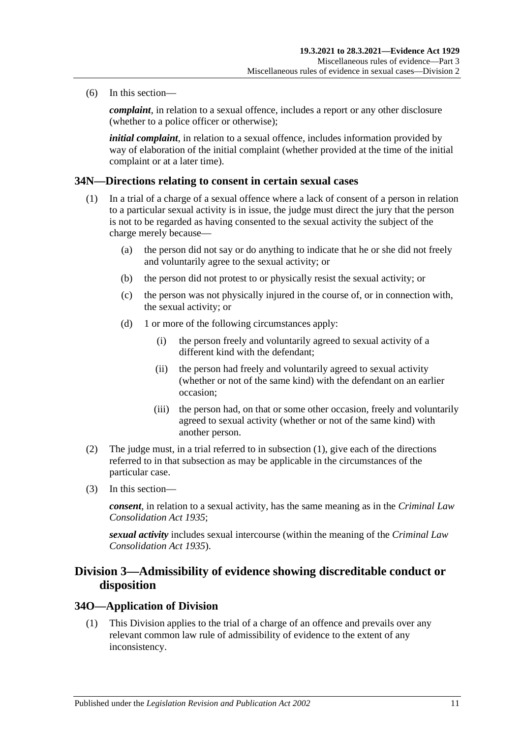(6) In this section—

*complaint*, in relation to a sexual offence, includes a report or any other disclosure (whether to a police officer or otherwise);

*initial complaint*, in relation to a sexual offence, includes information provided by way of elaboration of the initial complaint (whether provided at the time of the initial complaint or at a later time).

## <span id="page-46-0"></span>**34N—Directions relating to consent in certain sexual cases**

- (1) In a trial of a charge of a sexual offence where a lack of consent of a person in relation to a particular sexual activity is in issue, the judge must direct the jury that the person is not to be regarded as having consented to the sexual activity the subject of the charge merely because—
	- (a) the person did not say or do anything to indicate that he or she did not freely and voluntarily agree to the sexual activity; or
	- (b) the person did not protest to or physically resist the sexual activity; or
	- (c) the person was not physically injured in the course of, or in connection with, the sexual activity; or
	- (d) 1 or more of the following circumstances apply:
		- (i) the person freely and voluntarily agreed to sexual activity of a different kind with the defendant;
		- (ii) the person had freely and voluntarily agreed to sexual activity (whether or not of the same kind) with the defendant on an earlier occasion;
		- (iii) the person had, on that or some other occasion, freely and voluntarily agreed to sexual activity (whether or not of the same kind) with another person.
- (2) The judge must, in a trial referred to in [subsection](#page-46-0) (1), give each of the directions referred to in that subsection as may be applicable in the circumstances of the particular case.
- (3) In this section—

*consent*, in relation to a sexual activity, has the same meaning as in the *[Criminal Law](http://www.legislation.sa.gov.au/index.aspx?action=legref&type=act&legtitle=Criminal%20Law%20Consolidation%20Act%201935)  [Consolidation Act](http://www.legislation.sa.gov.au/index.aspx?action=legref&type=act&legtitle=Criminal%20Law%20Consolidation%20Act%201935) 1935*;

*sexual activity* includes sexual intercourse (within the meaning of the *[Criminal Law](http://www.legislation.sa.gov.au/index.aspx?action=legref&type=act&legtitle=Criminal%20Law%20Consolidation%20Act%201935)  [Consolidation Act](http://www.legislation.sa.gov.au/index.aspx?action=legref&type=act&legtitle=Criminal%20Law%20Consolidation%20Act%201935) 1935*).

# **Division 3—Admissibility of evidence showing discreditable conduct or disposition**

## **34O—Application of Division**

(1) This Division applies to the trial of a charge of an offence and prevails over any relevant common law rule of admissibility of evidence to the extent of any inconsistency.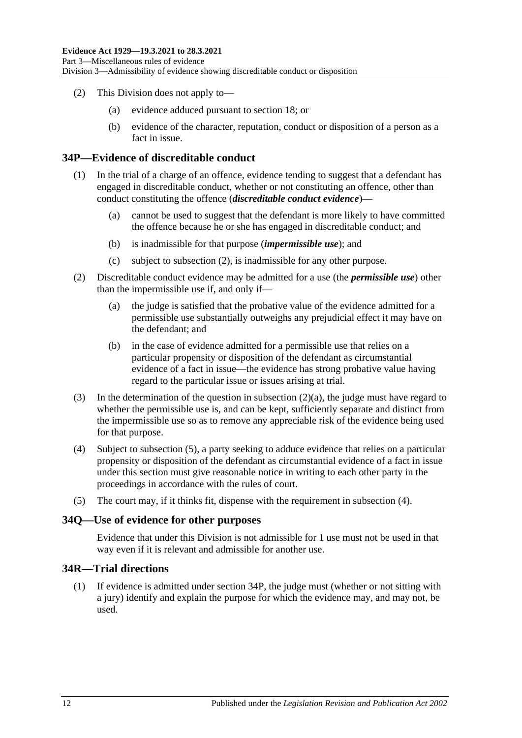- (2) This Division does not apply to—
	- (a) evidence adduced pursuant to [section](#page-29-0) 18; or
	- (b) evidence of the character, reputation, conduct or disposition of a person as a fact in issue.

### <span id="page-47-4"></span>**34P—Evidence of discreditable conduct**

- (1) In the trial of a charge of an offence, evidence tending to suggest that a defendant has engaged in discreditable conduct, whether or not constituting an offence, other than conduct constituting the offence (*discreditable conduct evidence*)—
	- (a) cannot be used to suggest that the defendant is more likely to have committed the offence because he or she has engaged in discreditable conduct; and
	- (b) is inadmissible for that purpose (*impermissible use*); and
	- (c) subject to [subsection](#page-47-0) (2), is inadmissible for any other purpose.
- <span id="page-47-1"></span><span id="page-47-0"></span>(2) Discreditable conduct evidence may be admitted for a use (the *permissible use*) other than the impermissible use if, and only if—
	- (a) the judge is satisfied that the probative value of the evidence admitted for a permissible use substantially outweighs any prejudicial effect it may have on the defendant; and
	- (b) in the case of evidence admitted for a permissible use that relies on a particular propensity or disposition of the defendant as circumstantial evidence of a fact in issue—the evidence has strong probative value having regard to the particular issue or issues arising at trial.
- (3) In the determination of the question in [subsection](#page-47-1) (2)(a), the judge must have regard to whether the permissible use is, and can be kept, sufficiently separate and distinct from the impermissible use so as to remove any appreciable risk of the evidence being used for that purpose.
- <span id="page-47-3"></span>(4) Subject to [subsection](#page-47-2) (5), a party seeking to adduce evidence that relies on a particular propensity or disposition of the defendant as circumstantial evidence of a fact in issue under this section must give reasonable notice in writing to each other party in the proceedings in accordance with the rules of court.
- <span id="page-47-2"></span>(5) The court may, if it thinks fit, dispense with the requirement in [subsection](#page-47-3) (4).

#### **34Q—Use of evidence for other purposes**

Evidence that under this Division is not admissible for 1 use must not be used in that way even if it is relevant and admissible for another use.

## **34R—Trial directions**

(1) If evidence is admitted under [section](#page-47-4) 34P, the judge must (whether or not sitting with a jury) identify and explain the purpose for which the evidence may, and may not, be used.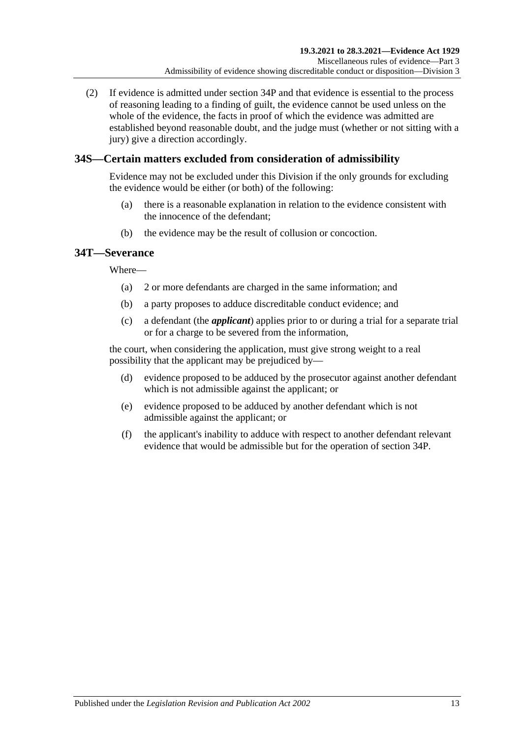(2) If evidence is admitted under [section](#page-47-4) 34P and that evidence is essential to the process of reasoning leading to a finding of guilt, the evidence cannot be used unless on the whole of the evidence, the facts in proof of which the evidence was admitted are established beyond reasonable doubt, and the judge must (whether or not sitting with a jury) give a direction accordingly.

# **34S—Certain matters excluded from consideration of admissibility**

Evidence may not be excluded under this Division if the only grounds for excluding the evidence would be either (or both) of the following:

- (a) there is a reasonable explanation in relation to the evidence consistent with the innocence of the defendant;
- (b) the evidence may be the result of collusion or concoction.

# **34T—Severance**

Where—

- (a) 2 or more defendants are charged in the same information; and
- (b) a party proposes to adduce discreditable conduct evidence; and
- (c) a defendant (the *applicant*) applies prior to or during a trial for a separate trial or for a charge to be severed from the information,

the court, when considering the application, must give strong weight to a real possibility that the applicant may be prejudiced by—

- (d) evidence proposed to be adduced by the prosecutor against another defendant which is not admissible against the applicant; or
- (e) evidence proposed to be adduced by another defendant which is not admissible against the applicant; or
- (f) the applicant's inability to adduce with respect to another defendant relevant evidence that would be admissible but for the operation of [section](#page-47-4) 34P.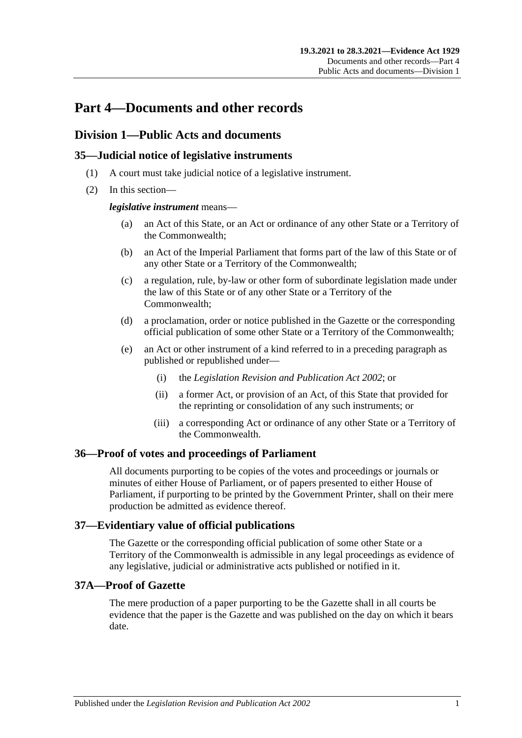# **Part 4—Documents and other records**

# **Division 1—Public Acts and documents**

# **35—Judicial notice of legislative instruments**

- (1) A court must take judicial notice of a legislative instrument.
- (2) In this section—

### *legislative instrument* means—

- (a) an Act of this State, or an Act or ordinance of any other State or a Territory of the Commonwealth;
- (b) an Act of the Imperial Parliament that forms part of the law of this State or of any other State or a Territory of the Commonwealth;
- (c) a regulation, rule, by-law or other form of subordinate legislation made under the law of this State or of any other State or a Territory of the Commonwealth;
- (d) a proclamation, order or notice published in the Gazette or the corresponding official publication of some other State or a Territory of the Commonwealth;
- (e) an Act or other instrument of a kind referred to in a preceding paragraph as published or republished under—
	- (i) the *[Legislation Revision and Publication Act](http://www.legislation.sa.gov.au/index.aspx?action=legref&type=act&legtitle=Legislation%20Revision%20and%20Publication%20Act%202002) 2002*; or
	- (ii) a former Act, or provision of an Act, of this State that provided for the reprinting or consolidation of any such instruments; or
	- (iii) a corresponding Act or ordinance of any other State or a Territory of the Commonwealth.

## **36—Proof of votes and proceedings of Parliament**

All documents purporting to be copies of the votes and proceedings or journals or minutes of either House of Parliament, or of papers presented to either House of Parliament, if purporting to be printed by the Government Printer, shall on their mere production be admitted as evidence thereof.

## **37—Evidentiary value of official publications**

The Gazette or the corresponding official publication of some other State or a Territory of the Commonwealth is admissible in any legal proceedings as evidence of any legislative, judicial or administrative acts published or notified in it.

## **37A—Proof of Gazette**

The mere production of a paper purporting to be the Gazette shall in all courts be evidence that the paper is the Gazette and was published on the day on which it bears date.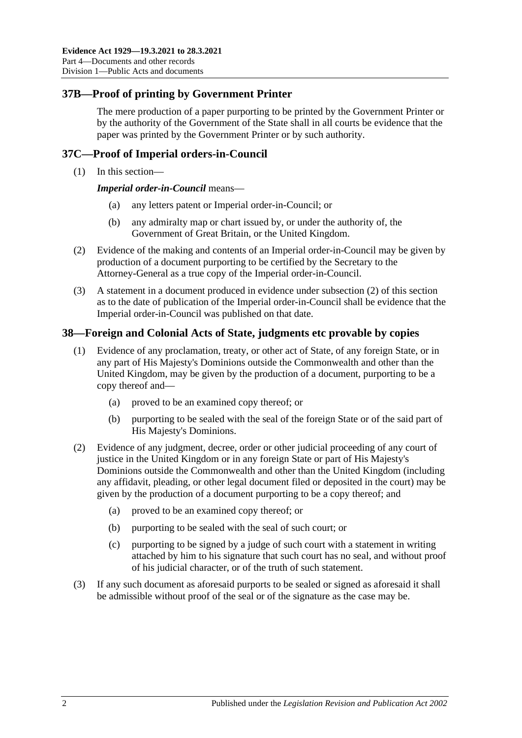# **37B—Proof of printing by Government Printer**

The mere production of a paper purporting to be printed by the Government Printer or by the authority of the Government of the State shall in all courts be evidence that the paper was printed by the Government Printer or by such authority.

# **37C—Proof of Imperial orders-in-Council**

(1) In this section—

*Imperial order-in-Council* means—

- (a) any letters patent or Imperial order-in-Council; or
- (b) any admiralty map or chart issued by, or under the authority of, the Government of Great Britain, or the United Kingdom.
- <span id="page-51-0"></span>(2) Evidence of the making and contents of an Imperial order-in-Council may be given by production of a document purporting to be certified by the Secretary to the Attorney-General as a true copy of the Imperial order-in-Council.
- (3) A statement in a document produced in evidence under [subsection](#page-51-0) (2) of this section as to the date of publication of the Imperial order-in-Council shall be evidence that the Imperial order-in-Council was published on that date.

## **38—Foreign and Colonial Acts of State, judgments etc provable by copies**

- (1) Evidence of any proclamation, treaty, or other act of State, of any foreign State, or in any part of His Majesty's Dominions outside the Commonwealth and other than the United Kingdom, may be given by the production of a document, purporting to be a copy thereof and—
	- (a) proved to be an examined copy thereof; or
	- (b) purporting to be sealed with the seal of the foreign State or of the said part of His Majesty's Dominions.
- (2) Evidence of any judgment, decree, order or other judicial proceeding of any court of justice in the United Kingdom or in any foreign State or part of His Majesty's Dominions outside the Commonwealth and other than the United Kingdom (including any affidavit, pleading, or other legal document filed or deposited in the court) may be given by the production of a document purporting to be a copy thereof; and
	- (a) proved to be an examined copy thereof; or
	- (b) purporting to be sealed with the seal of such court; or
	- (c) purporting to be signed by a judge of such court with a statement in writing attached by him to his signature that such court has no seal, and without proof of his judicial character, or of the truth of such statement.
- (3) If any such document as aforesaid purports to be sealed or signed as aforesaid it shall be admissible without proof of the seal or of the signature as the case may be.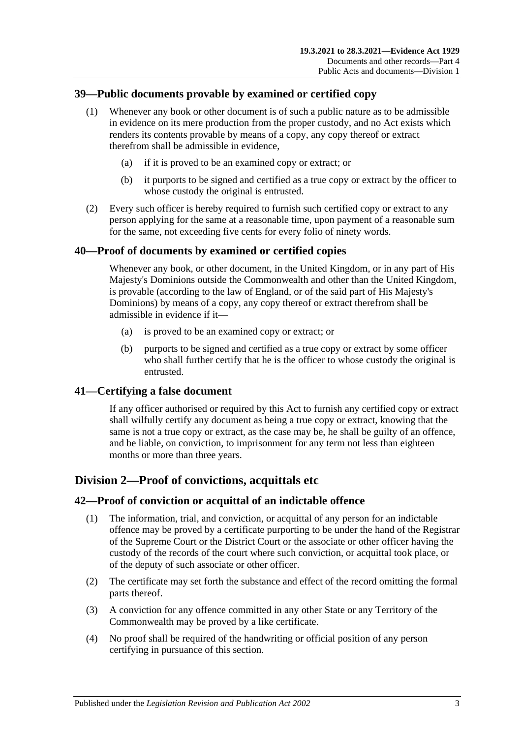# **39—Public documents provable by examined or certified copy**

- (1) Whenever any book or other document is of such a public nature as to be admissible in evidence on its mere production from the proper custody, and no Act exists which renders its contents provable by means of a copy, any copy thereof or extract therefrom shall be admissible in evidence,
	- (a) if it is proved to be an examined copy or extract; or
	- (b) it purports to be signed and certified as a true copy or extract by the officer to whose custody the original is entrusted.
- (2) Every such officer is hereby required to furnish such certified copy or extract to any person applying for the same at a reasonable time, upon payment of a reasonable sum for the same, not exceeding five cents for every folio of ninety words.

## **40—Proof of documents by examined or certified copies**

Whenever any book, or other document, in the United Kingdom, or in any part of His Majesty's Dominions outside the Commonwealth and other than the United Kingdom, is provable (according to the law of England, or of the said part of His Majesty's Dominions) by means of a copy, any copy thereof or extract therefrom shall be admissible in evidence if it—

- (a) is proved to be an examined copy or extract; or
- (b) purports to be signed and certified as a true copy or extract by some officer who shall further certify that he is the officer to whose custody the original is entrusted.

#### **41—Certifying a false document**

If any officer authorised or required by this Act to furnish any certified copy or extract shall wilfully certify any document as being a true copy or extract, knowing that the same is not a true copy or extract, as the case may be, he shall be guilty of an offence, and be liable, on conviction, to imprisonment for any term not less than eighteen months or more than three years.

## **Division 2—Proof of convictions, acquittals etc**

#### **42—Proof of conviction or acquittal of an indictable offence**

- (1) The information, trial, and conviction, or acquittal of any person for an indictable offence may be proved by a certificate purporting to be under the hand of the Registrar of the Supreme Court or the District Court or the associate or other officer having the custody of the records of the court where such conviction, or acquittal took place, or of the deputy of such associate or other officer.
- (2) The certificate may set forth the substance and effect of the record omitting the formal parts thereof.
- (3) A conviction for any offence committed in any other State or any Territory of the Commonwealth may be proved by a like certificate.
- (4) No proof shall be required of the handwriting or official position of any person certifying in pursuance of this section.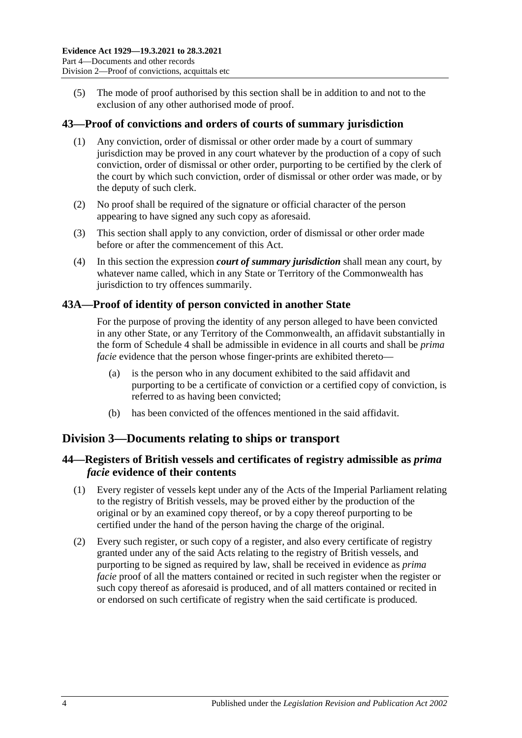(5) The mode of proof authorised by this section shall be in addition to and not to the exclusion of any other authorised mode of proof.

## **43—Proof of convictions and orders of courts of summary jurisdiction**

- (1) Any conviction, order of dismissal or other order made by a court of summary jurisdiction may be proved in any court whatever by the production of a copy of such conviction, order of dismissal or other order, purporting to be certified by the clerk of the court by which such conviction, order of dismissal or other order was made, or by the deputy of such clerk.
- (2) No proof shall be required of the signature or official character of the person appearing to have signed any such copy as aforesaid.
- (3) This section shall apply to any conviction, order of dismissal or other order made before or after the commencement of this Act.
- (4) In this section the expression *court of summary jurisdiction* shall mean any court, by whatever name called, which in any State or Territory of the Commonwealth has jurisdiction to try offences summarily.

### **43A—Proof of identity of person convicted in another State**

For the purpose of proving the identity of any person alleged to have been convicted in any other State, or any Territory of the Commonwealth, an affidavit substantially in the form of [Schedule 4](#page-101-0) shall be admissible in evidence in all courts and shall be *prima facie* evidence that the person whose finger-prints are exhibited thereto—

- (a) is the person who in any document exhibited to the said affidavit and purporting to be a certificate of conviction or a certified copy of conviction, is referred to as having been convicted;
- (b) has been convicted of the offences mentioned in the said affidavit.

# **Division 3—Documents relating to ships or transport**

# **44—Registers of British vessels and certificates of registry admissible as** *prima facie* **evidence of their contents**

- (1) Every register of vessels kept under any of the Acts of the Imperial Parliament relating to the registry of British vessels, may be proved either by the production of the original or by an examined copy thereof, or by a copy thereof purporting to be certified under the hand of the person having the charge of the original.
- (2) Every such register, or such copy of a register, and also every certificate of registry granted under any of the said Acts relating to the registry of British vessels, and purporting to be signed as required by law, shall be received in evidence as *prima facie* proof of all the matters contained or recited in such register when the register or such copy thereof as aforesaid is produced, and of all matters contained or recited in or endorsed on such certificate of registry when the said certificate is produced.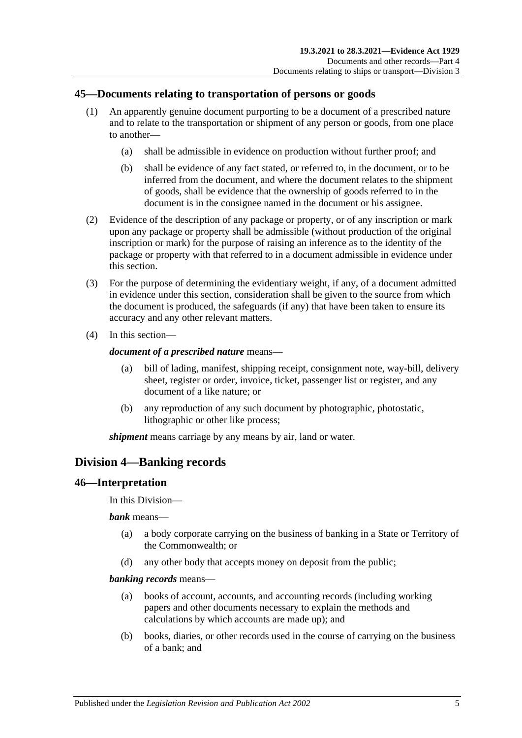# **45—Documents relating to transportation of persons or goods**

- (1) An apparently genuine document purporting to be a document of a prescribed nature and to relate to the transportation or shipment of any person or goods, from one place to another—
	- (a) shall be admissible in evidence on production without further proof; and
	- (b) shall be evidence of any fact stated, or referred to, in the document, or to be inferred from the document, and where the document relates to the shipment of goods, shall be evidence that the ownership of goods referred to in the document is in the consignee named in the document or his assignee.
- (2) Evidence of the description of any package or property, or of any inscription or mark upon any package or property shall be admissible (without production of the original inscription or mark) for the purpose of raising an inference as to the identity of the package or property with that referred to in a document admissible in evidence under this section.
- (3) For the purpose of determining the evidentiary weight, if any, of a document admitted in evidence under this section, consideration shall be given to the source from which the document is produced, the safeguards (if any) that have been taken to ensure its accuracy and any other relevant matters.
- (4) In this section—

#### *document of a prescribed nature* means—

- (a) bill of lading, manifest, shipping receipt, consignment note, way-bill, delivery sheet, register or order, invoice, ticket, passenger list or register, and any document of a like nature; or
- (b) any reproduction of any such document by photographic, photostatic, lithographic or other like process;

*shipment* means carriage by any means by air, land or water.

# **Division 4—Banking records**

## **46—Interpretation**

In this Division—

*bank* means—

- (a) a body corporate carrying on the business of banking in a State or Territory of the Commonwealth; or
- (d) any other body that accepts money on deposit from the public;

#### *banking records* means—

- (a) books of account, accounts, and accounting records (including working papers and other documents necessary to explain the methods and calculations by which accounts are made up); and
- (b) books, diaries, or other records used in the course of carrying on the business of a bank; and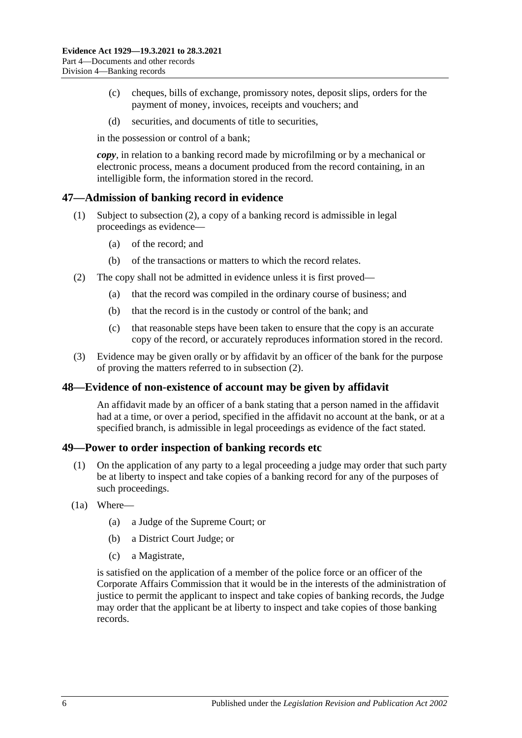- (c) cheques, bills of exchange, promissory notes, deposit slips, orders for the payment of money, invoices, receipts and vouchers; and
- (d) securities, and documents of title to securities,

in the possession or control of a bank;

*copy*, in relation to a banking record made by microfilming or by a mechanical or electronic process, means a document produced from the record containing, in an intelligible form, the information stored in the record.

### **47—Admission of banking record in evidence**

- (1) Subject to [subsection](#page-55-0) (2), a copy of a banking record is admissible in legal proceedings as evidence—
	- (a) of the record; and
	- (b) of the transactions or matters to which the record relates.
- <span id="page-55-0"></span>(2) The copy shall not be admitted in evidence unless it is first proved—
	- (a) that the record was compiled in the ordinary course of business; and
	- (b) that the record is in the custody or control of the bank; and
	- (c) that reasonable steps have been taken to ensure that the copy is an accurate copy of the record, or accurately reproduces information stored in the record.
- (3) Evidence may be given orally or by affidavit by an officer of the bank for the purpose of proving the matters referred to in [subsection](#page-55-0) (2).

#### **48—Evidence of non-existence of account may be given by affidavit**

An affidavit made by an officer of a bank stating that a person named in the affidavit had at a time, or over a period, specified in the affidavit no account at the bank, or at a specified branch, is admissible in legal proceedings as evidence of the fact stated.

#### **49—Power to order inspection of banking records etc**

- (1) On the application of any party to a legal proceeding a judge may order that such party be at liberty to inspect and take copies of a banking record for any of the purposes of such proceedings.
- <span id="page-55-1"></span>(1a) Where—
	- (a) a Judge of the Supreme Court; or
	- (b) a District Court Judge; or
	- (c) a Magistrate,

is satisfied on the application of a member of the police force or an officer of the Corporate Affairs Commission that it would be in the interests of the administration of justice to permit the applicant to inspect and take copies of banking records, the Judge may order that the applicant be at liberty to inspect and take copies of those banking records.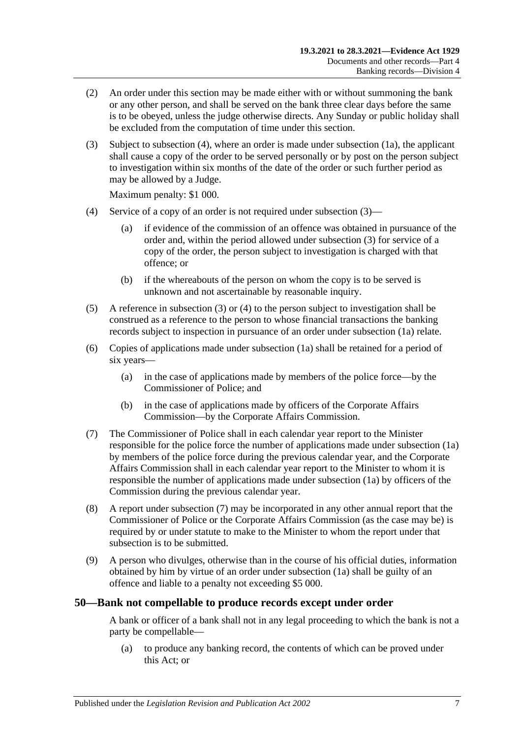- (2) An order under this section may be made either with or without summoning the bank or any other person, and shall be served on the bank three clear days before the same is to be obeyed, unless the judge otherwise directs. Any Sunday or public holiday shall be excluded from the computation of time under this section.
- <span id="page-56-1"></span>(3) Subject to [subsection](#page-56-0) (4), where an order is made under [subsection](#page-55-1) (1a), the applicant shall cause a copy of the order to be served personally or by post on the person subject to investigation within six months of the date of the order or such further period as may be allowed by a Judge.

Maximum penalty: \$1 000.

- <span id="page-56-0"></span>(4) Service of a copy of an order is not required under [subsection](#page-56-1) (3)—
	- (a) if evidence of the commission of an offence was obtained in pursuance of the order and, within the period allowed under [subsection](#page-56-1) (3) for service of a copy of the order, the person subject to investigation is charged with that offence; or
	- (b) if the whereabouts of the person on whom the copy is to be served is unknown and not ascertainable by reasonable inquiry.
- (5) A reference in [subsection](#page-56-1) (3) or [\(4\)](#page-56-0) to the person subject to investigation shall be construed as a reference to the person to whose financial transactions the banking records subject to inspection in pursuance of an order under [subsection](#page-55-1) (1a) relate.
- (6) Copies of applications made under [subsection](#page-55-1) (1a) shall be retained for a period of six years—
	- (a) in the case of applications made by members of the police force—by the Commissioner of Police; and
	- (b) in the case of applications made by officers of the Corporate Affairs Commission—by the Corporate Affairs Commission.
- <span id="page-56-2"></span>(7) The Commissioner of Police shall in each calendar year report to the Minister responsible for the police force the number of applications made under [subsection](#page-55-1) (1a) by members of the police force during the previous calendar year, and the Corporate Affairs Commission shall in each calendar year report to the Minister to whom it is responsible the number of applications made unde[r subsection](#page-55-1) (1a) by officers of the Commission during the previous calendar year.
- (8) A report under [subsection](#page-56-2) (7) may be incorporated in any other annual report that the Commissioner of Police or the Corporate Affairs Commission (as the case may be) is required by or under statute to make to the Minister to whom the report under that subsection is to be submitted.
- (9) A person who divulges, otherwise than in the course of his official duties, information obtained by him by virtue of an order under [subsection](#page-55-1) (1a) shall be guilty of an offence and liable to a penalty not exceeding \$5 000.

#### **50—Bank not compellable to produce records except under order**

A bank or officer of a bank shall not in any legal proceeding to which the bank is not a party be compellable—

(a) to produce any banking record, the contents of which can be proved under this Act; or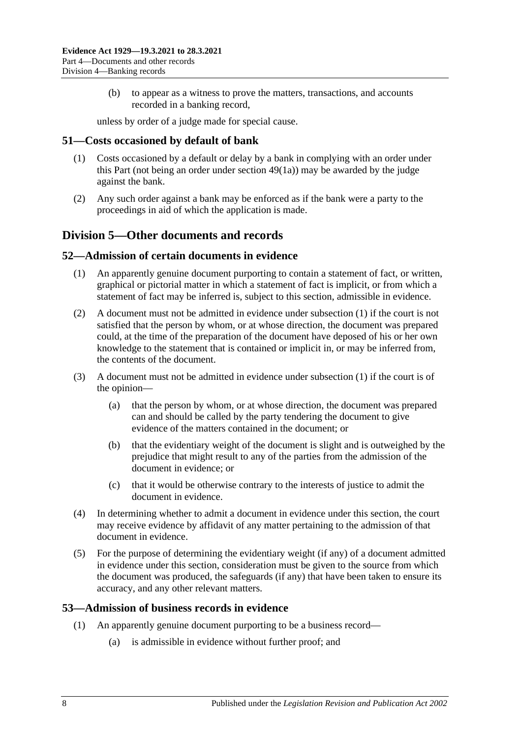(b) to appear as a witness to prove the matters, transactions, and accounts recorded in a banking record,

unless by order of a judge made for special cause.

## **51—Costs occasioned by default of bank**

- (1) Costs occasioned by a default or delay by a bank in complying with an order under this Part (not being an order under [section](#page-55-1) 49(1a)) may be awarded by the judge against the bank.
- (2) Any such order against a bank may be enforced as if the bank were a party to the proceedings in aid of which the application is made.

# **Division 5—Other documents and records**

#### <span id="page-57-0"></span>**52—Admission of certain documents in evidence**

- (1) An apparently genuine document purporting to contain a statement of fact, or written, graphical or pictorial matter in which a statement of fact is implicit, or from which a statement of fact may be inferred is, subject to this section, admissible in evidence.
- (2) A document must not be admitted in evidence under [subsection](#page-57-0) (1) if the court is not satisfied that the person by whom, or at whose direction, the document was prepared could, at the time of the preparation of the document have deposed of his or her own knowledge to the statement that is contained or implicit in, or may be inferred from, the contents of the document.
- (3) A document must not be admitted in evidence under [subsection](#page-57-0) (1) if the court is of the opinion—
	- (a) that the person by whom, or at whose direction, the document was prepared can and should be called by the party tendering the document to give evidence of the matters contained in the document; or
	- (b) that the evidentiary weight of the document is slight and is outweighed by the prejudice that might result to any of the parties from the admission of the document in evidence; or
	- (c) that it would be otherwise contrary to the interests of justice to admit the document in evidence.
- (4) In determining whether to admit a document in evidence under this section, the court may receive evidence by affidavit of any matter pertaining to the admission of that document in evidence.
- (5) For the purpose of determining the evidentiary weight (if any) of a document admitted in evidence under this section, consideration must be given to the source from which the document was produced, the safeguards (if any) that have been taken to ensure its accuracy, and any other relevant matters.

## <span id="page-57-1"></span>**53—Admission of business records in evidence**

- (1) An apparently genuine document purporting to be a business record—
	- (a) is admissible in evidence without further proof; and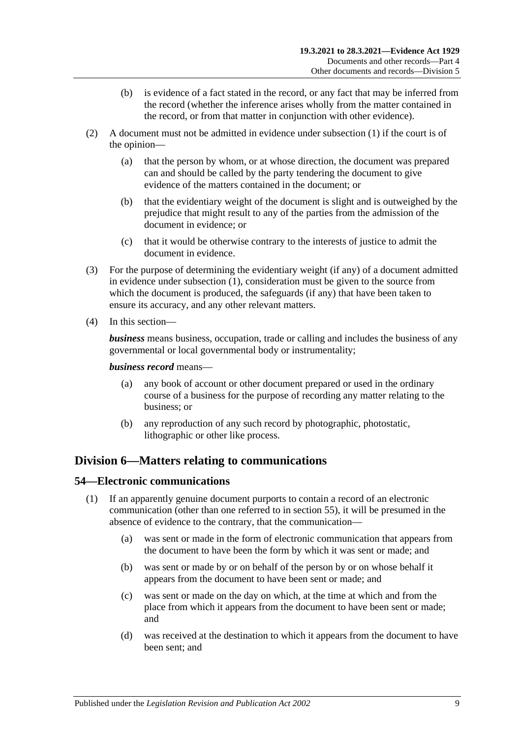- (b) is evidence of a fact stated in the record, or any fact that may be inferred from the record (whether the inference arises wholly from the matter contained in the record, or from that matter in conjunction with other evidence).
- (2) A document must not be admitted in evidence under [subsection](#page-57-1) (1) if the court is of the opinion—
	- (a) that the person by whom, or at whose direction, the document was prepared can and should be called by the party tendering the document to give evidence of the matters contained in the document; or
	- (b) that the evidentiary weight of the document is slight and is outweighed by the prejudice that might result to any of the parties from the admission of the document in evidence; or
	- (c) that it would be otherwise contrary to the interests of justice to admit the document in evidence.
- (3) For the purpose of determining the evidentiary weight (if any) of a document admitted in evidence under [subsection](#page-57-1) (1), consideration must be given to the source from which the document is produced, the safeguards (if any) that have been taken to ensure its accuracy, and any other relevant matters.
- (4) In this section—

*business* means business, occupation, trade or calling and includes the business of any governmental or local governmental body or instrumentality;

#### *business record* means—

- (a) any book of account or other document prepared or used in the ordinary course of a business for the purpose of recording any matter relating to the business; or
- (b) any reproduction of any such record by photographic, photostatic, lithographic or other like process.

# **Division 6—Matters relating to communications**

#### <span id="page-58-0"></span>**54—Electronic communications**

- (1) If an apparently genuine document purports to contain a record of an electronic communication (other than one referred to in [section](#page-59-0) 55), it will be presumed in the absence of evidence to the contrary, that the communication—
	- (a) was sent or made in the form of electronic communication that appears from the document to have been the form by which it was sent or made; and
	- (b) was sent or made by or on behalf of the person by or on whose behalf it appears from the document to have been sent or made; and
	- (c) was sent or made on the day on which, at the time at which and from the place from which it appears from the document to have been sent or made; and
	- (d) was received at the destination to which it appears from the document to have been sent; and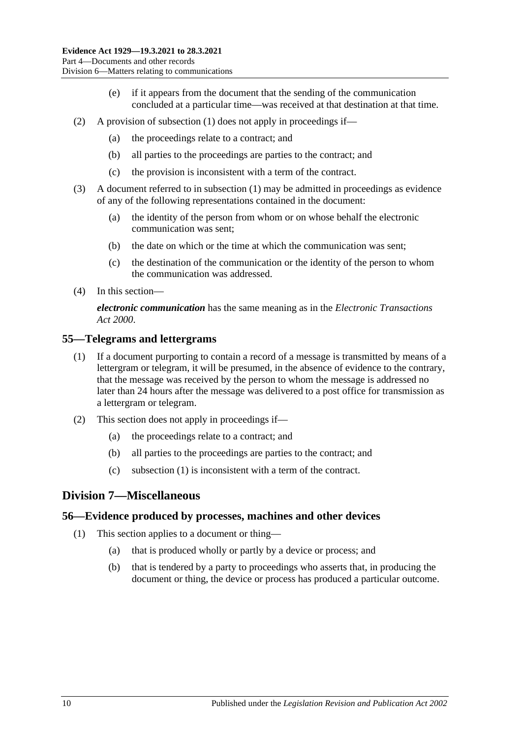- (e) if it appears from the document that the sending of the communication concluded at a particular time—was received at that destination at that time.
- (2) A provision of [subsection](#page-58-0) (1) does not apply in proceedings if—
	- (a) the proceedings relate to a contract; and
	- (b) all parties to the proceedings are parties to the contract; and
	- (c) the provision is inconsistent with a term of the contract.
- (3) A document referred to in [subsection](#page-58-0) (1) may be admitted in proceedings as evidence of any of the following representations contained in the document:
	- (a) the identity of the person from whom or on whose behalf the electronic communication was sent;
	- (b) the date on which or the time at which the communication was sent;
	- (c) the destination of the communication or the identity of the person to whom the communication was addressed.
- (4) In this section—

*electronic communication* has the same meaning as in the *[Electronic Transactions](http://www.legislation.sa.gov.au/index.aspx?action=legref&type=act&legtitle=Electronic%20Transactions%20Act%202000)  Act [2000](http://www.legislation.sa.gov.au/index.aspx?action=legref&type=act&legtitle=Electronic%20Transactions%20Act%202000)*.

#### <span id="page-59-1"></span><span id="page-59-0"></span>**55—Telegrams and lettergrams**

- (1) If a document purporting to contain a record of a message is transmitted by means of a lettergram or telegram, it will be presumed, in the absence of evidence to the contrary, that the message was received by the person to whom the message is addressed no later than 24 hours after the message was delivered to a post office for transmission as a lettergram or telegram.
- (2) This section does not apply in proceedings if—
	- (a) the proceedings relate to a contract; and
	- (b) all parties to the proceedings are parties to the contract; and
	- (c) [subsection \(1\)](#page-59-1) is inconsistent with a term of the contract.

## **Division 7—Miscellaneous**

#### **56—Evidence produced by processes, machines and other devices**

- (1) This section applies to a document or thing—
	- (a) that is produced wholly or partly by a device or process; and
	- (b) that is tendered by a party to proceedings who asserts that, in producing the document or thing, the device or process has produced a particular outcome.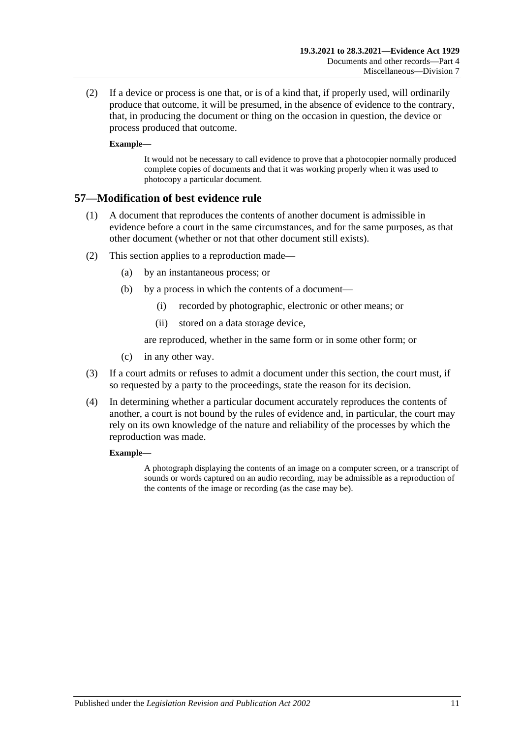(2) If a device or process is one that, or is of a kind that, if properly used, will ordinarily produce that outcome, it will be presumed, in the absence of evidence to the contrary, that, in producing the document or thing on the occasion in question, the device or process produced that outcome.

#### **Example—**

It would not be necessary to call evidence to prove that a photocopier normally produced complete copies of documents and that it was working properly when it was used to photocopy a particular document.

### **57—Modification of best evidence rule**

- (1) A document that reproduces the contents of another document is admissible in evidence before a court in the same circumstances, and for the same purposes, as that other document (whether or not that other document still exists).
- (2) This section applies to a reproduction made—
	- (a) by an instantaneous process; or
	- (b) by a process in which the contents of a document—
		- (i) recorded by photographic, electronic or other means; or
		- (ii) stored on a data storage device,

are reproduced, whether in the same form or in some other form; or

- (c) in any other way.
- (3) If a court admits or refuses to admit a document under this section, the court must, if so requested by a party to the proceedings, state the reason for its decision.
- (4) In determining whether a particular document accurately reproduces the contents of another, a court is not bound by the rules of evidence and, in particular, the court may rely on its own knowledge of the nature and reliability of the processes by which the reproduction was made.

#### **Example—**

A photograph displaying the contents of an image on a computer screen, or a transcript of sounds or words captured on an audio recording, may be admissible as a reproduction of the contents of the image or recording (as the case may be).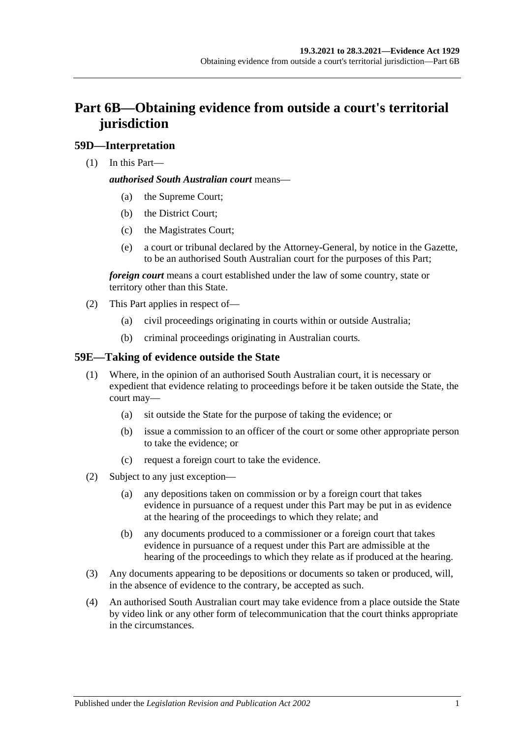# **Part 6B—Obtaining evidence from outside a court's territorial jurisdiction**

# **59D—Interpretation**

(1) In this Part—

#### *authorised South Australian court* means—

- (a) the Supreme Court;
- (b) the District Court;
- (c) the Magistrates Court;
- (e) a court or tribunal declared by the Attorney-General, by notice in the Gazette, to be an authorised South Australian court for the purposes of this Part;

*foreign court* means a court established under the law of some country, state or territory other than this State.

- (2) This Part applies in respect of—
	- (a) civil proceedings originating in courts within or outside Australia;
	- (b) criminal proceedings originating in Australian courts.

# **59E—Taking of evidence outside the State**

- (1) Where, in the opinion of an authorised South Australian court, it is necessary or expedient that evidence relating to proceedings before it be taken outside the State, the court may—
	- (a) sit outside the State for the purpose of taking the evidence; or
	- (b) issue a commission to an officer of the court or some other appropriate person to take the evidence; or
	- (c) request a foreign court to take the evidence.
- (2) Subject to any just exception—
	- (a) any depositions taken on commission or by a foreign court that takes evidence in pursuance of a request under this Part may be put in as evidence at the hearing of the proceedings to which they relate; and
	- (b) any documents produced to a commissioner or a foreign court that takes evidence in pursuance of a request under this Part are admissible at the hearing of the proceedings to which they relate as if produced at the hearing.
- (3) Any documents appearing to be depositions or documents so taken or produced, will, in the absence of evidence to the contrary, be accepted as such.
- (4) An authorised South Australian court may take evidence from a place outside the State by video link or any other form of telecommunication that the court thinks appropriate in the circumstances.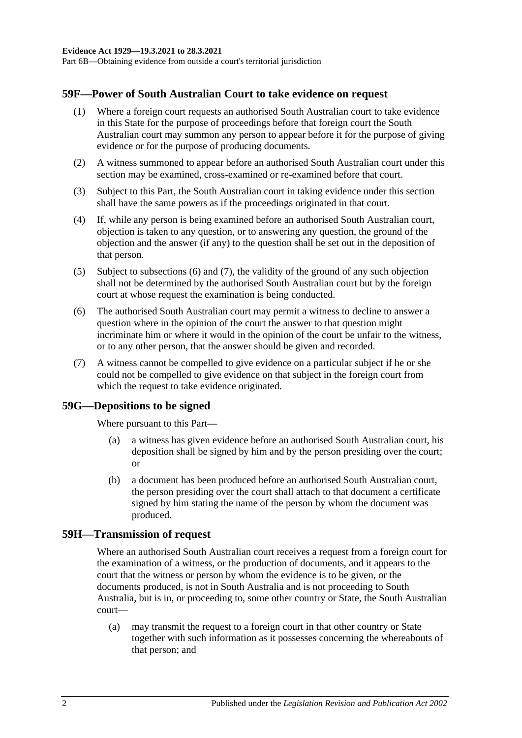Part 6B—Obtaining evidence from outside a court's territorial jurisdiction

# **59F—Power of South Australian Court to take evidence on request**

- (1) Where a foreign court requests an authorised South Australian court to take evidence in this State for the purpose of proceedings before that foreign court the South Australian court may summon any person to appear before it for the purpose of giving evidence or for the purpose of producing documents.
- (2) A witness summoned to appear before an authorised South Australian court under this section may be examined, cross-examined or re-examined before that court.
- (3) Subject to this Part, the South Australian court in taking evidence under this section shall have the same powers as if the proceedings originated in that court.
- (4) If, while any person is being examined before an authorised South Australian court, objection is taken to any question, or to answering any question, the ground of the objection and the answer (if any) to the question shall be set out in the deposition of that person.
- (5) Subject to [subsections](#page-63-0) (6) and [\(7\),](#page-63-1) the validity of the ground of any such objection shall not be determined by the authorised South Australian court but by the foreign court at whose request the examination is being conducted.
- <span id="page-63-0"></span>(6) The authorised South Australian court may permit a witness to decline to answer a question where in the opinion of the court the answer to that question might incriminate him or where it would in the opinion of the court be unfair to the witness, or to any other person, that the answer should be given and recorded.
- <span id="page-63-1"></span>(7) A witness cannot be compelled to give evidence on a particular subject if he or she could not be compelled to give evidence on that subject in the foreign court from which the request to take evidence originated.

## **59G—Depositions to be signed**

Where pursuant to this Part—

- (a) a witness has given evidence before an authorised South Australian court, his deposition shall be signed by him and by the person presiding over the court; or
- (b) a document has been produced before an authorised South Australian court, the person presiding over the court shall attach to that document a certificate signed by him stating the name of the person by whom the document was produced.

#### **59H—Transmission of request**

Where an authorised South Australian court receives a request from a foreign court for the examination of a witness, or the production of documents, and it appears to the court that the witness or person by whom the evidence is to be given, or the documents produced, is not in South Australia and is not proceeding to South Australia, but is in, or proceeding to, some other country or State, the South Australian court—

(a) may transmit the request to a foreign court in that other country or State together with such information as it possesses concerning the whereabouts of that person; and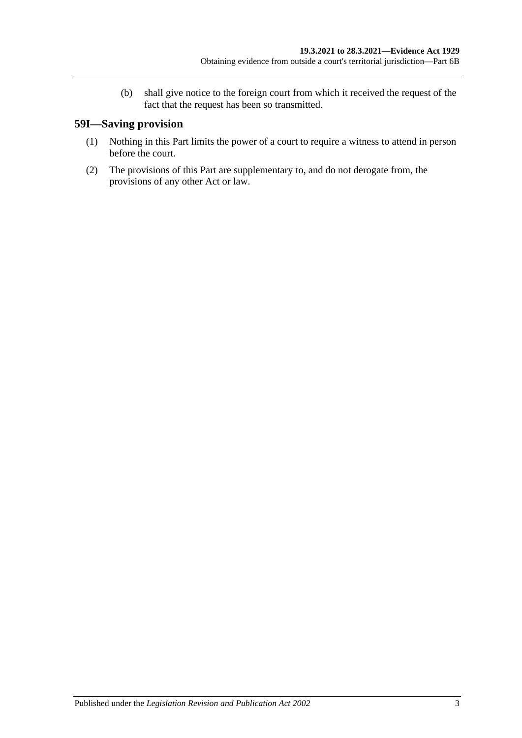(b) shall give notice to the foreign court from which it received the request of the fact that the request has been so transmitted.

# **59I—Saving provision**

- (1) Nothing in this Part limits the power of a court to require a witness to attend in person before the court.
- (2) The provisions of this Part are supplementary to, and do not derogate from, the provisions of any other Act or law.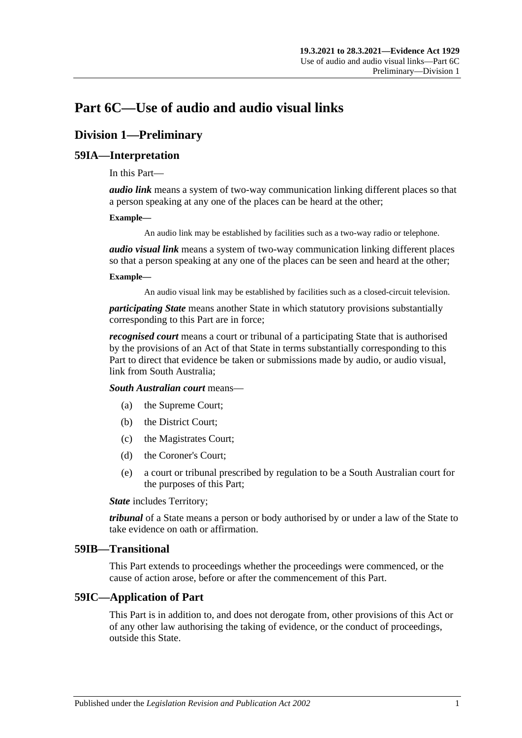# **Part 6C—Use of audio and audio visual links**

# **Division 1—Preliminary**

# **59IA—Interpretation**

In this Part—

*audio link* means a system of two-way communication linking different places so that a person speaking at any one of the places can be heard at the other;

#### **Example—**

An audio link may be established by facilities such as a two-way radio or telephone.

*audio visual link* means a system of two-way communication linking different places so that a person speaking at any one of the places can be seen and heard at the other;

#### **Example—**

An audio visual link may be established by facilities such as a closed-circuit television.

*participating State* means another State in which statutory provisions substantially corresponding to this Part are in force;

*recognised court* means a court or tribunal of a participating State that is authorised by the provisions of an Act of that State in terms substantially corresponding to this Part to direct that evidence be taken or submissions made by audio, or audio visual, link from South Australia;

*South Australian court* means—

- (a) the Supreme Court;
- (b) the District Court;
- (c) the Magistrates Court;
- (d) the Coroner's Court;
- (e) a court or tribunal prescribed by regulation to be a South Australian court for the purposes of this Part;

*State* includes Territory;

*tribunal* of a State means a person or body authorised by or under a law of the State to take evidence on oath or affirmation.

#### **59IB—Transitional**

This Part extends to proceedings whether the proceedings were commenced, or the cause of action arose, before or after the commencement of this Part.

## **59IC—Application of Part**

This Part is in addition to, and does not derogate from, other provisions of this Act or of any other law authorising the taking of evidence, or the conduct of proceedings, outside this State.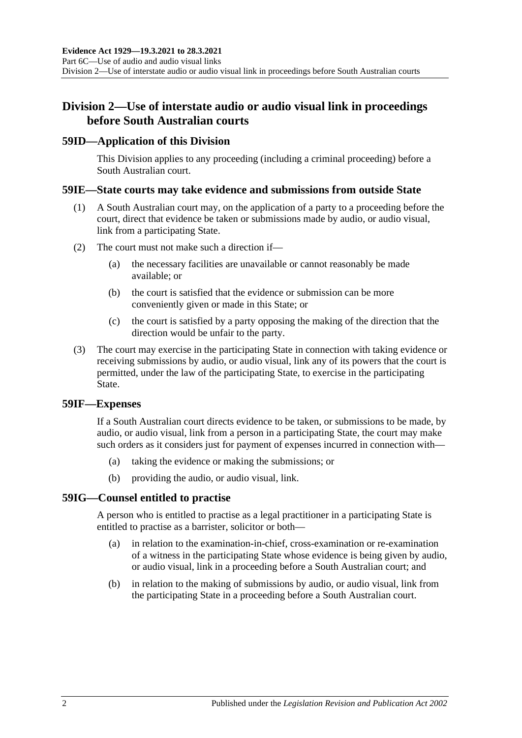# **Division 2—Use of interstate audio or audio visual link in proceedings before South Australian courts**

## **59ID—Application of this Division**

This Division applies to any proceeding (including a criminal proceeding) before a South Australian court.

## **59IE—State courts may take evidence and submissions from outside State**

- (1) A South Australian court may, on the application of a party to a proceeding before the court, direct that evidence be taken or submissions made by audio, or audio visual, link from a participating State.
- (2) The court must not make such a direction if—
	- (a) the necessary facilities are unavailable or cannot reasonably be made available; or
	- (b) the court is satisfied that the evidence or submission can be more conveniently given or made in this State; or
	- (c) the court is satisfied by a party opposing the making of the direction that the direction would be unfair to the party.
- (3) The court may exercise in the participating State in connection with taking evidence or receiving submissions by audio, or audio visual, link any of its powers that the court is permitted, under the law of the participating State, to exercise in the participating State.

#### **59IF—Expenses**

If a South Australian court directs evidence to be taken, or submissions to be made, by audio, or audio visual, link from a person in a participating State, the court may make such orders as it considers just for payment of expenses incurred in connection with—

- (a) taking the evidence or making the submissions; or
- (b) providing the audio, or audio visual, link.

## **59IG—Counsel entitled to practise**

A person who is entitled to practise as a legal practitioner in a participating State is entitled to practise as a barrister, solicitor or both—

- (a) in relation to the examination-in-chief, cross-examination or re-examination of a witness in the participating State whose evidence is being given by audio, or audio visual, link in a proceeding before a South Australian court; and
- (b) in relation to the making of submissions by audio, or audio visual, link from the participating State in a proceeding before a South Australian court.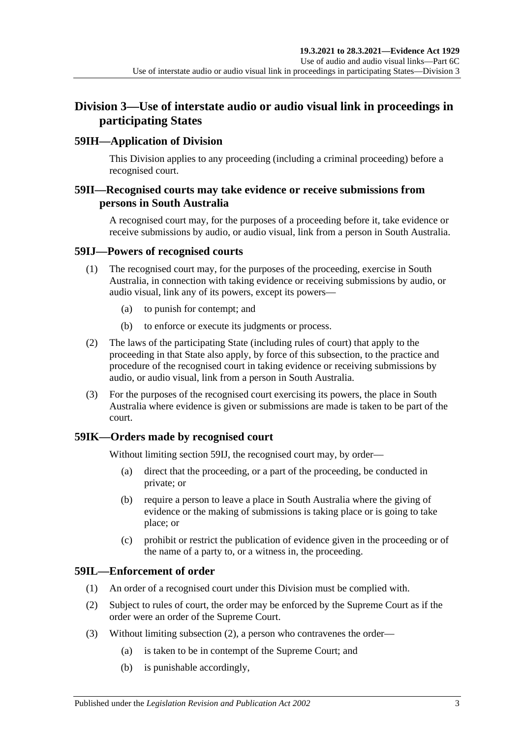# **Division 3—Use of interstate audio or audio visual link in proceedings in participating States**

# **59IH—Application of Division**

This Division applies to any proceeding (including a criminal proceeding) before a recognised court.

# **59II—Recognised courts may take evidence or receive submissions from persons in South Australia**

A recognised court may, for the purposes of a proceeding before it, take evidence or receive submissions by audio, or audio visual, link from a person in South Australia.

### <span id="page-68-0"></span>**59IJ—Powers of recognised courts**

- (1) The recognised court may, for the purposes of the proceeding, exercise in South Australia, in connection with taking evidence or receiving submissions by audio, or audio visual, link any of its powers, except its powers—
	- (a) to punish for contempt; and
	- (b) to enforce or execute its judgments or process.
- (2) The laws of the participating State (including rules of court) that apply to the proceeding in that State also apply, by force of this subsection, to the practice and procedure of the recognised court in taking evidence or receiving submissions by audio, or audio visual, link from a person in South Australia.
- (3) For the purposes of the recognised court exercising its powers, the place in South Australia where evidence is given or submissions are made is taken to be part of the court.

## **59IK—Orders made by recognised court**

Without limiting [section](#page-68-0) 59IJ, the recognised court may, by order—

- (a) direct that the proceeding, or a part of the proceeding, be conducted in private; or
- (b) require a person to leave a place in South Australia where the giving of evidence or the making of submissions is taking place or is going to take place; or
- (c) prohibit or restrict the publication of evidence given in the proceeding or of the name of a party to, or a witness in, the proceeding.

# **59IL—Enforcement of order**

- (1) An order of a recognised court under this Division must be complied with.
- <span id="page-68-1"></span>(2) Subject to rules of court, the order may be enforced by the Supreme Court as if the order were an order of the Supreme Court.
- (3) Without limiting [subsection](#page-68-1) (2), a person who contravenes the order—
	- (a) is taken to be in contempt of the Supreme Court; and
	- (b) is punishable accordingly,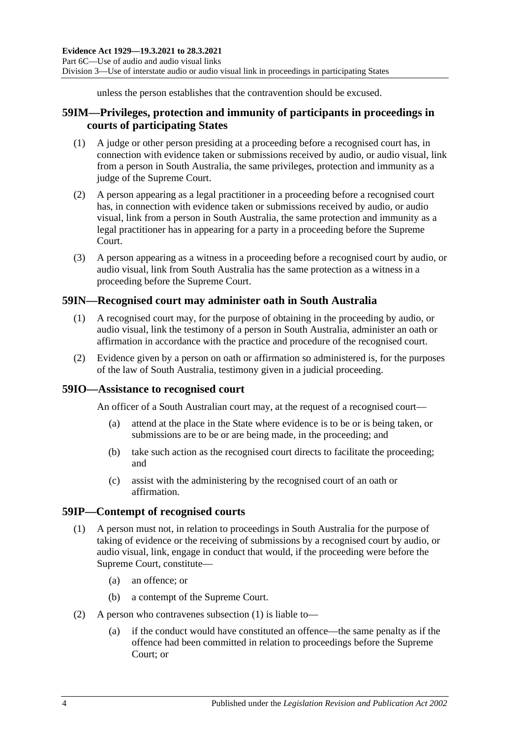unless the person establishes that the contravention should be excused.

# **59IM—Privileges, protection and immunity of participants in proceedings in courts of participating States**

- (1) A judge or other person presiding at a proceeding before a recognised court has, in connection with evidence taken or submissions received by audio, or audio visual, link from a person in South Australia, the same privileges, protection and immunity as a judge of the Supreme Court.
- (2) A person appearing as a legal practitioner in a proceeding before a recognised court has, in connection with evidence taken or submissions received by audio, or audio visual, link from a person in South Australia, the same protection and immunity as a legal practitioner has in appearing for a party in a proceeding before the Supreme Court.
- (3) A person appearing as a witness in a proceeding before a recognised court by audio, or audio visual, link from South Australia has the same protection as a witness in a proceeding before the Supreme Court.

# **59IN—Recognised court may administer oath in South Australia**

- (1) A recognised court may, for the purpose of obtaining in the proceeding by audio, or audio visual, link the testimony of a person in South Australia, administer an oath or affirmation in accordance with the practice and procedure of the recognised court.
- (2) Evidence given by a person on oath or affirmation so administered is, for the purposes of the law of South Australia, testimony given in a judicial proceeding.

## **59IO—Assistance to recognised court**

An officer of a South Australian court may, at the request of a recognised court—

- (a) attend at the place in the State where evidence is to be or is being taken, or submissions are to be or are being made, in the proceeding; and
- (b) take such action as the recognised court directs to facilitate the proceeding; and
- (c) assist with the administering by the recognised court of an oath or affirmation.

#### <span id="page-69-0"></span>**59IP—Contempt of recognised courts**

- (1) A person must not, in relation to proceedings in South Australia for the purpose of taking of evidence or the receiving of submissions by a recognised court by audio, or audio visual, link, engage in conduct that would, if the proceeding were before the Supreme Court, constitute—
	- (a) an offence; or
	- (b) a contempt of the Supreme Court.
- (2) A person who contravenes [subsection](#page-69-0) (1) is liable to—
	- (a) if the conduct would have constituted an offence—the same penalty as if the offence had been committed in relation to proceedings before the Supreme Court; or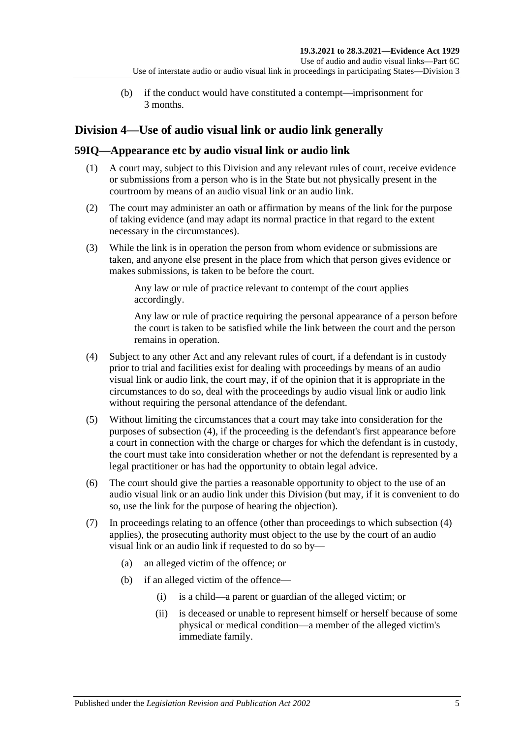(b) if the conduct would have constituted a contempt—imprisonment for 3 months.

# **Division 4—Use of audio visual link or audio link generally**

# **59IQ—Appearance etc by audio visual link or audio link**

- (1) A court may, subject to this Division and any relevant rules of court, receive evidence or submissions from a person who is in the State but not physically present in the courtroom by means of an audio visual link or an audio link.
- (2) The court may administer an oath or affirmation by means of the link for the purpose of taking evidence (and may adapt its normal practice in that regard to the extent necessary in the circumstances).
- (3) While the link is in operation the person from whom evidence or submissions are taken, and anyone else present in the place from which that person gives evidence or makes submissions, is taken to be before the court.

Any law or rule of practice relevant to contempt of the court applies accordingly.

Any law or rule of practice requiring the personal appearance of a person before the court is taken to be satisfied while the link between the court and the person remains in operation.

- <span id="page-70-0"></span>(4) Subject to any other Act and any relevant rules of court, if a defendant is in custody prior to trial and facilities exist for dealing with proceedings by means of an audio visual link or audio link, the court may, if of the opinion that it is appropriate in the circumstances to do so, deal with the proceedings by audio visual link or audio link without requiring the personal attendance of the defendant.
- (5) Without limiting the circumstances that a court may take into consideration for the purposes of [subsection](#page-70-0) (4), if the proceeding is the defendant's first appearance before a court in connection with the charge or charges for which the defendant is in custody, the court must take into consideration whether or not the defendant is represented by a legal practitioner or has had the opportunity to obtain legal advice.
- (6) The court should give the parties a reasonable opportunity to object to the use of an audio visual link or an audio link under this Division (but may, if it is convenient to do so, use the link for the purpose of hearing the objection).
- <span id="page-70-1"></span>(7) In proceedings relating to an offence (other than proceedings to which subsection (4) applies), the prosecuting authority must object to the use by the court of an audio visual link or an audio link if requested to do so by—
	- (a) an alleged victim of the offence; or
	- (b) if an alleged victim of the offence—
		- (i) is a child—a parent or guardian of the alleged victim; or
		- (ii) is deceased or unable to represent himself or herself because of some physical or medical condition—a member of the alleged victim's immediate family.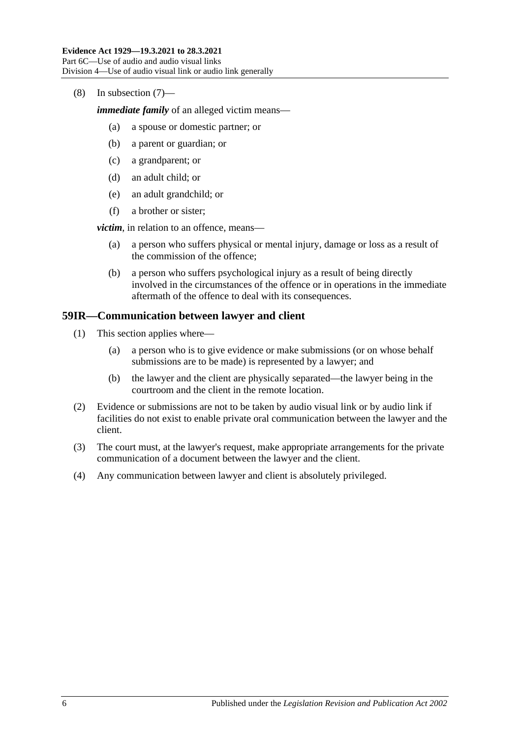#### (8) In [subsection](#page-70-1) (7)—

*immediate family* of an alleged victim means—

- (a) a spouse or domestic partner; or
- (b) a parent or guardian; or
- (c) a grandparent; or
- (d) an adult child; or
- (e) an adult grandchild; or
- (f) a brother or sister;

*victim*, in relation to an offence, means—

- (a) a person who suffers physical or mental injury, damage or loss as a result of the commission of the offence;
- (b) a person who suffers psychological injury as a result of being directly involved in the circumstances of the offence or in operations in the immediate aftermath of the offence to deal with its consequences.

### **59IR—Communication between lawyer and client**

- (1) This section applies where—
	- (a) a person who is to give evidence or make submissions (or on whose behalf submissions are to be made) is represented by a lawyer; and
	- (b) the lawyer and the client are physically separated—the lawyer being in the courtroom and the client in the remote location.
- (2) Evidence or submissions are not to be taken by audio visual link or by audio link if facilities do not exist to enable private oral communication between the lawyer and the client.
- (3) The court must, at the lawyer's request, make appropriate arrangements for the private communication of a document between the lawyer and the client.
- (4) Any communication between lawyer and client is absolutely privileged.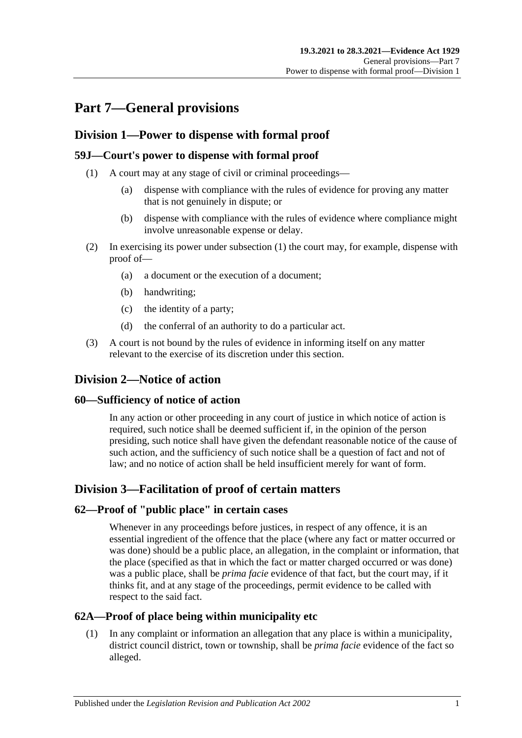# **Part 7—General provisions**

## **Division 1—Power to dispense with formal proof**

### <span id="page-72-0"></span>**59J—Court's power to dispense with formal proof**

- (1) A court may at any stage of civil or criminal proceedings—
	- (a) dispense with compliance with the rules of evidence for proving any matter that is not genuinely in dispute; or
	- (b) dispense with compliance with the rules of evidence where compliance might involve unreasonable expense or delay.
- (2) In exercising its power under [subsection](#page-72-0) (1) the court may, for example, dispense with proof of—
	- (a) a document or the execution of a document;
	- (b) handwriting;
	- (c) the identity of a party;
	- (d) the conferral of an authority to do a particular act.
- (3) A court is not bound by the rules of evidence in informing itself on any matter relevant to the exercise of its discretion under this section.

## **Division 2—Notice of action**

#### **60—Sufficiency of notice of action**

In any action or other proceeding in any court of justice in which notice of action is required, such notice shall be deemed sufficient if, in the opinion of the person presiding, such notice shall have given the defendant reasonable notice of the cause of such action, and the sufficiency of such notice shall be a question of fact and not of law; and no notice of action shall be held insufficient merely for want of form.

## **Division 3—Facilitation of proof of certain matters**

#### **62—Proof of "public place" in certain cases**

Whenever in any proceedings before justices, in respect of any offence, it is an essential ingredient of the offence that the place (where any fact or matter occurred or was done) should be a public place, an allegation, in the complaint or information, that the place (specified as that in which the fact or matter charged occurred or was done) was a public place, shall be *prima facie* evidence of that fact, but the court may, if it thinks fit, and at any stage of the proceedings, permit evidence to be called with respect to the said fact.

#### **62A—Proof of place being within municipality etc**

(1) In any complaint or information an allegation that any place is within a municipality, district council district, town or township, shall be *prima facie* evidence of the fact so alleged.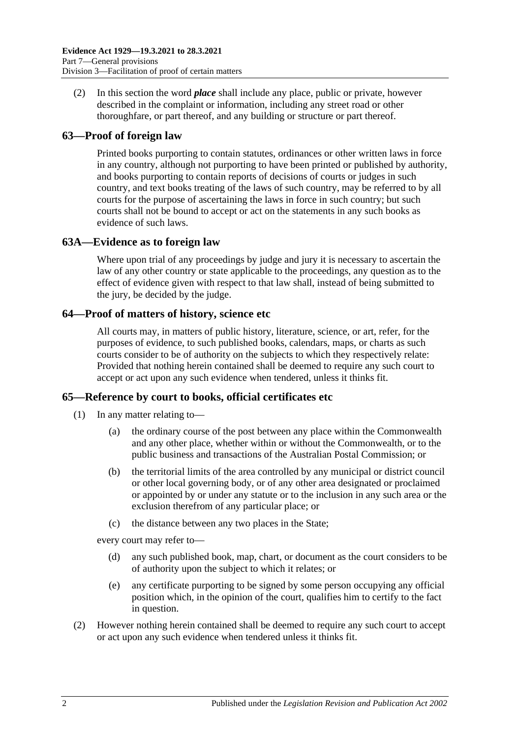(2) In this section the word *place* shall include any place, public or private, however described in the complaint or information, including any street road or other thoroughfare, or part thereof, and any building or structure or part thereof.

### **63—Proof of foreign law**

Printed books purporting to contain statutes, ordinances or other written laws in force in any country, although not purporting to have been printed or published by authority, and books purporting to contain reports of decisions of courts or judges in such country, and text books treating of the laws of such country, may be referred to by all courts for the purpose of ascertaining the laws in force in such country; but such courts shall not be bound to accept or act on the statements in any such books as evidence of such laws.

#### **63A—Evidence as to foreign law**

Where upon trial of any proceedings by judge and jury it is necessary to ascertain the law of any other country or state applicable to the proceedings, any question as to the effect of evidence given with respect to that law shall, instead of being submitted to the jury, be decided by the judge.

#### **64—Proof of matters of history, science etc**

All courts may, in matters of public history, literature, science, or art, refer, for the purposes of evidence, to such published books, calendars, maps, or charts as such courts consider to be of authority on the subjects to which they respectively relate: Provided that nothing herein contained shall be deemed to require any such court to accept or act upon any such evidence when tendered, unless it thinks fit.

#### **65—Reference by court to books, official certificates etc**

- (1) In any matter relating to—
	- (a) the ordinary course of the post between any place within the Commonwealth and any other place, whether within or without the Commonwealth, or to the public business and transactions of the Australian Postal Commission; or
	- (b) the territorial limits of the area controlled by any municipal or district council or other local governing body, or of any other area designated or proclaimed or appointed by or under any statute or to the inclusion in any such area or the exclusion therefrom of any particular place; or
	- (c) the distance between any two places in the State;

every court may refer to—

- (d) any such published book, map, chart, or document as the court considers to be of authority upon the subject to which it relates; or
- (e) any certificate purporting to be signed by some person occupying any official position which, in the opinion of the court, qualifies him to certify to the fact in question.
- (2) However nothing herein contained shall be deemed to require any such court to accept or act upon any such evidence when tendered unless it thinks fit.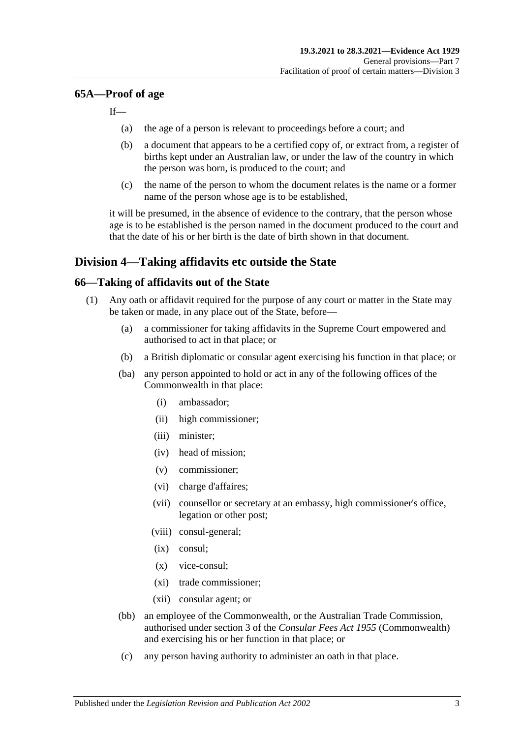#### **65A—Proof of age**

If—

- (a) the age of a person is relevant to proceedings before a court; and
- (b) a document that appears to be a certified copy of, or extract from, a register of births kept under an Australian law, or under the law of the country in which the person was born, is produced to the court; and
- (c) the name of the person to whom the document relates is the name or a former name of the person whose age is to be established,

it will be presumed, in the absence of evidence to the contrary, that the person whose age is to be established is the person named in the document produced to the court and that the date of his or her birth is the date of birth shown in that document.

### **Division 4—Taking affidavits etc outside the State**

#### <span id="page-74-4"></span><span id="page-74-3"></span>**66—Taking of affidavits out of the State**

- <span id="page-74-2"></span><span id="page-74-1"></span><span id="page-74-0"></span>(1) Any oath or affidavit required for the purpose of any court or matter in the State may be taken or made, in any place out of the State, before—
	- (a) a commissioner for taking affidavits in the Supreme Court empowered and authorised to act in that place; or
	- (b) a British diplomatic or consular agent exercising his function in that place; or
	- (ba) any person appointed to hold or act in any of the following offices of the Commonwealth in that place:
		- (i) ambassador;
		- (ii) high commissioner;
		- (iii) minister;
		- (iv) head of mission;
		- (v) commissioner;
		- (vi) charge d'affaires;
		- (vii) counsellor or secretary at an embassy, high commissioner's office, legation or other post;
		- (viii) consul-general;
		- (ix) consul;
		- (x) vice-consul;
		- (xi) trade commissioner;
		- (xii) consular agent; or
	- (bb) an employee of the Commonwealth, or the Australian Trade Commission, authorised under section 3 of the *Consular Fees Act 1955* (Commonwealth) and exercising his or her function in that place; or
	- (c) any person having authority to administer an oath in that place.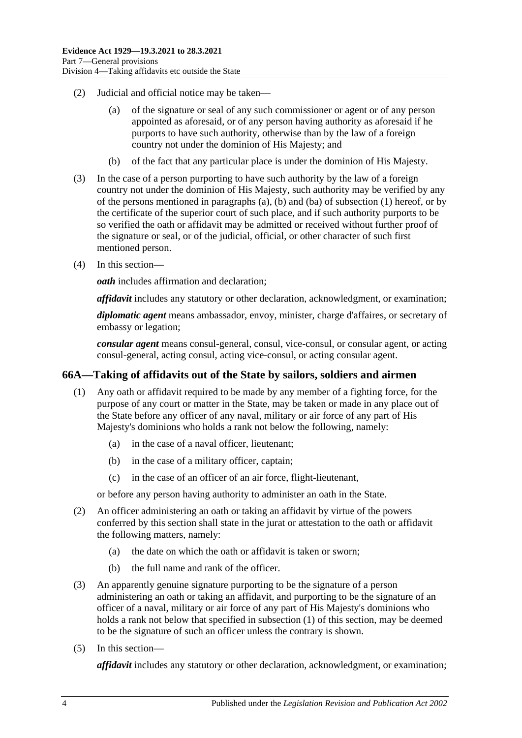- (2) Judicial and official notice may be taken—
	- (a) of the signature or seal of any such commissioner or agent or of any person appointed as aforesaid, or of any person having authority as aforesaid if he purports to have such authority, otherwise than by the law of a foreign country not under the dominion of His Majesty; and
	- (b) of the fact that any particular place is under the dominion of His Majesty.
- (3) In the case of a person purporting to have such authority by the law of a foreign country not under the dominion of His Majesty, such authority may be verified by any of the persons mentioned in [paragraphs](#page-74-0) (a), [\(b\)](#page-74-1) and [\(ba\)](#page-74-2) o[f subsection](#page-74-3) (1) hereof, or by the certificate of the superior court of such place, and if such authority purports to be so verified the oath or affidavit may be admitted or received without further proof of the signature or seal, or of the judicial, official, or other character of such first mentioned person.
- (4) In this section—

*oath* includes affirmation and declaration;

*affidavit* includes any statutory or other declaration, acknowledgment, or examination;

*diplomatic agent* means ambassador, envoy, minister, charge d'affaires, or secretary of embassy or legation;

*consular agent* means consul-general, consul, vice-consul, or consular agent, or acting consul-general, acting consul, acting vice-consul, or acting consular agent.

#### <span id="page-75-1"></span><span id="page-75-0"></span>**66A—Taking of affidavits out of the State by sailors, soldiers and airmen**

- (1) Any oath or affidavit required to be made by any member of a fighting force, for the purpose of any court or matter in the State, may be taken or made in any place out of the State before any officer of any naval, military or air force of any part of His Majesty's dominions who holds a rank not below the following, namely:
	- (a) in the case of a naval officer, lieutenant;
	- (b) in the case of a military officer, captain;
	- (c) in the case of an officer of an air force, flight-lieutenant,

or before any person having authority to administer an oath in the State.

- (2) An officer administering an oath or taking an affidavit by virtue of the powers conferred by this section shall state in the jurat or attestation to the oath or affidavit the following matters, namely:
	- (a) the date on which the oath or affidavit is taken or sworn;
	- (b) the full name and rank of the officer.
- (3) An apparently genuine signature purporting to be the signature of a person administering an oath or taking an affidavit, and purporting to be the signature of an officer of a naval, military or air force of any part of His Majesty's dominions who holds a rank not below that specified in [subsection](#page-75-0) (1) of this section, may be deemed to be the signature of such an officer unless the contrary is shown.
- (5) In this section—

*affidavit* includes any statutory or other declaration, acknowledgment, or examination;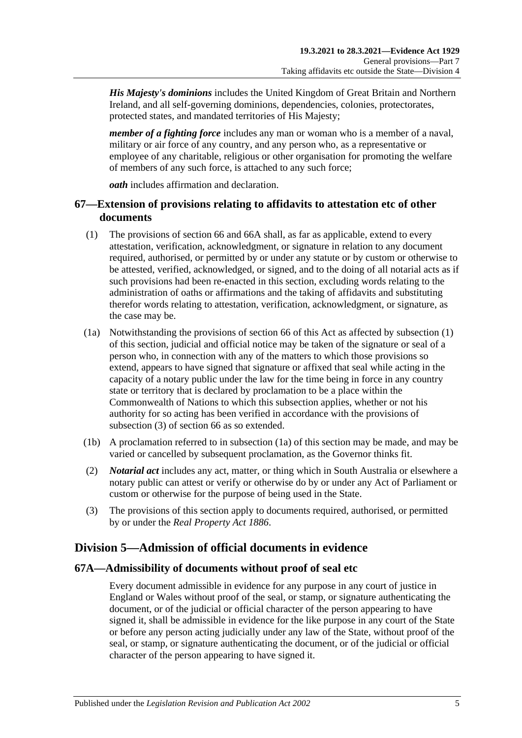*His Majesty's dominions* includes the United Kingdom of Great Britain and Northern Ireland, and all self-governing dominions, dependencies, colonies, protectorates, protected states, and mandated territories of His Majesty;

*member of a fighting force* includes any man or woman who is a member of a naval, military or air force of any country, and any person who, as a representative or employee of any charitable, religious or other organisation for promoting the welfare of members of any such force, is attached to any such force;

*oath* includes affirmation and declaration.

## **67—Extension of provisions relating to affidavits to attestation etc of other documents**

- <span id="page-76-0"></span>(1) The provisions of [section](#page-74-4) 66 and [66A](#page-75-1) shall, as far as applicable, extend to every attestation, verification, acknowledgment, or signature in relation to any document required, authorised, or permitted by or under any statute or by custom or otherwise to be attested, verified, acknowledged, or signed, and to the doing of all notarial acts as if such provisions had been re-enacted in this section, excluding words relating to the administration of oaths or affirmations and the taking of affidavits and substituting therefor words relating to attestation, verification, acknowledgment, or signature, as the case may be.
- <span id="page-76-2"></span>(1a) Notwithstanding the provisions of [section](#page-74-4) 66 of this Act as affected by [subsection](#page-76-0) (1) of this section, judicial and official notice may be taken of the signature or seal of a person who, in connection with any of the matters to which those provisions so extend, appears to have signed that signature or affixed that seal while acting in the capacity of a notary public under the law for the time being in force in any country state or territory that is declared by proclamation to be a place within the Commonwealth of Nations to which this subsection applies, whether or not his authority for so acting has been verified in accordance with the provisions of [subsection](#page-76-1) (3) of [section](#page-74-4) 66 as so extended.
- (1b) A proclamation referred to in [subsection](#page-76-2) (1a) of this section may be made, and may be varied or cancelled by subsequent proclamation, as the Governor thinks fit.
- (2) *Notarial act* includes any act, matter, or thing which in South Australia or elsewhere a notary public can attest or verify or otherwise do by or under any Act of Parliament or custom or otherwise for the purpose of being used in the State.
- <span id="page-76-1"></span>(3) The provisions of this section apply to documents required, authorised, or permitted by or under the *[Real Property Act](http://www.legislation.sa.gov.au/index.aspx?action=legref&type=act&legtitle=Real%20Property%20Act%201886) 1886*.

# **Division 5—Admission of official documents in evidence**

#### **67A—Admissibility of documents without proof of seal etc**

Every document admissible in evidence for any purpose in any court of justice in England or Wales without proof of the seal, or stamp, or signature authenticating the document, or of the judicial or official character of the person appearing to have signed it, shall be admissible in evidence for the like purpose in any court of the State or before any person acting judicially under any law of the State, without proof of the seal, or stamp, or signature authenticating the document, or of the judicial or official character of the person appearing to have signed it.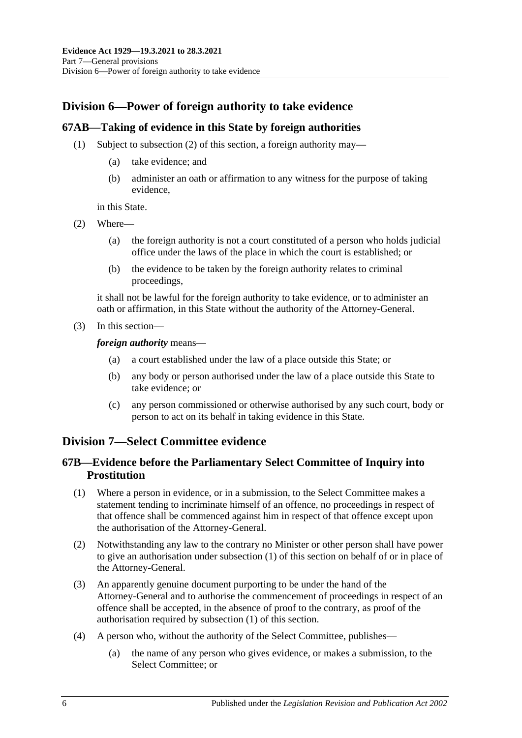# **Division 6—Power of foreign authority to take evidence**

#### **67AB—Taking of evidence in this State by foreign authorities**

- (1) Subject to [subsection](#page-77-0) (2) of this section, a foreign authority may—
	- (a) take evidence; and
	- (b) administer an oath or affirmation to any witness for the purpose of taking evidence,

in this State.

- <span id="page-77-0"></span>(2) Where—
	- (a) the foreign authority is not a court constituted of a person who holds judicial office under the laws of the place in which the court is established; or
	- (b) the evidence to be taken by the foreign authority relates to criminal proceedings,

it shall not be lawful for the foreign authority to take evidence, or to administer an oath or affirmation, in this State without the authority of the Attorney-General.

(3) In this section—

*foreign authority* means—

- (a) a court established under the law of a place outside this State; or
- (b) any body or person authorised under the law of a place outside this State to take evidence; or
- (c) any person commissioned or otherwise authorised by any such court, body or person to act on its behalf in taking evidence in this State.

## **Division 7—Select Committee evidence**

### **67B—Evidence before the Parliamentary Select Committee of Inquiry into Prostitution**

- <span id="page-77-1"></span>(1) Where a person in evidence, or in a submission, to the Select Committee makes a statement tending to incriminate himself of an offence, no proceedings in respect of that offence shall be commenced against him in respect of that offence except upon the authorisation of the Attorney-General.
- (2) Notwithstanding any law to the contrary no Minister or other person shall have power to give an authorisation under [subsection](#page-77-1) (1) of this section on behalf of or in place of the Attorney-General.
- (3) An apparently genuine document purporting to be under the hand of the Attorney-General and to authorise the commencement of proceedings in respect of an offence shall be accepted, in the absence of proof to the contrary, as proof of the authorisation required by [subsection](#page-77-1) (1) of this section.
- (4) A person who, without the authority of the Select Committee, publishes—
	- (a) the name of any person who gives evidence, or makes a submission, to the Select Committee; or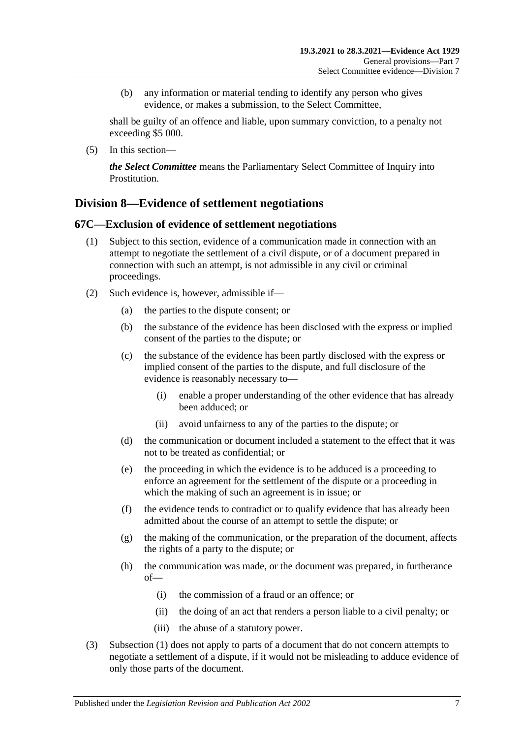(b) any information or material tending to identify any person who gives evidence, or makes a submission, to the Select Committee,

shall be guilty of an offence and liable, upon summary conviction, to a penalty not exceeding \$5 000.

(5) In this section—

*the Select Committee* means the Parliamentary Select Committee of Inquiry into Prostitution.

### **Division 8—Evidence of settlement negotiations**

#### <span id="page-78-0"></span>**67C—Exclusion of evidence of settlement negotiations**

- (1) Subject to this section, evidence of a communication made in connection with an attempt to negotiate the settlement of a civil dispute, or of a document prepared in connection with such an attempt, is not admissible in any civil or criminal proceedings.
- (2) Such evidence is, however, admissible if—
	- (a) the parties to the dispute consent; or
	- (b) the substance of the evidence has been disclosed with the express or implied consent of the parties to the dispute; or
	- (c) the substance of the evidence has been partly disclosed with the express or implied consent of the parties to the dispute, and full disclosure of the evidence is reasonably necessary to—
		- (i) enable a proper understanding of the other evidence that has already been adduced; or
		- (ii) avoid unfairness to any of the parties to the dispute; or
	- (d) the communication or document included a statement to the effect that it was not to be treated as confidential; or
	- (e) the proceeding in which the evidence is to be adduced is a proceeding to enforce an agreement for the settlement of the dispute or a proceeding in which the making of such an agreement is in issue; or
	- (f) the evidence tends to contradict or to qualify evidence that has already been admitted about the course of an attempt to settle the dispute; or
	- (g) the making of the communication, or the preparation of the document, affects the rights of a party to the dispute; or
	- (h) the communication was made, or the document was prepared, in furtherance of—
		- (i) the commission of a fraud or an offence; or
		- (ii) the doing of an act that renders a person liable to a civil penalty; or
		- (iii) the abuse of a statutory power.
- (3) [Subsection](#page-78-0) (1) does not apply to parts of a document that do not concern attempts to negotiate a settlement of a dispute, if it would not be misleading to adduce evidence of only those parts of the document.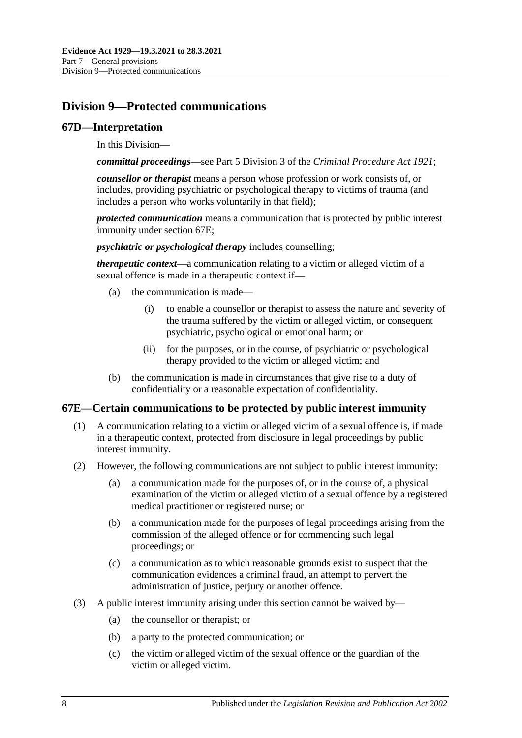# **Division 9—Protected communications**

#### **67D—Interpretation**

In this Division—

*committal proceedings*—see Part 5 Division 3 of the *[Criminal Procedure Act](http://www.legislation.sa.gov.au/index.aspx?action=legref&type=act&legtitle=Criminal%20Procedure%20Act%201921) 1921*;

*counsellor or therapist* means a person whose profession or work consists of, or includes, providing psychiatric or psychological therapy to victims of trauma (and includes a person who works voluntarily in that field);

*protected communication* means a communication that is protected by public interest immunity under [section](#page-79-0) 67E;

*psychiatric or psychological therapy* includes counselling;

*therapeutic context*—a communication relating to a victim or alleged victim of a sexual offence is made in a therapeutic context if—

- (a) the communication is made—
	- (i) to enable a counsellor or therapist to assess the nature and severity of the trauma suffered by the victim or alleged victim, or consequent psychiatric, psychological or emotional harm; or
	- (ii) for the purposes, or in the course, of psychiatric or psychological therapy provided to the victim or alleged victim; and
- (b) the communication is made in circumstances that give rise to a duty of confidentiality or a reasonable expectation of confidentiality.

#### <span id="page-79-0"></span>**67E—Certain communications to be protected by public interest immunity**

- (1) A communication relating to a victim or alleged victim of a sexual offence is, if made in a therapeutic context, protected from disclosure in legal proceedings by public interest immunity.
- (2) However, the following communications are not subject to public interest immunity:
	- (a) a communication made for the purposes of, or in the course of, a physical examination of the victim or alleged victim of a sexual offence by a registered medical practitioner or registered nurse; or
	- (b) a communication made for the purposes of legal proceedings arising from the commission of the alleged offence or for commencing such legal proceedings; or
	- (c) a communication as to which reasonable grounds exist to suspect that the communication evidences a criminal fraud, an attempt to pervert the administration of justice, perjury or another offence.
- (3) A public interest immunity arising under this section cannot be waived by—
	- (a) the counsellor or therapist; or
	- (b) a party to the protected communication; or
	- (c) the victim or alleged victim of the sexual offence or the guardian of the victim or alleged victim.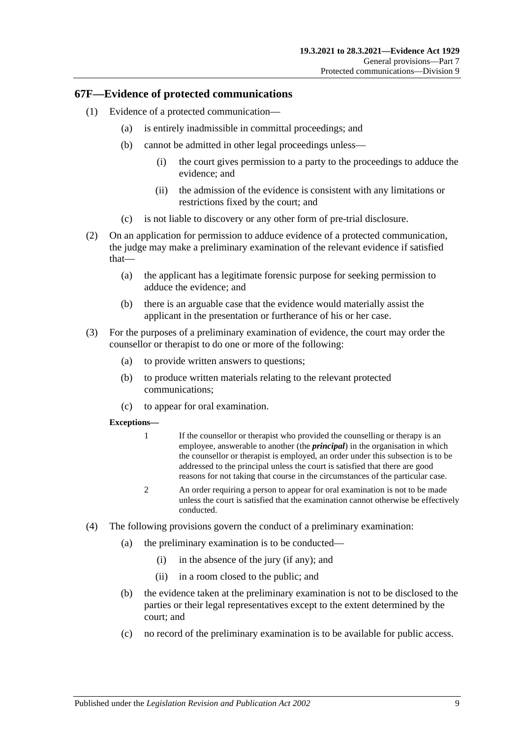#### **67F—Evidence of protected communications**

- (1) Evidence of a protected communication—
	- (a) is entirely inadmissible in committal proceedings; and
	- (b) cannot be admitted in other legal proceedings unless—
		- (i) the court gives permission to a party to the proceedings to adduce the evidence; and
		- (ii) the admission of the evidence is consistent with any limitations or restrictions fixed by the court; and
	- (c) is not liable to discovery or any other form of pre-trial disclosure.
- (2) On an application for permission to adduce evidence of a protected communication, the judge may make a preliminary examination of the relevant evidence if satisfied that—
	- (a) the applicant has a legitimate forensic purpose for seeking permission to adduce the evidence; and
	- (b) there is an arguable case that the evidence would materially assist the applicant in the presentation or furtherance of his or her case.
- (3) For the purposes of a preliminary examination of evidence, the court may order the counsellor or therapist to do one or more of the following:
	- (a) to provide written answers to questions;
	- (b) to produce written materials relating to the relevant protected communications;
	- (c) to appear for oral examination.

#### **Exceptions—**

- 1 If the counsellor or therapist who provided the counselling or therapy is an employee, answerable to another (the *principal*) in the organisation in which the counsellor or therapist is employed, an order under this subsection is to be addressed to the principal unless the court is satisfied that there are good reasons for not taking that course in the circumstances of the particular case.
- 2 An order requiring a person to appear for oral examination is not to be made unless the court is satisfied that the examination cannot otherwise be effectively conducted.
- (4) The following provisions govern the conduct of a preliminary examination:
	- (a) the preliminary examination is to be conducted—
		- (i) in the absence of the jury (if any); and
		- (ii) in a room closed to the public; and
	- (b) the evidence taken at the preliminary examination is not to be disclosed to the parties or their legal representatives except to the extent determined by the court; and
	- (c) no record of the preliminary examination is to be available for public access.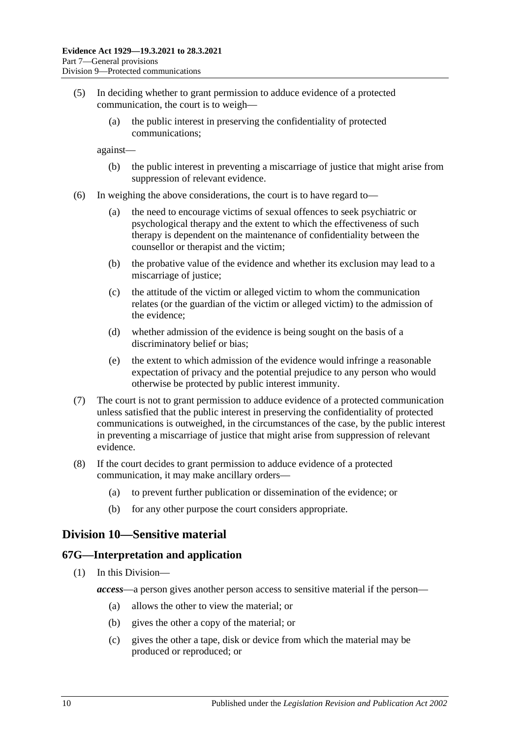- (5) In deciding whether to grant permission to adduce evidence of a protected communication, the court is to weigh—
	- (a) the public interest in preserving the confidentiality of protected communications;

against—

- (b) the public interest in preventing a miscarriage of justice that might arise from suppression of relevant evidence.
- (6) In weighing the above considerations, the court is to have regard to—
	- (a) the need to encourage victims of sexual offences to seek psychiatric or psychological therapy and the extent to which the effectiveness of such therapy is dependent on the maintenance of confidentiality between the counsellor or therapist and the victim;
	- (b) the probative value of the evidence and whether its exclusion may lead to a miscarriage of justice;
	- (c) the attitude of the victim or alleged victim to whom the communication relates (or the guardian of the victim or alleged victim) to the admission of the evidence;
	- (d) whether admission of the evidence is being sought on the basis of a discriminatory belief or bias;
	- (e) the extent to which admission of the evidence would infringe a reasonable expectation of privacy and the potential prejudice to any person who would otherwise be protected by public interest immunity.
- (7) The court is not to grant permission to adduce evidence of a protected communication unless satisfied that the public interest in preserving the confidentiality of protected communications is outweighed, in the circumstances of the case, by the public interest in preventing a miscarriage of justice that might arise from suppression of relevant evidence.
- (8) If the court decides to grant permission to adduce evidence of a protected communication, it may make ancillary orders—
	- (a) to prevent further publication or dissemination of the evidence; or
	- (b) for any other purpose the court considers appropriate.

## **Division 10—Sensitive material**

#### **67G—Interpretation and application**

- (1) In this Division
	- *access*—a person gives another person access to sensitive material if the person—
		- (a) allows the other to view the material; or
		- (b) gives the other a copy of the material; or
		- (c) gives the other a tape, disk or device from which the material may be produced or reproduced; or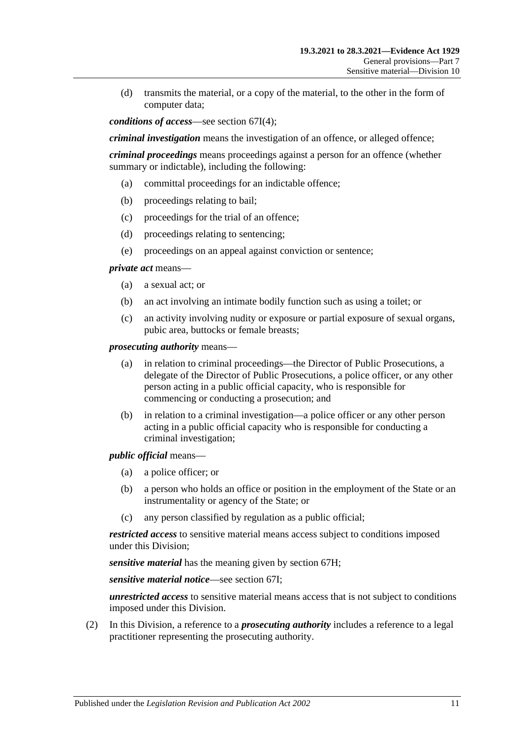(d) transmits the material, or a copy of the material, to the other in the form of computer data;

*conditions of access*—see [section](#page-84-0) 67I(4);

*criminal investigation* means the investigation of an offence, or alleged offence;

*criminal proceedings* means proceedings against a person for an offence (whether summary or indictable), including the following:

- (a) committal proceedings for an indictable offence;
- (b) proceedings relating to bail;
- (c) proceedings for the trial of an offence;
- (d) proceedings relating to sentencing;
- (e) proceedings on an appeal against conviction or sentence;

*private act* means—

- (a) a sexual act; or
- (b) an act involving an intimate bodily function such as using a toilet; or
- (c) an activity involving nudity or exposure or partial exposure of sexual organs, pubic area, buttocks or female breasts;

*prosecuting authority* means—

- (a) in relation to criminal proceedings—the Director of Public Prosecutions, a delegate of the Director of Public Prosecutions, a police officer, or any other person acting in a public official capacity, who is responsible for commencing or conducting a prosecution; and
- (b) in relation to a criminal investigation—a police officer or any other person acting in a public official capacity who is responsible for conducting a criminal investigation;

*public official* means—

- (a) a police officer; or
- (b) a person who holds an office or position in the employment of the State or an instrumentality or agency of the State; or
- (c) any person classified by regulation as a public official;

*restricted access* to sensitive material means access subject to conditions imposed under this Division;

*sensitive material* has the meaning given by [section](#page-83-0) 67H;

*sensitive material notice*—see [section](#page-83-1) 67I;

*unrestricted access* to sensitive material means access that is not subject to conditions imposed under this Division.

(2) In this Division, a reference to a *prosecuting authority* includes a reference to a legal practitioner representing the prosecuting authority.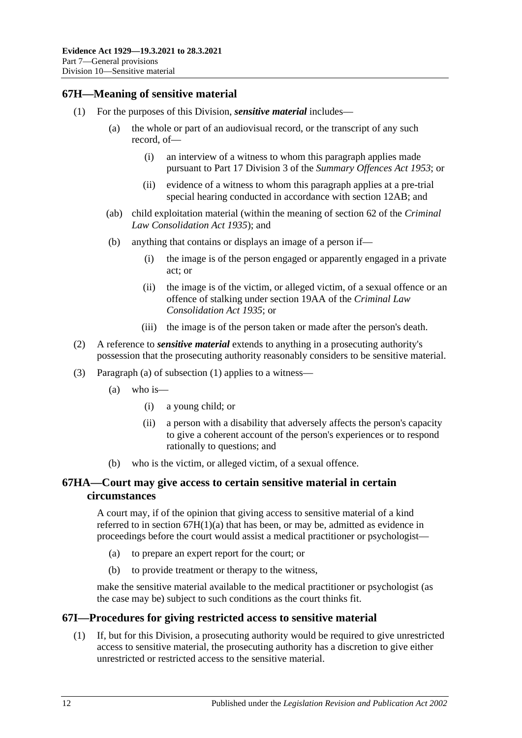### <span id="page-83-2"></span><span id="page-83-0"></span>**67H—Meaning of sensitive material**

- (1) For the purposes of this Division, *sensitive material* includes—
	- (a) the whole or part of an audiovisual record, or the transcript of any such record, of—
		- (i) an interview of a witness to whom this paragraph applies made pursuant to Part 17 Division 3 of the *[Summary Offences Act](http://www.legislation.sa.gov.au/index.aspx?action=legref&type=act&legtitle=Summary%20Offences%20Act%201953) 1953*; or
		- (ii) evidence of a witness to whom this paragraph applies at a pre-trial special hearing conducted in accordance with [section](#page-12-0) 12AB; and
	- (ab) child exploitation material (within the meaning of section 62 of the *[Criminal](http://www.legislation.sa.gov.au/index.aspx?action=legref&type=act&legtitle=Criminal%20Law%20Consolidation%20Act%201935)  [Law Consolidation Act](http://www.legislation.sa.gov.au/index.aspx?action=legref&type=act&legtitle=Criminal%20Law%20Consolidation%20Act%201935) 1935*); and
	- (b) anything that contains or displays an image of a person if—
		- (i) the image is of the person engaged or apparently engaged in a private act; or
		- (ii) the image is of the victim, or alleged victim, of a sexual offence or an offence of stalking under section 19AA of the *[Criminal Law](http://www.legislation.sa.gov.au/index.aspx?action=legref&type=act&legtitle=Criminal%20Law%20Consolidation%20Act%201935)  [Consolidation Act](http://www.legislation.sa.gov.au/index.aspx?action=legref&type=act&legtitle=Criminal%20Law%20Consolidation%20Act%201935) 1935*; or
		- (iii) the image is of the person taken or made after the person's death.
- (2) A reference to *sensitive material* extends to anything in a prosecuting authority's possession that the prosecuting authority reasonably considers to be sensitive material.
- (3) Paragraph (a) of [subsection](#page-83-2) (1) applies to a witness—
	- $(a)$  who is—
		- (i) a young child; or
		- (ii) a person with a disability that adversely affects the person's capacity to give a coherent account of the person's experiences or to respond rationally to questions; and
	- (b) who is the victim, or alleged victim, of a sexual offence.

#### **67HA—Court may give access to certain sensitive material in certain circumstances**

A court may, if of the opinion that giving access to sensitive material of a kind referred to in section 67H(1)(a) that has been, or may be, admitted as evidence in proceedings before the court would assist a medical practitioner or psychologist—

- (a) to prepare an expert report for the court; or
- (b) to provide treatment or therapy to the witness,

make the sensitive material available to the medical practitioner or psychologist (as the case may be) subject to such conditions as the court thinks fit.

#### <span id="page-83-1"></span>**67I—Procedures for giving restricted access to sensitive material**

(1) If, but for this Division, a prosecuting authority would be required to give unrestricted access to sensitive material, the prosecuting authority has a discretion to give either unrestricted or restricted access to the sensitive material.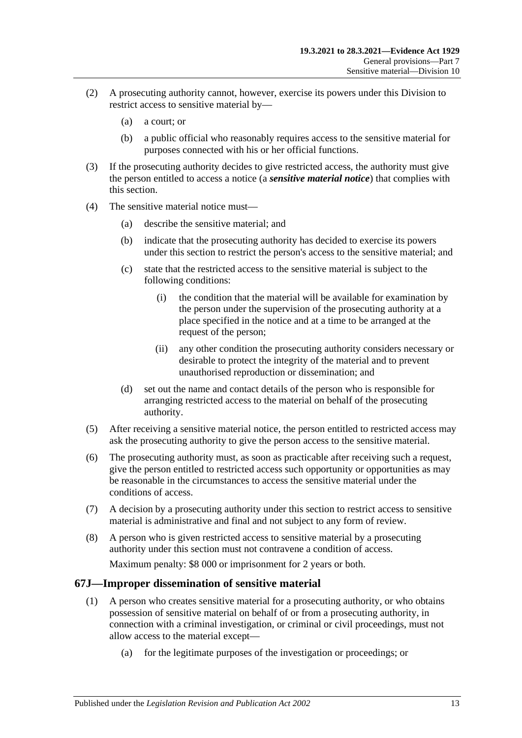- (2) A prosecuting authority cannot, however, exercise its powers under this Division to restrict access to sensitive material by—
	- (a) a court; or
	- (b) a public official who reasonably requires access to the sensitive material for purposes connected with his or her official functions.
- (3) If the prosecuting authority decides to give restricted access, the authority must give the person entitled to access a notice (a *sensitive material notice*) that complies with this section.
- <span id="page-84-0"></span>(4) The sensitive material notice must—
	- (a) describe the sensitive material; and
	- (b) indicate that the prosecuting authority has decided to exercise its powers under this section to restrict the person's access to the sensitive material; and
	- (c) state that the restricted access to the sensitive material is subject to the following conditions:
		- (i) the condition that the material will be available for examination by the person under the supervision of the prosecuting authority at a place specified in the notice and at a time to be arranged at the request of the person;
		- (ii) any other condition the prosecuting authority considers necessary or desirable to protect the integrity of the material and to prevent unauthorised reproduction or dissemination; and
	- (d) set out the name and contact details of the person who is responsible for arranging restricted access to the material on behalf of the prosecuting authority.
- (5) After receiving a sensitive material notice, the person entitled to restricted access may ask the prosecuting authority to give the person access to the sensitive material.
- (6) The prosecuting authority must, as soon as practicable after receiving such a request, give the person entitled to restricted access such opportunity or opportunities as may be reasonable in the circumstances to access the sensitive material under the conditions of access.
- (7) A decision by a prosecuting authority under this section to restrict access to sensitive material is administrative and final and not subject to any form of review.
- (8) A person who is given restricted access to sensitive material by a prosecuting authority under this section must not contravene a condition of access.

Maximum penalty: \$8 000 or imprisonment for 2 years or both.

#### <span id="page-84-1"></span>**67J—Improper dissemination of sensitive material**

- (1) A person who creates sensitive material for a prosecuting authority, or who obtains possession of sensitive material on behalf of or from a prosecuting authority, in connection with a criminal investigation, or criminal or civil proceedings, must not allow access to the material except—
	- (a) for the legitimate purposes of the investigation or proceedings; or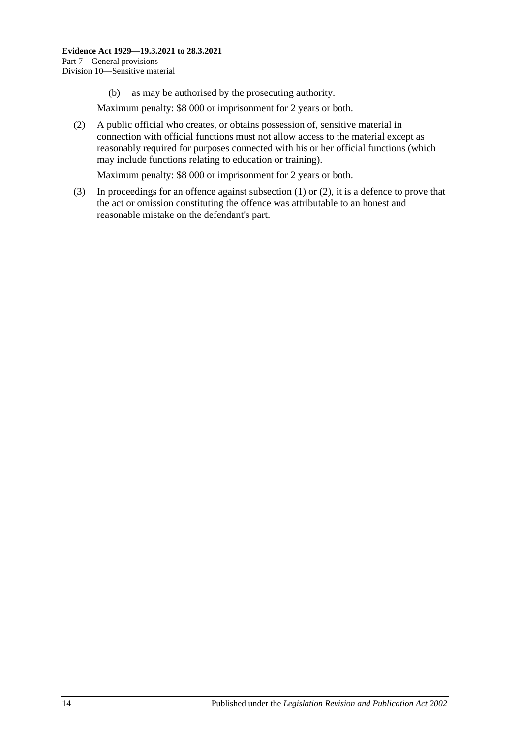(b) as may be authorised by the prosecuting authority.

Maximum penalty: \$8 000 or imprisonment for 2 years or both.

<span id="page-85-0"></span>(2) A public official who creates, or obtains possession of, sensitive material in connection with official functions must not allow access to the material except as reasonably required for purposes connected with his or her official functions (which may include functions relating to education or training).

Maximum penalty: \$8 000 or imprisonment for 2 years or both.

(3) In proceedings for an offence against [subsection](#page-84-1) (1) or [\(2\),](#page-85-0) it is a defence to prove that the act or omission constituting the offence was attributable to an honest and reasonable mistake on the defendant's part.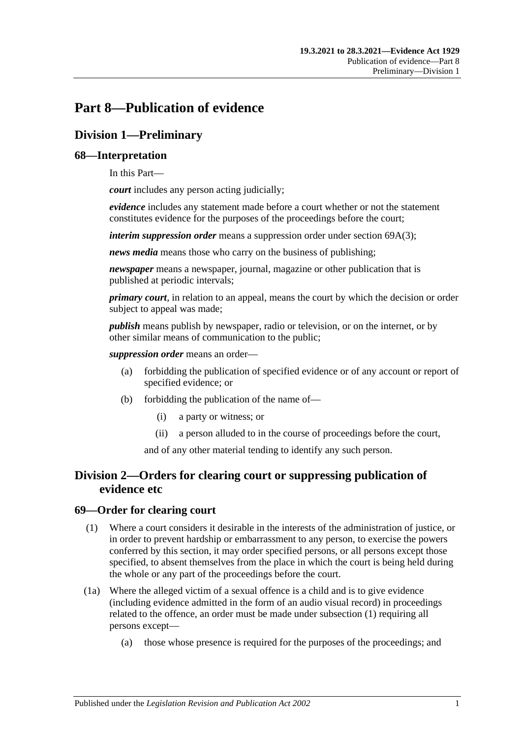# **Part 8—Publication of evidence**

# **Division 1—Preliminary**

#### **68—Interpretation**

In this Part—

*court* includes any person acting judicially;

*evidence* includes any statement made before a court whether or not the statement constitutes evidence for the purposes of the proceedings before the court;

*interim suppression order* means a suppression order under section [69A\(3\);](#page-88-0)

*news media* means those who carry on the business of publishing;

*newspaper* means a newspaper, journal, magazine or other publication that is published at periodic intervals;

*primary court*, in relation to an appeal, means the court by which the decision or order subject to appeal was made;

*publish* means publish by newspaper, radio or television, or on the internet, or by other similar means of communication to the public;

*suppression order* means an order—

- (a) forbidding the publication of specified evidence or of any account or report of specified evidence; or
- (b) forbidding the publication of the name of—
	- (i) a party or witness; or
	- (ii) a person alluded to in the course of proceedings before the court,

and of any other material tending to identify any such person.

## **Division 2—Orders for clearing court or suppressing publication of evidence etc**

#### <span id="page-86-0"></span>**69—Order for clearing court**

- (1) Where a court considers it desirable in the interests of the administration of justice, or in order to prevent hardship or embarrassment to any person, to exercise the powers conferred by this section, it may order specified persons, or all persons except those specified, to absent themselves from the place in which the court is being held during the whole or any part of the proceedings before the court.
- (1a) Where the alleged victim of a sexual offence is a child and is to give evidence (including evidence admitted in the form of an audio visual record) in proceedings related to the offence, an order must be made under [subsection](#page-86-0) (1) requiring all persons except—
	- (a) those whose presence is required for the purposes of the proceedings; and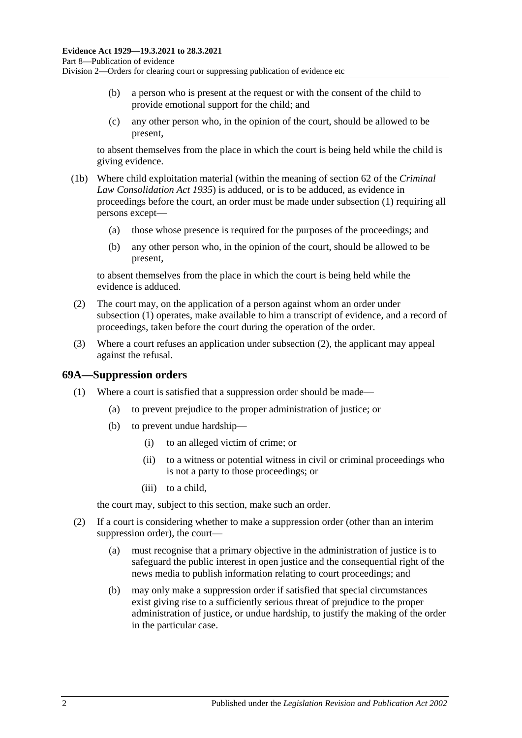- (b) a person who is present at the request or with the consent of the child to provide emotional support for the child; and
- (c) any other person who, in the opinion of the court, should be allowed to be present,

to absent themselves from the place in which the court is being held while the child is giving evidence.

- (1b) Where child exploitation material (within the meaning of section 62 of the *[Criminal](http://www.legislation.sa.gov.au/index.aspx?action=legref&type=act&legtitle=Criminal%20Law%20Consolidation%20Act%201935)  [Law Consolidation Act](http://www.legislation.sa.gov.au/index.aspx?action=legref&type=act&legtitle=Criminal%20Law%20Consolidation%20Act%201935) 1935*) is adduced, or is to be adduced, as evidence in proceedings before the court, an order must be made under [subsection](#page-86-0) (1) requiring all persons except—
	- (a) those whose presence is required for the purposes of the proceedings; and
	- (b) any other person who, in the opinion of the court, should be allowed to be present,

to absent themselves from the place in which the court is being held while the evidence is adduced.

- <span id="page-87-0"></span>(2) The court may, on the application of a person against whom an order under [subsection](#page-86-0) (1) operates, make available to him a transcript of evidence, and a record of proceedings, taken before the court during the operation of the order.
- (3) Where a court refuses an application under [subsection](#page-87-0) (2), the applicant may appeal against the refusal.

#### **69A—Suppression orders**

- (1) Where a court is satisfied that a suppression order should be made—
	- (a) to prevent prejudice to the proper administration of justice; or
	- (b) to prevent undue hardship—
		- (i) to an alleged victim of crime; or
		- (ii) to a witness or potential witness in civil or criminal proceedings who is not a party to those proceedings; or
		- (iii) to a child,

the court may, subject to this section, make such an order.

- (2) If a court is considering whether to make a suppression order (other than an interim suppression order), the court—
	- (a) must recognise that a primary objective in the administration of justice is to safeguard the public interest in open justice and the consequential right of the news media to publish information relating to court proceedings; and
	- (b) may only make a suppression order if satisfied that special circumstances exist giving rise to a sufficiently serious threat of prejudice to the proper administration of justice, or undue hardship, to justify the making of the order in the particular case.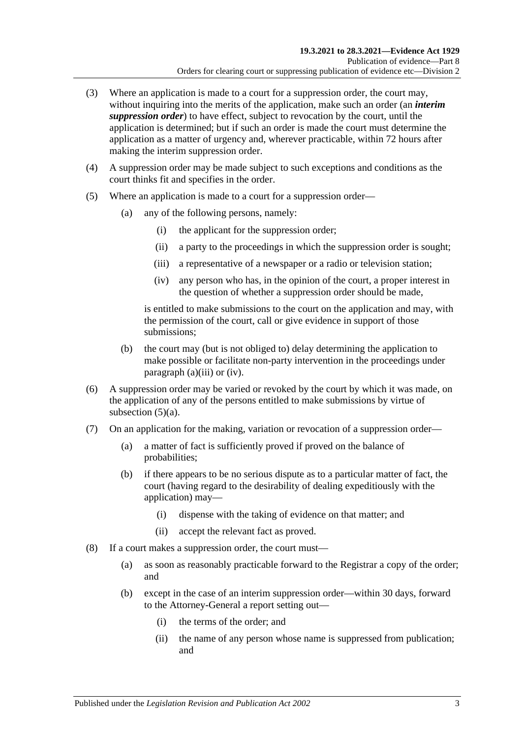- <span id="page-88-0"></span>(3) Where an application is made to a court for a suppression order, the court may, without inquiring into the merits of the application, make such an order (an *interim suppression order*) to have effect, subject to revocation by the court, until the application is determined; but if such an order is made the court must determine the application as a matter of urgency and, wherever practicable, within 72 hours after making the interim suppression order.
- (4) A suppression order may be made subject to such exceptions and conditions as the court thinks fit and specifies in the order.
- <span id="page-88-3"></span><span id="page-88-1"></span>(5) Where an application is made to a court for a suppression order—
	- (a) any of the following persons, namely:
		- (i) the applicant for the suppression order;
		- (ii) a party to the proceedings in which the suppression order is sought;
		- (iii) a representative of a newspaper or a radio or television station;
		- (iv) any person who has, in the opinion of the court, a proper interest in the question of whether a suppression order should be made,

<span id="page-88-2"></span>is entitled to make submissions to the court on the application and may, with the permission of the court, call or give evidence in support of those submissions;

- (b) the court may (but is not obliged to) delay determining the application to make possible or facilitate non-party intervention in the proceedings under [paragraph](#page-88-1) (a)(iii) or [\(iv\).](#page-88-2)
- (6) A suppression order may be varied or revoked by the court by which it was made, on the application of any of the persons entitled to make submissions by virtue of [subsection](#page-88-3)  $(5)(a)$ .
- (7) On an application for the making, variation or revocation of a suppression order—
	- (a) a matter of fact is sufficiently proved if proved on the balance of probabilities;
	- (b) if there appears to be no serious dispute as to a particular matter of fact, the court (having regard to the desirability of dealing expeditiously with the application) may—
		- (i) dispense with the taking of evidence on that matter; and
		- (ii) accept the relevant fact as proved.
- (8) If a court makes a suppression order, the court must—
	- (a) as soon as reasonably practicable forward to the Registrar a copy of the order; and
	- (b) except in the case of an interim suppression order—within 30 days, forward to the Attorney-General a report setting out—
		- (i) the terms of the order; and
		- (ii) the name of any person whose name is suppressed from publication; and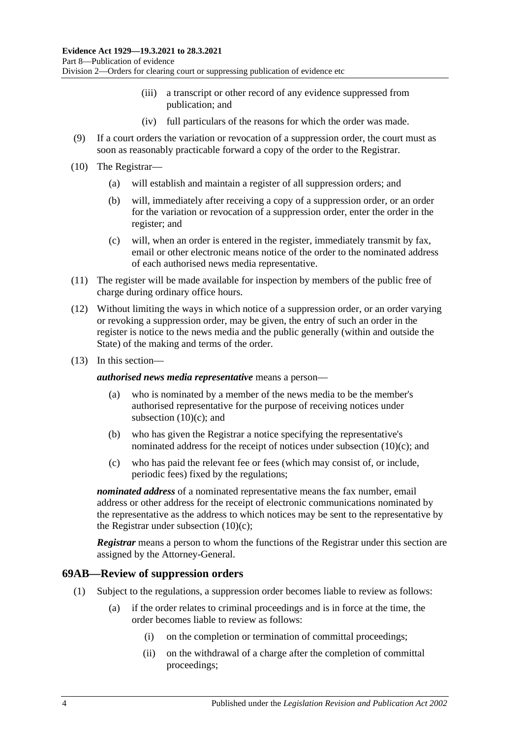- (iii) a transcript or other record of any evidence suppressed from publication; and
- (iv) full particulars of the reasons for which the order was made.
- (9) If a court orders the variation or revocation of a suppression order, the court must as soon as reasonably practicable forward a copy of the order to the Registrar.
- (10) The Registrar—
	- (a) will establish and maintain a register of all suppression orders; and
	- (b) will, immediately after receiving a copy of a suppression order, or an order for the variation or revocation of a suppression order, enter the order in the register; and
	- (c) will, when an order is entered in the register, immediately transmit by fax, email or other electronic means notice of the order to the nominated address of each authorised news media representative.
- <span id="page-89-0"></span>(11) The register will be made available for inspection by members of the public free of charge during ordinary office hours.
- (12) Without limiting the ways in which notice of a suppression order, or an order varying or revoking a suppression order, may be given, the entry of such an order in the register is notice to the news media and the public generally (within and outside the State) of the making and terms of the order.
- (13) In this section—

*authorised news media representative* means a person—

- (a) who is nominated by a member of the news media to be the member's authorised representative for the purpose of receiving notices under [subsection](#page-89-0)  $(10)(c)$ ; and
- (b) who has given the Registrar a notice specifying the representative's nominated address for the receipt of notices under [subsection](#page-89-0) (10)(c); and
- (c) who has paid the relevant fee or fees (which may consist of, or include, periodic fees) fixed by the regulations;

*nominated address* of a nominated representative means the fax number, email address or other address for the receipt of electronic communications nominated by the representative as the address to which notices may be sent to the representative by the Registrar under [subsection](#page-89-0)  $(10)(c)$ ;

*Registrar* means a person to whom the functions of the Registrar under this section are assigned by the Attorney-General.

#### **69AB—Review of suppression orders**

- (1) Subject to the regulations, a suppression order becomes liable to review as follows:
	- (a) if the order relates to criminal proceedings and is in force at the time, the order becomes liable to review as follows:
		- (i) on the completion or termination of committal proceedings;
		- (ii) on the withdrawal of a charge after the completion of committal proceedings;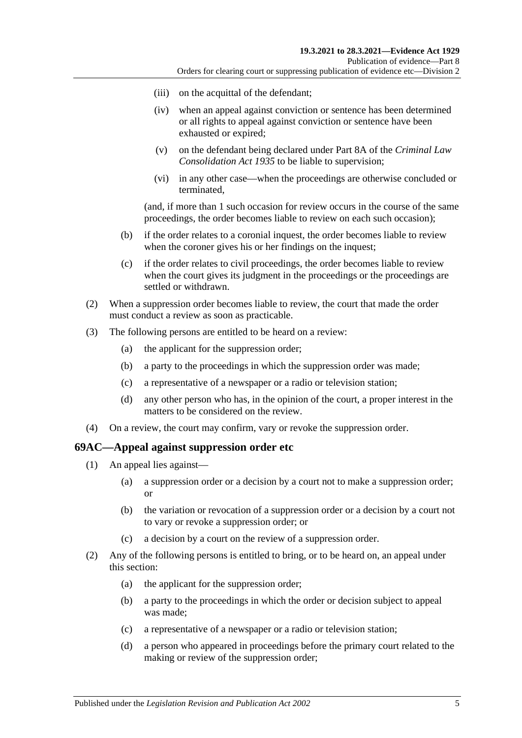- (iii) on the acquittal of the defendant;
- (iv) when an appeal against conviction or sentence has been determined or all rights to appeal against conviction or sentence have been exhausted or expired;
- (v) on the defendant being declared under Part 8A of the *[Criminal Law](http://www.legislation.sa.gov.au/index.aspx?action=legref&type=act&legtitle=Criminal%20Law%20Consolidation%20Act%201935)  [Consolidation Act](http://www.legislation.sa.gov.au/index.aspx?action=legref&type=act&legtitle=Criminal%20Law%20Consolidation%20Act%201935) 1935* to be liable to supervision;
- (vi) in any other case—when the proceedings are otherwise concluded or terminated,

(and, if more than 1 such occasion for review occurs in the course of the same proceedings, the order becomes liable to review on each such occasion);

- (b) if the order relates to a coronial inquest, the order becomes liable to review when the coroner gives his or her findings on the inquest;
- (c) if the order relates to civil proceedings, the order becomes liable to review when the court gives its judgment in the proceedings or the proceedings are settled or withdrawn.
- (2) When a suppression order becomes liable to review, the court that made the order must conduct a review as soon as practicable.
- (3) The following persons are entitled to be heard on a review:
	- (a) the applicant for the suppression order;
	- (b) a party to the proceedings in which the suppression order was made;
	- (c) a representative of a newspaper or a radio or television station;
	- (d) any other person who has, in the opinion of the court, a proper interest in the matters to be considered on the review.
- (4) On a review, the court may confirm, vary or revoke the suppression order.

#### **69AC—Appeal against suppression order etc**

- (1) An appeal lies against—
	- (a) a suppression order or a decision by a court not to make a suppression order; or
	- (b) the variation or revocation of a suppression order or a decision by a court not to vary or revoke a suppression order; or
	- (c) a decision by a court on the review of a suppression order.
- (2) Any of the following persons is entitled to bring, or to be heard on, an appeal under this section:
	- (a) the applicant for the suppression order;
	- (b) a party to the proceedings in which the order or decision subject to appeal was made;
	- (c) a representative of a newspaper or a radio or television station;
	- (d) a person who appeared in proceedings before the primary court related to the making or review of the suppression order;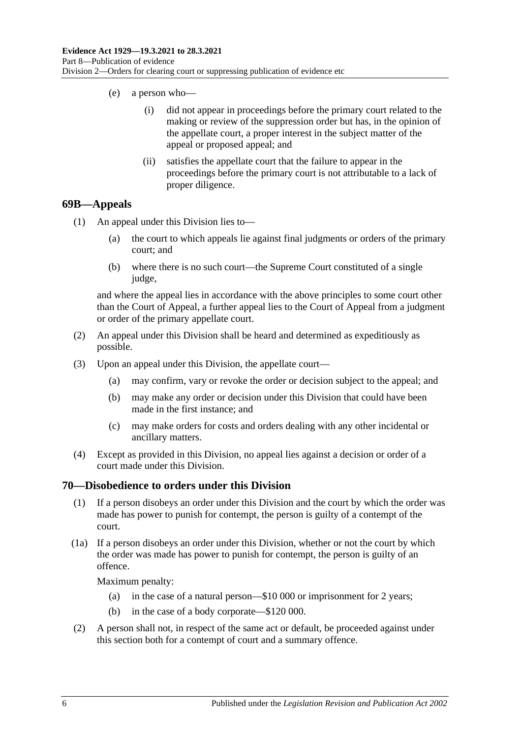- (e) a person who—
	- (i) did not appear in proceedings before the primary court related to the making or review of the suppression order but has, in the opinion of the appellate court, a proper interest in the subject matter of the appeal or proposed appeal; and
	- (ii) satisfies the appellate court that the failure to appear in the proceedings before the primary court is not attributable to a lack of proper diligence.

#### **69B—Appeals**

- (1) An appeal under this Division lies to—
	- (a) the court to which appeals lie against final judgments or orders of the primary court; and
	- (b) where there is no such court—the Supreme Court constituted of a single judge,

and where the appeal lies in accordance with the above principles to some court other than the Court of Appeal, a further appeal lies to the Court of Appeal from a judgment or order of the primary appellate court.

- (2) An appeal under this Division shall be heard and determined as expeditiously as possible.
- (3) Upon an appeal under this Division, the appellate court—
	- (a) may confirm, vary or revoke the order or decision subject to the appeal; and
	- (b) may make any order or decision under this Division that could have been made in the first instance; and
	- (c) may make orders for costs and orders dealing with any other incidental or ancillary matters.
- (4) Except as provided in this Division, no appeal lies against a decision or order of a court made under this Division.

#### **70—Disobedience to orders under this Division**

- (1) If a person disobeys an order under this Division and the court by which the order was made has power to punish for contempt, the person is guilty of a contempt of the court.
- (1a) If a person disobeys an order under this Division, whether or not the court by which the order was made has power to punish for contempt, the person is guilty of an offence.

Maximum penalty:

- (a) in the case of a natural person—\$10 000 or imprisonment for 2 years;
- (b) in the case of a body corporate—\$120 000.
- (2) A person shall not, in respect of the same act or default, be proceeded against under this section both for a contempt of court and a summary offence.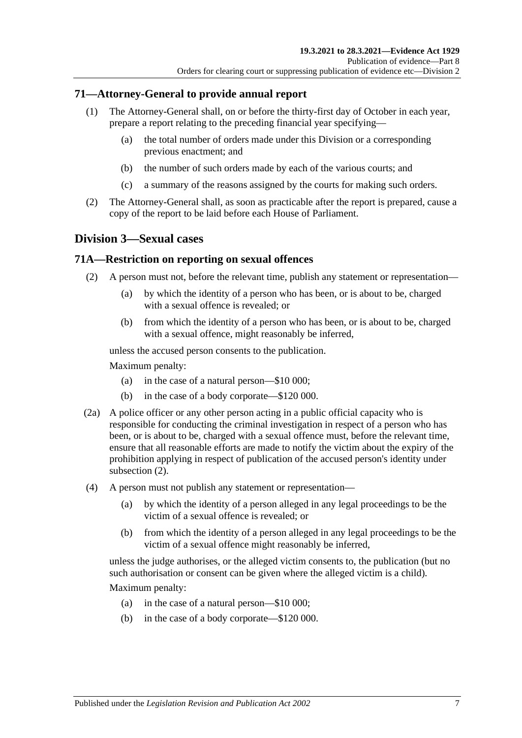### **71—Attorney-General to provide annual report**

- (1) The Attorney-General shall, on or before the thirty-first day of October in each year, prepare a report relating to the preceding financial year specifying—
	- (a) the total number of orders made under this Division or a corresponding previous enactment; and
	- (b) the number of such orders made by each of the various courts; and
	- (c) a summary of the reasons assigned by the courts for making such orders.
- (2) The Attorney-General shall, as soon as practicable after the report is prepared, cause a copy of the report to be laid before each House of Parliament.

## **Division 3—Sexual cases**

#### <span id="page-92-0"></span>**71A—Restriction on reporting on sexual offences**

- (2) A person must not, before the relevant time, publish any statement or representation—
	- (a) by which the identity of a person who has been, or is about to be, charged with a sexual offence is revealed; or
	- (b) from which the identity of a person who has been, or is about to be, charged with a sexual offence, might reasonably be inferred,

unless the accused person consents to the publication.

Maximum penalty:

- (a) in the case of a natural person—\$10 000;
- (b) in the case of a body corporate—\$120 000.
- (2a) A police officer or any other person acting in a public official capacity who is responsible for conducting the criminal investigation in respect of a person who has been, or is about to be, charged with a sexual offence must, before the relevant time, ensure that all reasonable efforts are made to notify the victim about the expiry of the prohibition applying in respect of publication of the accused person's identity under [subsection](#page-92-0) (2).
- (4) A person must not publish any statement or representation—
	- (a) by which the identity of a person alleged in any legal proceedings to be the victim of a sexual offence is revealed; or
	- (b) from which the identity of a person alleged in any legal proceedings to be the victim of a sexual offence might reasonably be inferred,

unless the judge authorises, or the alleged victim consents to, the publication (but no such authorisation or consent can be given where the alleged victim is a child).

Maximum penalty:

- (a) in the case of a natural person—\$10 000;
- (b) in the case of a body corporate—\$120 000.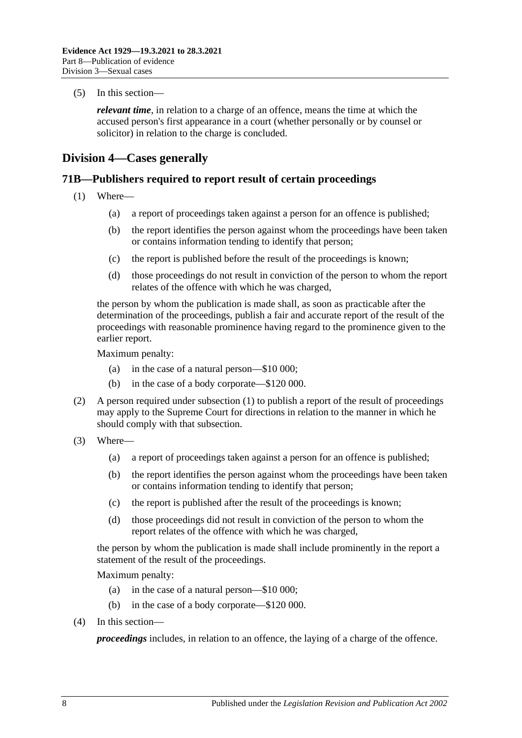(5) In this section—

*relevant time*, in relation to a charge of an offence, means the time at which the accused person's first appearance in a court (whether personally or by counsel or solicitor) in relation to the charge is concluded.

## **Division 4—Cases generally**

#### <span id="page-93-0"></span>**71B—Publishers required to report result of certain proceedings**

- (1) Where—
	- (a) a report of proceedings taken against a person for an offence is published;
	- (b) the report identifies the person against whom the proceedings have been taken or contains information tending to identify that person;
	- (c) the report is published before the result of the proceedings is known;
	- (d) those proceedings do not result in conviction of the person to whom the report relates of the offence with which he was charged,

the person by whom the publication is made shall, as soon as practicable after the determination of the proceedings, publish a fair and accurate report of the result of the proceedings with reasonable prominence having regard to the prominence given to the earlier report.

Maximum penalty:

- (a) in the case of a natural person—\$10 000;
- (b) in the case of a body corporate—\$120 000.
- (2) A person required under [subsection](#page-93-0) (1) to publish a report of the result of proceedings may apply to the Supreme Court for directions in relation to the manner in which he should comply with that subsection.
- (3) Where—
	- (a) a report of proceedings taken against a person for an offence is published;
	- (b) the report identifies the person against whom the proceedings have been taken or contains information tending to identify that person;
	- (c) the report is published after the result of the proceedings is known;
	- (d) those proceedings did not result in conviction of the person to whom the report relates of the offence with which he was charged,

the person by whom the publication is made shall include prominently in the report a statement of the result of the proceedings.

Maximum penalty:

- (a) in the case of a natural person—\$10 000;
- (b) in the case of a body corporate—\$120 000.
- (4) In this section—

*proceedings* includes, in relation to an offence, the laying of a charge of the offence.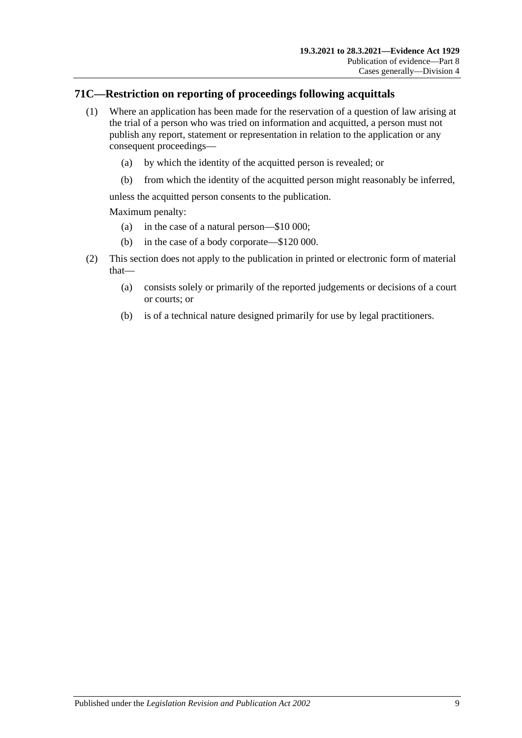## **71C—Restriction on reporting of proceedings following acquittals**

- (1) Where an application has been made for the reservation of a question of law arising at the trial of a person who was tried on information and acquitted, a person must not publish any report, statement or representation in relation to the application or any consequent proceedings—
	- (a) by which the identity of the acquitted person is revealed; or
	- (b) from which the identity of the acquitted person might reasonably be inferred,

unless the acquitted person consents to the publication.

Maximum penalty:

- (a) in the case of a natural person—\$10 000;
- (b) in the case of a body corporate—\$120 000.
- (2) This section does not apply to the publication in printed or electronic form of material that—
	- (a) consists solely or primarily of the reported judgements or decisions of a court or courts; or
	- (b) is of a technical nature designed primarily for use by legal practitioners.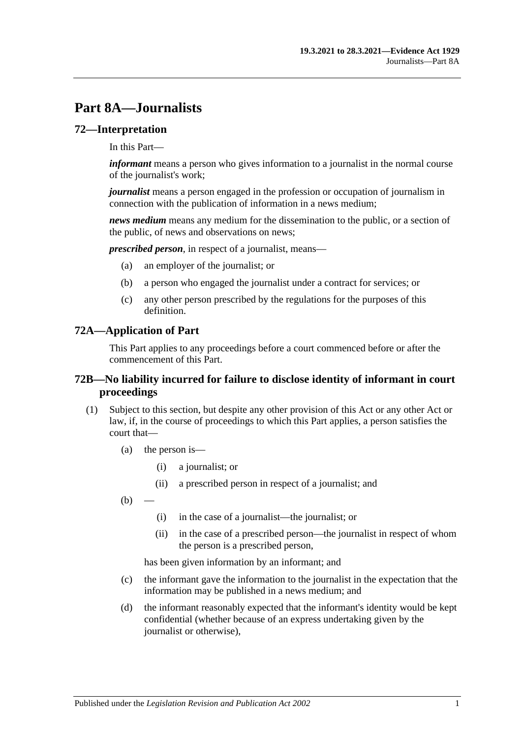# **Part 8A—Journalists**

#### **72—Interpretation**

In this Part—

*informant* means a person who gives information to a journalist in the normal course of the journalist's work;

*journalist* means a person engaged in the profession or occupation of journalism in connection with the publication of information in a news medium;

*news medium* means any medium for the dissemination to the public, or a section of the public, of news and observations on news;

*prescribed person*, in respect of a journalist, means—

- (a) an employer of the journalist; or
- (b) a person who engaged the journalist under a contract for services; or
- (c) any other person prescribed by the regulations for the purposes of this definition.

#### **72A—Application of Part**

This Part applies to any proceedings before a court commenced before or after the commencement of this Part.

#### **72B—No liability incurred for failure to disclose identity of informant in court proceedings**

- <span id="page-96-0"></span>(1) Subject to this section, but despite any other provision of this Act or any other Act or law, if, in the course of proceedings to which this Part applies, a person satisfies the court that—
	- (a) the person is—
		- (i) a journalist; or
		- (ii) a prescribed person in respect of a journalist; and
	- $(b)$ 
		- (i) in the case of a journalist—the journalist; or
		- (ii) in the case of a prescribed person—the journalist in respect of whom the person is a prescribed person,

has been given information by an informant; and

- (c) the informant gave the information to the journalist in the expectation that the information may be published in a news medium; and
- (d) the informant reasonably expected that the informant's identity would be kept confidential (whether because of an express undertaking given by the journalist or otherwise),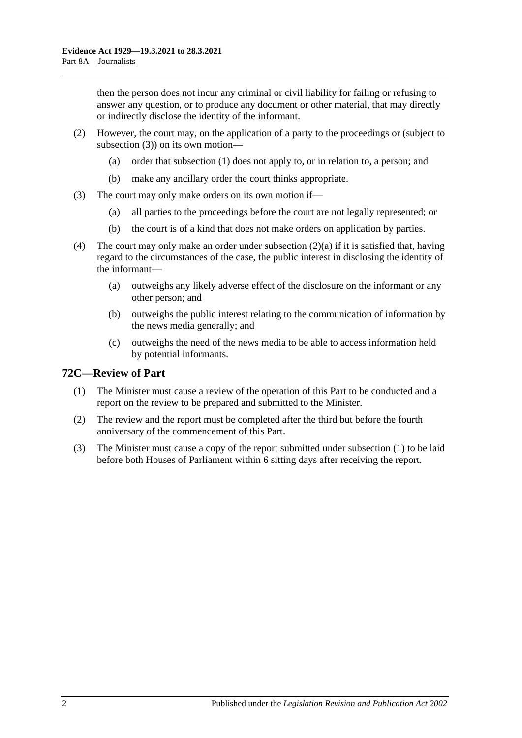then the person does not incur any criminal or civil liability for failing or refusing to answer any question, or to produce any document or other material, that may directly or indirectly disclose the identity of the informant.

- <span id="page-97-1"></span>(2) However, the court may, on the application of a party to the proceedings or (subject to [subsection](#page-97-0) (3)) on its own motion—
	- (a) order that [subsection](#page-96-0) (1) does not apply to, or in relation to, a person; and
	- (b) make any ancillary order the court thinks appropriate.
- <span id="page-97-0"></span>(3) The court may only make orders on its own motion if—
	- (a) all parties to the proceedings before the court are not legally represented; or
	- (b) the court is of a kind that does not make orders on application by parties.
- (4) The court may only make an order under [subsection](#page-97-1) (2)(a) if it is satisfied that, having regard to the circumstances of the case, the public interest in disclosing the identity of the informant—
	- (a) outweighs any likely adverse effect of the disclosure on the informant or any other person; and
	- (b) outweighs the public interest relating to the communication of information by the news media generally; and
	- (c) outweighs the need of the news media to be able to access information held by potential informants.

### <span id="page-97-2"></span>**72C—Review of Part**

- (1) The Minister must cause a review of the operation of this Part to be conducted and a report on the review to be prepared and submitted to the Minister.
- (2) The review and the report must be completed after the third but before the fourth anniversary of the commencement of this Part.
- (3) The Minister must cause a copy of the report submitted under [subsection](#page-97-2) (1) to be laid before both Houses of Parliament within 6 sitting days after receiving the report.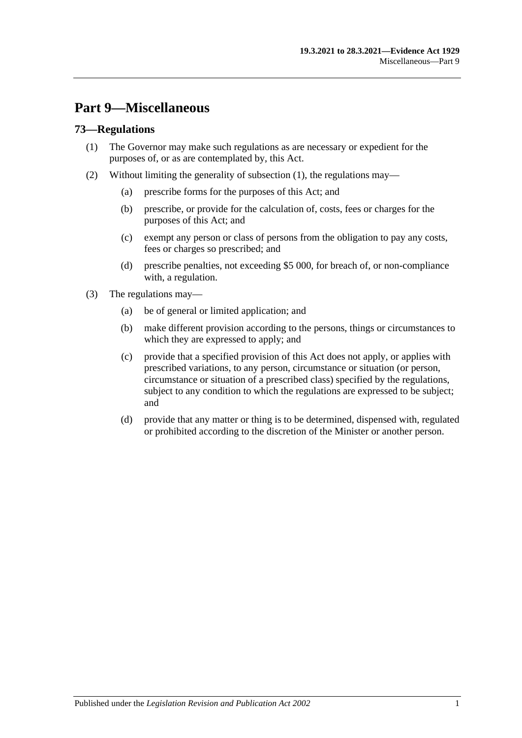# **Part 9—Miscellaneous**

#### <span id="page-98-0"></span>**73—Regulations**

- (1) The Governor may make such regulations as are necessary or expedient for the purposes of, or as are contemplated by, this Act.
- (2) Without limiting the generality of [subsection](#page-98-0) (1), the regulations may—
	- (a) prescribe forms for the purposes of this Act; and
	- (b) prescribe, or provide for the calculation of, costs, fees or charges for the purposes of this Act; and
	- (c) exempt any person or class of persons from the obligation to pay any costs, fees or charges so prescribed; and
	- (d) prescribe penalties, not exceeding \$5 000, for breach of, or non-compliance with, a regulation.
- (3) The regulations may—
	- (a) be of general or limited application; and
	- (b) make different provision according to the persons, things or circumstances to which they are expressed to apply; and
	- (c) provide that a specified provision of this Act does not apply, or applies with prescribed variations, to any person, circumstance or situation (or person, circumstance or situation of a prescribed class) specified by the regulations, subject to any condition to which the regulations are expressed to be subject; and
	- (d) provide that any matter or thing is to be determined, dispensed with, regulated or prohibited according to the discretion of the Minister or another person.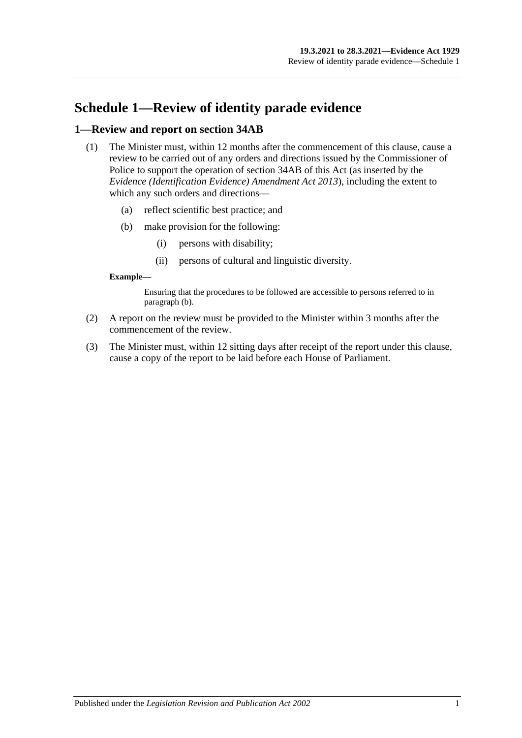# **Schedule 1—Review of identity parade evidence**

#### **1—Review and report on section 34AB**

- (1) The Minister must, within 12 months after the commencement of this clause, cause a review to be carried out of any orders and directions issued by the Commissioner of Police to support the operation of section 34AB of this Act (as inserted by the *[Evidence \(Identification Evidence\) Amendment Act](http://www.legislation.sa.gov.au/index.aspx?action=legref&type=act&legtitle=Evidence%20(Identification%20Evidence)%20Amendment%20Act%202013) 2013*), including the extent to which any such orders and directions—
	- (a) reflect scientific best practice; and
	- (b) make provision for the following:
		- (i) persons with disability;
		- (ii) persons of cultural and linguistic diversity.

#### <span id="page-100-0"></span>**Example—**

Ensuring that the procedures to be followed are accessible to persons referred to in [paragraph](#page-100-0) (b).

- (2) A report on the review must be provided to the Minister within 3 months after the commencement of the review.
- (3) The Minister must, within 12 sitting days after receipt of the report under this clause, cause a copy of the report to be laid before each House of Parliament.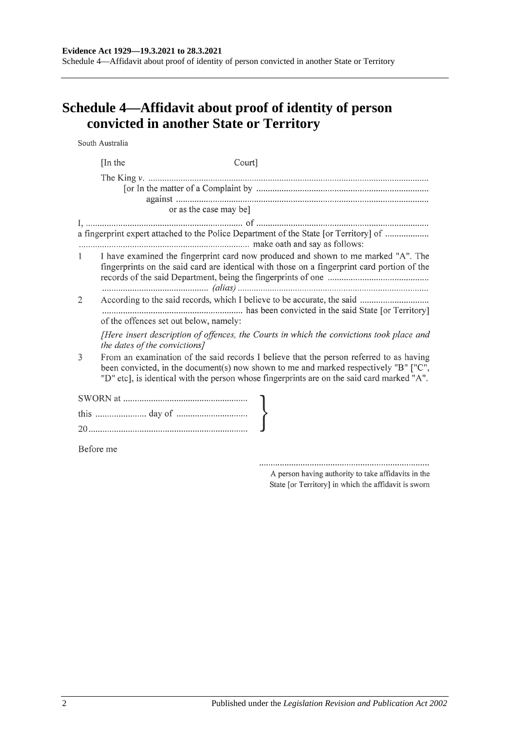Schedule 4—Affidavit about proof of identity of person convicted in another State or Territory

# **Schedule 4—Affidavit about proof of identity of person convicted in another State or Territory**

South Australia

|           | [In the<br>Court]                                                                                                                                                                                                                                                             |  |  |  |
|-----------|-------------------------------------------------------------------------------------------------------------------------------------------------------------------------------------------------------------------------------------------------------------------------------|--|--|--|
|           |                                                                                                                                                                                                                                                                               |  |  |  |
|           | or as the case may be]                                                                                                                                                                                                                                                        |  |  |  |
|           | a fingerprint expert attached to the Police Department of the State [or Territory] of                                                                                                                                                                                         |  |  |  |
| 1         | I have examined the fingerprint card now produced and shown to me marked "A". The<br>fingerprints on the said card are identical with those on a fingerprint card portion of the                                                                                              |  |  |  |
| 2         | of the offences set out below, namely:                                                                                                                                                                                                                                        |  |  |  |
|           | [Here insert description of offences, the Courts in which the convictions took place and<br>the dates of the convictions]                                                                                                                                                     |  |  |  |
| 3         | From an examination of the said records I believe that the person referred to as having<br>been convicted, in the document(s) now shown to me and marked respectively "B" ["C",<br>"D" etc], is identical with the person whose fingerprints are on the said card marked "A". |  |  |  |
|           |                                                                                                                                                                                                                                                                               |  |  |  |
|           |                                                                                                                                                                                                                                                                               |  |  |  |
|           |                                                                                                                                                                                                                                                                               |  |  |  |
| Before me |                                                                                                                                                                                                                                                                               |  |  |  |

A person having authority to take affidavits in the State [or Territory] in which the affidavit is sworn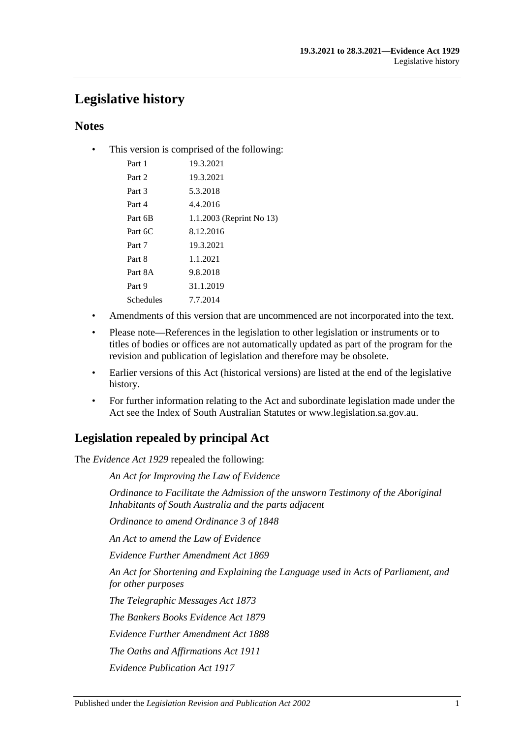# **Legislative history**

## **Notes**

• This version is comprised of the following:

| Part 1    | 19.3.2021                |
|-----------|--------------------------|
| Part 2    | 19.3.2021                |
| Part 3    | 5.3.2018                 |
| Part 4    | 4.4.2016                 |
| Part 6B   | 1.1.2003 (Reprint No 13) |
| Part 6C   | 8.12.2016                |
| Part 7    | 19.3.2021                |
| Part 8    | 1.1.2021                 |
| Part 8A   | 9.8.2018                 |
| Part 9    | 31.1.2019                |
| Schedules | 7.7.2014                 |
|           |                          |

- Amendments of this version that are uncommenced are not incorporated into the text.
- Please note—References in the legislation to other legislation or instruments or to titles of bodies or offices are not automatically updated as part of the program for the revision and publication of legislation and therefore may be obsolete.
- Earlier versions of this Act (historical versions) are listed at the end of the legislative history.
- For further information relating to the Act and subordinate legislation made under the Act see the Index of South Australian Statutes or www.legislation.sa.gov.au.

# **Legislation repealed by principal Act**

The *Evidence Act 1929* repealed the following:

*An Act for Improving the Law of Evidence*

*Ordinance to Facilitate the Admission of the unsworn Testimony of the Aboriginal Inhabitants of South Australia and the parts adjacent*

*Ordinance to amend Ordinance 3 of 1848*

*An Act to amend the Law of Evidence*

*Evidence Further Amendment Act 1869*

*An Act for Shortening and Explaining the Language used in Acts of Parliament, and for other purposes*

*The Telegraphic Messages Act 1873*

*The Bankers Books Evidence Act 1879*

*Evidence Further Amendment Act 1888*

*The Oaths and Affirmations Act 1911*

*Evidence Publication Act 1917*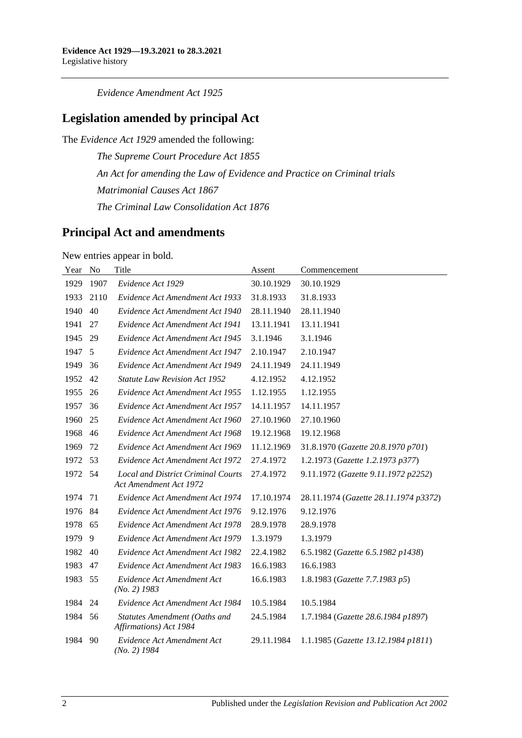*Evidence Amendment Act 1925*

# **Legislation amended by principal Act**

The *Evidence Act 1929* amended the following:

*The Supreme Court Procedure Act 1855 An Act for amending the Law of Evidence and Practice on Criminal trials Matrimonial Causes Act 1867 The Criminal Law Consolidation Act 1876*

## **Principal Act and amendments**

New entries appear in bold.

| Year | N <sub>o</sub> | Title                                                                      | Assent     | Commencement                          |
|------|----------------|----------------------------------------------------------------------------|------------|---------------------------------------|
| 1929 | 1907           | Evidence Act 1929                                                          | 30.10.1929 | 30.10.1929                            |
| 1933 | 2110           | Evidence Act Amendment Act 1933                                            | 31.8.1933  | 31.8.1933                             |
| 1940 | 40             | Evidence Act Amendment Act 1940                                            | 28.11.1940 | 28.11.1940                            |
| 1941 | 27             | Evidence Act Amendment Act 1941                                            | 13.11.1941 | 13.11.1941                            |
| 1945 | 29             | Evidence Act Amendment Act 1945                                            | 3.1.1946   | 3.1.1946                              |
| 1947 | 5              | Evidence Act Amendment Act 1947                                            | 2.10.1947  | 2.10.1947                             |
| 1949 | 36             | Evidence Act Amendment Act 1949                                            | 24.11.1949 | 24.11.1949                            |
| 1952 | 42             | <b>Statute Law Revision Act 1952</b>                                       | 4.12.1952  | 4.12.1952                             |
| 1955 | 26             | Evidence Act Amendment Act 1955                                            | 1.12.1955  | 1.12.1955                             |
| 1957 | 36             | Evidence Act Amendment Act 1957                                            | 14.11.1957 | 14.11.1957                            |
| 1960 | 25             | Evidence Act Amendment Act 1960                                            | 27.10.1960 | 27.10.1960                            |
| 1968 | 46             | Evidence Act Amendment Act 1968                                            | 19.12.1968 | 19.12.1968                            |
| 1969 | 72             | Evidence Act Amendment Act 1969                                            | 11.12.1969 | 31.8.1970 (Gazette 20.8.1970 p701)    |
| 1972 | 53             | Evidence Act Amendment Act 1972                                            | 27.4.1972  | 1.2.1973 (Gazette 1.2.1973 p377)      |
| 1972 | 54             | <b>Local and District Criminal Courts</b><br><b>Act Amendment Act 1972</b> | 27.4.1972  | 9.11.1972 (Gazette 9.11.1972 p2252)   |
| 1974 | 71             | Evidence Act Amendment Act 1974                                            | 17.10.1974 | 28.11.1974 (Gazette 28.11.1974 p3372) |
| 1976 | 84             | Evidence Act Amendment Act 1976                                            | 9.12.1976  | 9.12.1976                             |
| 1978 | 65             | Evidence Act Amendment Act 1978                                            | 28.9.1978  | 28.9.1978                             |
| 1979 | 9              | Evidence Act Amendment Act 1979                                            | 1.3.1979   | 1.3.1979                              |
| 1982 | 40             | Evidence Act Amendment Act 1982                                            | 22.4.1982  | 6.5.1982 (Gazette 6.5.1982 p1438)     |
| 1983 | 47             | Evidence Act Amendment Act 1983                                            | 16.6.1983  | 16.6.1983                             |
| 1983 | 55             | Evidence Act Amendment Act<br>$(No. 2)$ 1983                               | 16.6.1983  | 1.8.1983 (Gazette 7.7.1983 p5)        |
| 1984 | 24             | Evidence Act Amendment Act 1984                                            | 10.5.1984  | 10.5.1984                             |
| 1984 | 56             | Statutes Amendment (Oaths and<br>Affirmations) Act 1984                    | 24.5.1984  | 1.7.1984 (Gazette 28.6.1984 p1897)    |
| 1984 | 90             | Evidence Act Amendment Act<br>$(No. 2)$ 1984                               | 29.11.1984 | 1.1.1985 (Gazette 13.12.1984 p1811)   |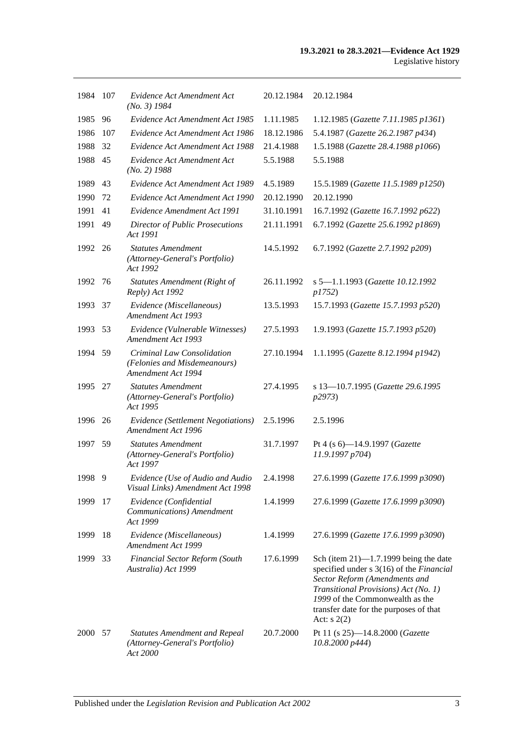| 1984 | - 107 | Evidence Act Amendment Act<br>$(No. 3)$ 1984                                       | 20.12.1984 | 20.12.1984                                                                                                                                                                                                                                                |
|------|-------|------------------------------------------------------------------------------------|------------|-----------------------------------------------------------------------------------------------------------------------------------------------------------------------------------------------------------------------------------------------------------|
| 1985 | 96    | Evidence Act Amendment Act 1985                                                    | 1.11.1985  | 1.12.1985 (Gazette 7.11.1985 p1361)                                                                                                                                                                                                                       |
| 1986 | 107   | Evidence Act Amendment Act 1986                                                    | 18.12.1986 | 5.4.1987 (Gazette 26.2.1987 p434)                                                                                                                                                                                                                         |
| 1988 | 32    | Evidence Act Amendment Act 1988                                                    | 21.4.1988  | 1.5.1988 (Gazette 28.4.1988 p1066)                                                                                                                                                                                                                        |
| 1988 | 45    | Evidence Act Amendment Act<br>$(No. 2)$ 1988                                       | 5.5.1988   | 5.5.1988                                                                                                                                                                                                                                                  |
| 1989 | 43    | Evidence Act Amendment Act 1989                                                    | 4.5.1989   | 15.5.1989 (Gazette 11.5.1989 p1250)                                                                                                                                                                                                                       |
| 1990 | 72    | Evidence Act Amendment Act 1990                                                    | 20.12.1990 | 20.12.1990                                                                                                                                                                                                                                                |
| 1991 | 41    | Evidence Amendment Act 1991                                                        | 31.10.1991 | 16.7.1992 (Gazette 16.7.1992 p622)                                                                                                                                                                                                                        |
| 1991 | 49    | <b>Director of Public Prosecutions</b><br>Act 1991                                 | 21.11.1991 | 6.7.1992 (Gazette 25.6.1992 p1869)                                                                                                                                                                                                                        |
| 1992 | 26    | <b>Statutes Amendment</b><br>(Attorney-General's Portfolio)<br>Act 1992            | 14.5.1992  | 6.7.1992 (Gazette 2.7.1992 p209)                                                                                                                                                                                                                          |
| 1992 | 76    | <b>Statutes Amendment (Right of</b><br>Reply) Act 1992                             | 26.11.1992 | s 5-1.1.1993 (Gazette 10.12.1992<br>p1752)                                                                                                                                                                                                                |
| 1993 | 37    | Evidence (Miscellaneous)<br>Amendment Act 1993                                     | 13.5.1993  | 15.7.1993 (Gazette 15.7.1993 p520)                                                                                                                                                                                                                        |
| 1993 | 53    | Evidence (Vulnerable Witnesses)<br>Amendment Act 1993                              | 27.5.1993  | 1.9.1993 (Gazette 15.7.1993 p520)                                                                                                                                                                                                                         |
| 1994 | 59    | Criminal Law Consolidation<br>(Felonies and Misdemeanours)<br>Amendment Act 1994   | 27.10.1994 | 1.1.1995 (Gazette 8.12.1994 p1942)                                                                                                                                                                                                                        |
| 1995 | 27    | <b>Statutes Amendment</b><br>(Attorney-General's Portfolio)<br>Act 1995            | 27.4.1995  | s 13-10.7.1995 (Gazette 29.6.1995<br>p2973)                                                                                                                                                                                                               |
| 1996 | 26    | Evidence (Settlement Negotiations)<br>Amendment Act 1996                           | 2.5.1996   | 2.5.1996                                                                                                                                                                                                                                                  |
| 1997 | 59    | <b>Statutes Amendment</b><br>(Attorney-General's Portfolio)<br>Act 1997            | 31.7.1997  | Pt 4 (s $6$ )-14.9.1997 ( <i>Gazette</i><br>11.9.1997 p704)                                                                                                                                                                                               |
| 1998 | 9     | Evidence (Use of Audio and Audio<br>Visual Links) Amendment Act 1998               | 2.4.1998   | 27.6.1999 (Gazette 17.6.1999 p3090)                                                                                                                                                                                                                       |
| 1999 | 17    | Evidence (Confidential<br>Communications) Amendment<br>Act 1999                    | 1.4.1999   | 27.6.1999 (Gazette 17.6.1999 p3090)                                                                                                                                                                                                                       |
| 1999 | 18    | Evidence (Miscellaneous)<br><b>Amendment Act 1999</b>                              | 1.4.1999   | 27.6.1999 (Gazette 17.6.1999 p3090)                                                                                                                                                                                                                       |
| 1999 | 33    | Financial Sector Reform (South<br>Australia) Act 1999                              | 17.6.1999  | Sch (item $21$ )—1.7.1999 being the date<br>specified under s 3(16) of the Financial<br>Sector Reform (Amendments and<br>Transitional Provisions) Act (No. 1)<br>1999 of the Commonwealth as the<br>transfer date for the purposes of that<br>Act: $s(2)$ |
| 2000 | 57    | <b>Statutes Amendment and Repeal</b><br>(Attorney-General's Portfolio)<br>Act 2000 | 20.7.2000  | Pt 11 (s 25)-14.8.2000 (Gazette<br>10.8.2000 p444)                                                                                                                                                                                                        |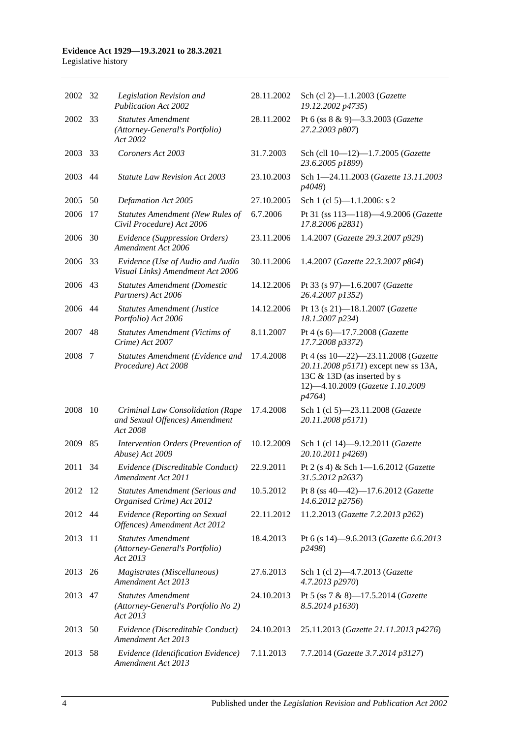#### **Evidence Act 1929—19.3.2021 to 28.3.2021** Legislative history

| 2002 32 |      | Legislation Revision and<br><b>Publication Act 2002</b>                        | 28.11.2002 | Sch (cl 2)-1.1.2003 (Gazette<br>19.12.2002 p4735)                                                                                                        |
|---------|------|--------------------------------------------------------------------------------|------------|----------------------------------------------------------------------------------------------------------------------------------------------------------|
| 2002 33 |      | <b>Statutes Amendment</b><br>(Attorney-General's Portfolio)<br>Act 2002        | 28.11.2002 | Pt 6 (ss 8 & 9)-3.3.2003 (Gazette<br>27.2.2003 p807)                                                                                                     |
| 2003    | 33   | Coroners Act 2003                                                              | 31.7.2003  | Sch (cll 10-12)-1.7.2005 (Gazette<br>23.6.2005 p1899)                                                                                                    |
| 2003    | 44   | <b>Statute Law Revision Act 2003</b>                                           | 23.10.2003 | Sch 1-24.11.2003 (Gazette 13.11.2003<br>p4048)                                                                                                           |
| 2005    | 50   | Defamation Act 2005                                                            | 27.10.2005 | Sch 1 (cl 5)-1.1.2006: s 2                                                                                                                               |
| 2006    | 17   | <b>Statutes Amendment (New Rules of</b><br>Civil Procedure) Act 2006           | 6.7.2006   | Pt 31 (ss 113-118)-4.9.2006 (Gazette<br>17.8.2006 p2831)                                                                                                 |
| 2006    | 30   | Evidence (Suppression Orders)<br>Amendment Act 2006                            | 23.11.2006 | 1.4.2007 (Gazette 29.3.2007 p929)                                                                                                                        |
| 2006    | - 33 | Evidence (Use of Audio and Audio<br>Visual Links) Amendment Act 2006           | 30.11.2006 | 1.4.2007 (Gazette 22.3.2007 p864)                                                                                                                        |
| 2006    | 43   | <b>Statutes Amendment (Domestic</b><br>Partners) Act 2006                      | 14.12.2006 | Pt 33 (s 97)-1.6.2007 (Gazette<br>26.4.2007 p1352)                                                                                                       |
| 2006    | 44   | <b>Statutes Amendment (Justice</b><br>Portfolio) Act 2006                      | 14.12.2006 | Pt 13 (s 21)-18.1.2007 (Gazette<br>18.1.2007 p234)                                                                                                       |
| 2007    | 48   | <b>Statutes Amendment (Victims of</b><br>Crime) Act 2007                       | 8.11.2007  | Pt 4 (s 6)-17.7.2008 (Gazette<br>17.7.2008 p3372)                                                                                                        |
| 2008    | 7    | Statutes Amendment (Evidence and<br>Procedure) Act 2008                        | 17.4.2008  | Pt 4 (ss 10-22)-23.11.2008 (Gazette<br>20.11.2008 p5171) except new ss 13A,<br>13C & 13D (as inserted by s<br>12)-4.10.2009 (Gazette 1.10.2009<br>p4764) |
| 2008    | 10   | Criminal Law Consolidation (Rape<br>and Sexual Offences) Amendment<br>Act 2008 | 17.4.2008  | Sch 1 (cl 5)-23.11.2008 (Gazette<br>20.11.2008 p5171)                                                                                                    |
| 2009    | 85   | Intervention Orders (Prevention of<br>Abuse) Act 2009                          | 10.12.2009 | Sch 1 (cl 14)-9.12.2011 (Gazette<br>20.10.2011 p4269)                                                                                                    |
| 2011    | 34   | Evidence (Discreditable Conduct)<br>Amendment Act 2011                         | 22.9.2011  | Pt 2 (s 4) & Sch 1-1.6.2012 (Gazette<br>31.5.2012 p2637)                                                                                                 |
| 2012    | - 12 | <b>Statutes Amendment (Serious and</b><br>Organised Crime) Act 2012            | 10.5.2012  | Pt 8 (ss 40-42)-17.6.2012 (Gazette<br>14.6.2012 p2756)                                                                                                   |
| 2012 44 |      | Evidence (Reporting on Sexual<br>Offences) Amendment Act 2012                  | 22.11.2012 | 11.2.2013 (Gazette 7.2.2013 p262)                                                                                                                        |
| 2013    | 11   | <b>Statutes Amendment</b><br>(Attorney-General's Portfolio)<br>Act 2013        | 18.4.2013  | Pt 6 (s 14)-9.6.2013 (Gazette 6.6.2013<br>p2498)                                                                                                         |
| 2013    | 26   | Magistrates (Miscellaneous)<br>Amendment Act 2013                              | 27.6.2013  | Sch 1 (cl 2)-4.7.2013 (Gazette<br>4.7.2013 p2970)                                                                                                        |
| 2013    | 47   | <b>Statutes Amendment</b><br>(Attorney-General's Portfolio No 2)<br>Act 2013   | 24.10.2013 | Pt 5 (ss 7 & 8)-17.5.2014 (Gazette<br>8.5.2014 p1630)                                                                                                    |
| 2013    | 50   | Evidence (Discreditable Conduct)<br>Amendment Act 2013                         | 24.10.2013 | 25.11.2013 (Gazette 21.11.2013 p4276)                                                                                                                    |
| 2013    | 58   | Evidence (Identification Evidence)<br>Amendment Act 2013                       | 7.11.2013  | 7.7.2014 (Gazette 3.7.2014 p3127)                                                                                                                        |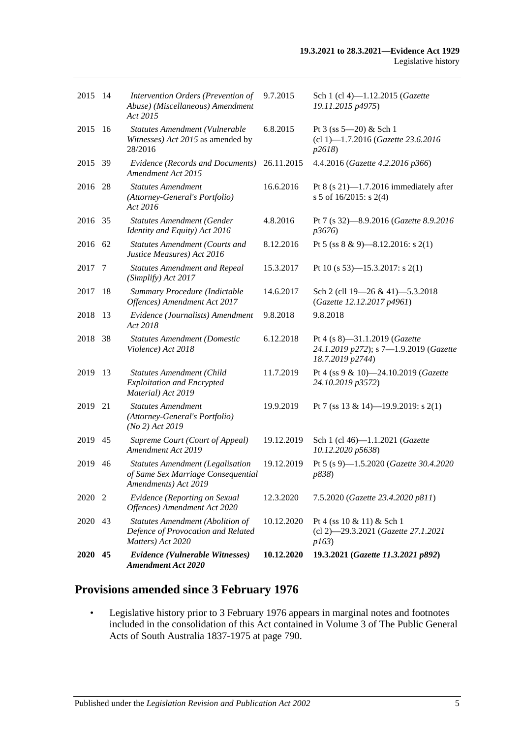| 2020 45      | Evidence (Vulnerable Witnesses)<br><b>Amendment Act 2020</b>                                          | 10.12.2020                | 19.3.2021 (Gazette 11.3.2021 p892)                                                          |
|--------------|-------------------------------------------------------------------------------------------------------|---------------------------|---------------------------------------------------------------------------------------------|
| 2020<br>43   | <b>Statutes Amendment (Abolition of</b><br>Defence of Provocation and Related<br>Matters) Act 2020    | 10.12.2020                | Pt 4 (ss $10 \& 11$ ) & Sch 1<br>(cl 2)-29.3.2021 (Gazette 27.1.2021<br>p163)               |
| 2020 2       | Evidence (Reporting on Sexual<br>Offences) Amendment Act 2020                                         | 12.3.2020                 | 7.5.2020 (Gazette 23.4.2020 p811)                                                           |
| 46           | <b>Statutes Amendment (Legalisation</b><br>of Same Sex Marriage Consequential<br>Amendments) Act 2019 | 19.12.2019                | Pt 5 (s 9)-1.5.2020 (Gazette 30.4.2020<br>p838)                                             |
| 45           | Supreme Court (Court of Appeal)<br>Amendment Act 2019                                                 | 19.12.2019                | Sch 1 (cl 46)-1.1.2021 (Gazette<br>10.12.2020 p5638)                                        |
| 21           | (Attorney-General's Portfolio)<br>(No 2) Act 2019                                                     | 19.9.2019                 | Pt 7 (ss 13 & 14)—19.9.2019: s 2(1)                                                         |
| 13           | <b>Statutes Amendment (Child</b><br><b>Exploitation and Encrypted</b><br>Material) Act 2019           | 11.7.2019                 | Pt 4 (ss 9 & 10)-24.10.2019 (Gazette<br>24.10.2019 p3572)                                   |
| 38           | <b>Statutes Amendment (Domestic</b><br>Violence) Act 2018                                             |                           | Pt 4 (s 8)-31.1.2019 (Gazette<br>24.1.2019 p272); s 7-1.9.2019 (Gazette<br>18.7.2019 p2744) |
| 13           | Evidence (Journalists) Amendment<br>Act 2018                                                          | 9.8.2018                  | 9.8.2018                                                                                    |
| 18           | Summary Procedure (Indictable<br>Offences) Amendment Act 2017                                         | 14.6.2017                 | Sch 2 (cll 19-26 & 41)-5.3.2018<br>(Gazette 12.12.2017 p4961)                               |
| 7            | <b>Statutes Amendment and Repeal</b><br>(Simplify) Act 2017                                           | 15.3.2017                 | Pt 10 (s 53)—15.3.2017: s 2(1)                                                              |
| 2016<br>- 62 | <b>Statutes Amendment (Courts and</b><br>Justice Measures) Act 2016                                   | 8.12.2016                 | Pt 5 (ss $8 \& 9$ )—8.12.2016: s 2(1)                                                       |
| 2016 35      | <b>Statutes Amendment (Gender</b><br>Identity and Equity) Act 2016                                    | 4.8.2016                  | Pt 7 (s 32)-8.9.2016 (Gazette 8.9.2016)<br>p3676                                            |
|              | <b>Statutes Amendment</b><br>(Attorney-General's Portfolio)<br>Act 2016                               | 16.6.2016                 | Pt 8 (s $21$ )-1.7.2016 immediately after<br>s 5 of 16/2015: s 2(4)                         |
| 2015 39      | Evidence (Records and Documents)<br>Amendment Act 2015                                                | 26.11.2015                | 4.4.2016 (Gazette 4.2.2016 p366)                                                            |
| -16          | Statutes Amendment (Vulnerable<br>Witnesses) Act 2015 as amended by<br>28/2016                        | 6.8.2015                  | Pt $3$ (ss $5 - 20$ ) & Sch 1<br>(cl 1)-1.7.2016 (Gazette 23.6.2016<br>p2618                |
| 2015 14      | Intervention Orders (Prevention of<br>Abuse) (Miscellaneous) Amendment<br>Act 2015                    | 9.7.2015                  | Sch 1 (cl 4)-1.12.2015 (Gazette<br>19.11.2015 p4975)                                        |
|              | 28                                                                                                    | <b>Statutes Amendment</b> | 6.12.2018                                                                                   |

## **Provisions amended since 3 February 1976**

• Legislative history prior to 3 February 1976 appears in marginal notes and footnotes included in the consolidation of this Act contained in Volume 3 of The Public General Acts of South Australia 1837-1975 at page 790.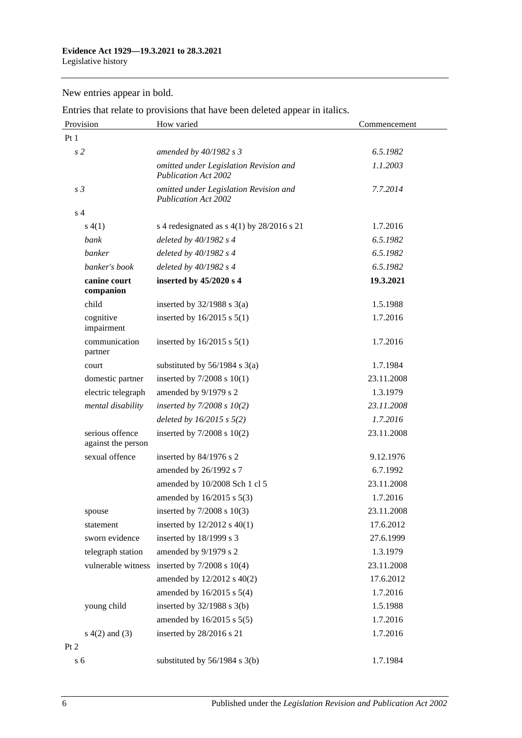New entries appear in bold.

Entries that relate to provisions that have been deleted appear in italics.

| Provision                             | How varied                                                            | Commencement |
|---------------------------------------|-----------------------------------------------------------------------|--------------|
| Pt1                                   |                                                                       |              |
| s <sub>2</sub>                        | amended by 40/1982 s 3                                                | 6.5.1982     |
|                                       | omitted under Legislation Revision and<br><b>Publication Act 2002</b> | 1.1.2003     |
| s <sub>3</sub>                        | omitted under Legislation Revision and<br><b>Publication Act 2002</b> | 7.7.2014     |
| s <sub>4</sub>                        |                                                                       |              |
| s(4(1))                               | s 4 redesignated as $s$ 4(1) by 28/2016 s 21                          | 1.7.2016     |
| bank                                  | deleted by $40/1982$ s 4                                              | 6.5.1982     |
| banker                                | deleted by 40/1982 s 4                                                | 6.5.1982     |
| banker's book                         | deleted by $40/1982$ s 4                                              | 6.5.1982     |
| canine court<br>companion             | inserted by 45/2020 s 4                                               | 19.3.2021    |
| child                                 | inserted by $32/1988$ s $3(a)$                                        | 1.5.1988     |
| cognitive<br>impairment               | inserted by $16/2015$ s $5(1)$                                        | 1.7.2016     |
| communication<br>partner              | inserted by $16/2015$ s $5(1)$                                        | 1.7.2016     |
| court                                 | substituted by $56/1984$ s $3(a)$                                     | 1.7.1984     |
| domestic partner                      | inserted by $7/2008$ s $10(1)$                                        | 23.11.2008   |
| electric telegraph                    | amended by 9/1979 s 2                                                 | 1.3.1979     |
| mental disability                     | inserted by $7/2008 s 10(2)$                                          | 23.11.2008   |
|                                       | deleted by $16/2015$ s $5(2)$                                         | 1.7.2016     |
| serious offence<br>against the person | inserted by $7/2008$ s $10(2)$                                        | 23.11.2008   |
| sexual offence                        | inserted by 84/1976 s 2                                               | 9.12.1976    |
|                                       | amended by 26/1992 s 7                                                | 6.7.1992     |
|                                       | amended by 10/2008 Sch 1 cl 5                                         | 23.11.2008   |
|                                       | amended by $16/2015$ s $5(3)$                                         | 1.7.2016     |
| spouse                                | inserted by $7/2008$ s $10(3)$                                        | 23.11.2008   |
| statement                             | inserted by $12/2012$ s $40(1)$                                       | 17.6.2012    |
| sworn evidence                        | inserted by 18/1999 s 3                                               | 27.6.1999    |
| telegraph station                     | amended by 9/1979 s 2                                                 | 1.3.1979     |
| vulnerable witness                    | inserted by $7/2008$ s $10(4)$                                        | 23.11.2008   |
|                                       | amended by 12/2012 s 40(2)                                            | 17.6.2012    |
|                                       | amended by 16/2015 s 5(4)                                             | 1.7.2016     |
| young child                           | inserted by $32/1988$ s $3(b)$                                        | 1.5.1988     |
|                                       | amended by 16/2015 s 5(5)                                             | 1.7.2016     |
| $s(4(2)$ and $(3)$                    | inserted by 28/2016 s 21                                              | 1.7.2016     |
| Pt 2                                  |                                                                       |              |
| s <sub>6</sub>                        | substituted by $56/1984$ s $3(b)$                                     | 1.7.1984     |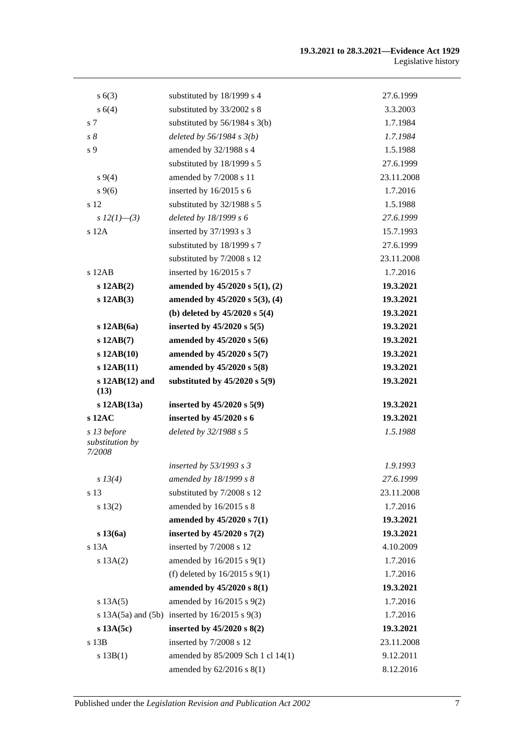#### **19.3.2021 to 28.3.2021—Evidence Act 1929** Legislative history

| s(6(3))                                  | substituted by 18/1999 s 4                            | 27.6.1999  |
|------------------------------------------|-------------------------------------------------------|------------|
| s 6(4)                                   | substituted by 33/2002 s 8                            | 3.3.2003   |
| s <sub>7</sub>                           | substituted by $56/1984$ s 3(b)                       | 1.7.1984   |
| $s\,\delta$                              | deleted by $56/1984$ s $3(b)$                         | 1.7.1984   |
| s 9                                      | amended by 32/1988 s 4                                | 1.5.1988   |
|                                          | substituted by 18/1999 s 5                            | 27.6.1999  |
| $s\,9(4)$                                | amended by 7/2008 s 11                                | 23.11.2008 |
| $s \, 9(6)$                              | inserted by 16/2015 s 6                               | 1.7.2016   |
| s 12                                     | substituted by 32/1988 s 5                            | 1.5.1988   |
| s $12(1)$ —(3)                           | deleted by 18/1999 s 6                                | 27.6.1999  |
| $s$ 12A                                  | inserted by 37/1993 s 3                               | 15.7.1993  |
|                                          | substituted by 18/1999 s 7                            | 27.6.1999  |
|                                          | substituted by 7/2008 s 12                            | 23.11.2008 |
| s 12AB                                   | inserted by 16/2015 s 7                               | 1.7.2016   |
| $s$ 12AB $(2)$                           | amended by 45/2020 s 5(1), (2)                        | 19.3.2021  |
| $s$ 12AB $(3)$                           | amended by 45/2020 s 5(3), (4)                        | 19.3.2021  |
|                                          | (b) deleted by $45/2020$ s $5(4)$                     | 19.3.2021  |
| $s$ 12AB $(6a)$                          | inserted by $45/2020$ s $5(5)$                        | 19.3.2021  |
| $s$ 12AB $(7)$                           | amended by 45/2020 s 5(6)                             | 19.3.2021  |
| $s$ 12AB $(10)$                          | amended by 45/2020 s 5(7)                             | 19.3.2021  |
| $s$ 12AB $(11)$                          | amended by 45/2020 s 5(8)                             | 19.3.2021  |
| $s$ 12AB $(12)$ and<br>(13)              | substituted by $45/2020$ s $5(9)$                     | 19.3.2021  |
| $s$ 12AB $(13a)$                         | inserted by $45/2020$ s $5(9)$                        | 19.3.2021  |
| s 12AC                                   | inserted by 45/2020 s 6                               | 19.3.2021  |
| s 13 before<br>substitution by<br>7/2008 | deleted by 32/1988 s 5                                | 1.5.1988   |
|                                          | inserted by 53/1993 s 3                               | 1.9.1993   |
| s 13(4)                                  | amended by 18/1999 s 8                                | 27.6.1999  |
| s 13                                     | substituted by 7/2008 s 12                            | 23.11.2008 |
| s 13(2)                                  | amended by 16/2015 s 8                                | 1.7.2016   |
|                                          | amended by 45/2020 s 7(1)                             | 19.3.2021  |
| $s\,13(6a)$                              |                                                       |            |
|                                          | inserted by $45/2020$ s $7(2)$                        | 19.3.2021  |
| s 13A                                    | inserted by 7/2008 s 12                               | 4.10.2009  |
| s 13A(2)                                 | amended by 16/2015 s 9(1)                             | 1.7.2016   |
|                                          | (f) deleted by $16/2015$ s $9(1)$                     | 1.7.2016   |
|                                          | amended by 45/2020 s 8(1)                             | 19.3.2021  |
| s 13A(5)                                 | amended by 16/2015 s 9(2)                             | 1.7.2016   |
|                                          | s $13A(5a)$ and $(5b)$ inserted by $16/2015$ s $9(3)$ | 1.7.2016   |
| $s$ 13A $(5c)$                           | inserted by $45/2020$ s $8(2)$                        | 19.3.2021  |
| s 13B                                    | inserted by 7/2008 s 12                               | 23.11.2008 |
| s 13B(1)                                 | amended by 85/2009 Sch 1 cl 14(1)                     | 9.12.2011  |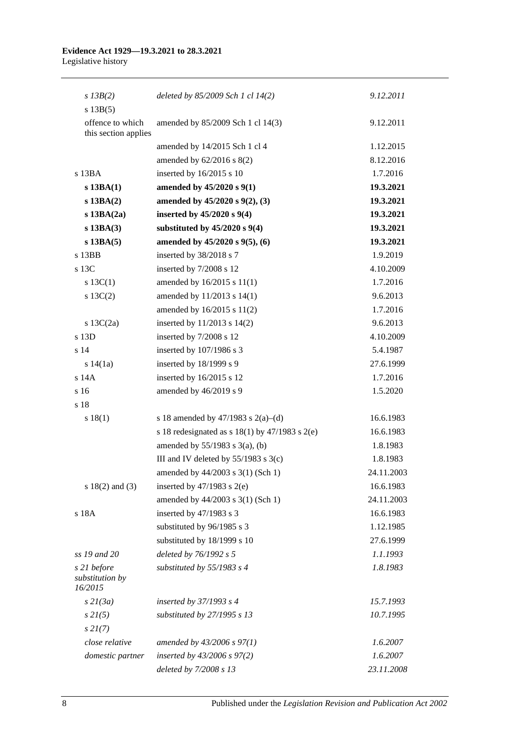| $s$ 13B(2)                               | deleted by $85/2009$ Sch 1 cl $14(2)$                | 9.12.2011  |
|------------------------------------------|------------------------------------------------------|------------|
| s 13B(5)                                 |                                                      |            |
| offence to which<br>this section applies | amended by 85/2009 Sch 1 cl 14(3)                    | 9.12.2011  |
|                                          | amended by 14/2015 Sch 1 cl 4                        | 1.12.2015  |
|                                          | amended by $62/2016$ s $8(2)$                        | 8.12.2016  |
| $s$ 13BA                                 | inserted by 16/2015 s 10                             | 1.7.2016   |
| $s$ 13BA $(1)$                           | amended by 45/2020 s 9(1)                            | 19.3.2021  |
| $s$ 13BA $(2)$                           | amended by 45/2020 s 9(2), (3)                       | 19.3.2021  |
| $s$ 13BA $(2a)$                          | inserted by $45/2020$ s $9(4)$                       | 19.3.2021  |
| $s$ 13BA $(3)$                           | substituted by $45/2020$ s $9(4)$                    | 19.3.2021  |
| $s$ 13BA $(5)$                           | amended by $45/2020$ s $9(5)$ , (6)                  | 19.3.2021  |
| s 13BB                                   | inserted by 38/2018 s 7                              | 1.9.2019   |
| s 13C                                    | inserted by 7/2008 s 12                              | 4.10.2009  |
| s $13C(1)$                               | amended by $16/2015$ s $11(1)$                       | 1.7.2016   |
| s 13C(2)                                 | amended by 11/2013 s 14(1)                           | 9.6.2013   |
|                                          | amended by 16/2015 s 11(2)                           | 1.7.2016   |
| s $13C(2a)$                              | inserted by 11/2013 s 14(2)                          | 9.6.2013   |
| s 13D                                    | inserted by 7/2008 s 12                              | 4.10.2009  |
| s 14                                     | inserted by 107/1986 s 3                             | 5.4.1987   |
| s $14(1a)$                               | inserted by 18/1999 s 9                              | 27.6.1999  |
| s 14A                                    | inserted by 16/2015 s 12                             | 1.7.2016   |
| s 16                                     | amended by 46/2019 s 9                               | 1.5.2020   |
| s 18                                     |                                                      |            |
| s 18(1)                                  | s 18 amended by 47/1983 s 2(a)–(d)                   | 16.6.1983  |
|                                          | s 18 redesignated as s $18(1)$ by $47/1983$ s $2(e)$ | 16.6.1983  |
|                                          | amended by $55/1983$ s $3(a)$ , (b)                  | 1.8.1983   |
|                                          | III and IV deleted by $55/1983$ s $3(c)$             | 1.8.1983   |
|                                          | amended by 44/2003 s 3(1) (Sch 1)                    | 24.11.2003 |
| $s 18(2)$ and (3)                        | inserted by $47/1983$ s $2(e)$                       | 16.6.1983  |
|                                          | amended by 44/2003 s 3(1) (Sch 1)                    | 24.11.2003 |
| s 18A                                    | inserted by 47/1983 s 3                              | 16.6.1983  |
|                                          | substituted by 96/1985 s 3                           | 1.12.1985  |
|                                          | substituted by 18/1999 s 10                          | 27.6.1999  |
| ss 19 and 20                             | deleted by 76/1992 s 5                               | 1.1.1993   |
| s 21 before                              | substituted by 55/1983 s 4                           | 1.8.1983   |
| substitution by<br>16/2015               |                                                      |            |
| s21(3a)                                  | inserted by $37/1993$ s 4                            | 15.7.1993  |
| $s\,2I(5)$                               | substituted by 27/1995 s 13                          | 10.7.1995  |
| $s\,2I(7)$                               |                                                      |            |
| close relative                           | amended by $43/2006$ s $97(1)$                       | 1.6.2007   |
| domestic partner                         | inserted by $43/2006$ s $97(2)$                      | 1.6.2007   |
|                                          | deleted by 7/2008 s 13                               | 23.11.2008 |

8 Published under the *Legislation Revision and Publication Act 2002*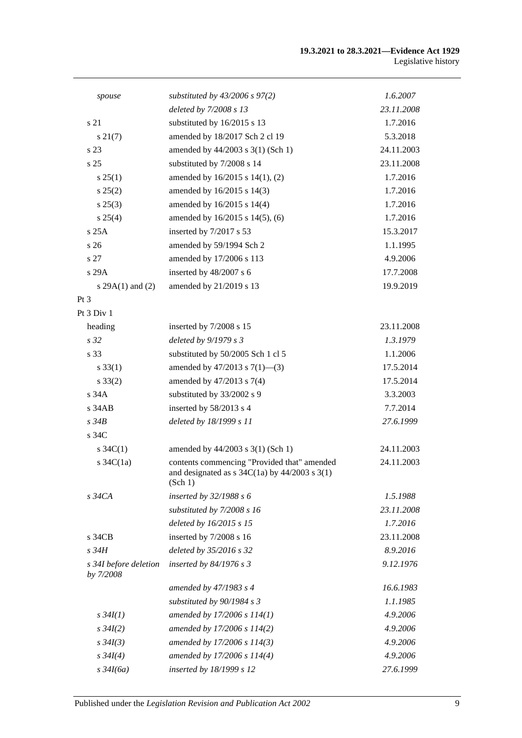#### **19.3.2021 to 28.3.2021—Evidence Act 1929** Legislative history

| spouse                             | substituted by $43/2006$ s $97(2)$                                                                                                            | 1.6.2007   |
|------------------------------------|-----------------------------------------------------------------------------------------------------------------------------------------------|------------|
|                                    | deleted by 7/2008 s 13                                                                                                                        | 23.11.2008 |
| s 21                               | substituted by 16/2015 s 13                                                                                                                   | 1.7.2016   |
| $s\,21(7)$                         | amended by 18/2017 Sch 2 cl 19                                                                                                                | 5.3.2018   |
| s 23                               | amended by 44/2003 s 3(1) (Sch 1)                                                                                                             | 24.11.2003 |
| s <sub>25</sub>                    | substituted by 7/2008 s 14                                                                                                                    | 23.11.2008 |
| $s \, 25(1)$                       | amended by 16/2015 s 14(1), (2)                                                                                                               | 1.7.2016   |
| $s\,25(2)$                         | amended by 16/2015 s 14(3)                                                                                                                    | 1.7.2016   |
| $s\,25(3)$                         | amended by $16/2015$ s $14(4)$                                                                                                                | 1.7.2016   |
| $s \, 25(4)$                       | amended by 16/2015 s 14(5), (6)                                                                                                               | 1.7.2016   |
| s25A                               | inserted by 7/2017 s 53                                                                                                                       | 15.3.2017  |
| s <sub>26</sub>                    | amended by 59/1994 Sch 2                                                                                                                      | 1.1.1995   |
| s <sub>27</sub>                    | amended by 17/2006 s 113                                                                                                                      | 4.9.2006   |
| s 29A                              | inserted by 48/2007 s 6                                                                                                                       | 17.7.2008  |
| s $29A(1)$ and $(2)$               | amended by 21/2019 s 13                                                                                                                       | 19.9.2019  |
| $Pt\,3$                            |                                                                                                                                               |            |
| Pt 3 Div 1                         |                                                                                                                                               |            |
| heading                            | inserted by 7/2008 s 15                                                                                                                       | 23.11.2008 |
| s <sub>32</sub>                    | deleted by 9/1979 s 3                                                                                                                         | 1.3.1979   |
| s 33                               | substituted by 50/2005 Sch 1 cl 5                                                                                                             | 1.1.2006   |
| $s \, 33(1)$                       | amended by $47/2013$ s $7(1)$ —(3)                                                                                                            | 17.5.2014  |
| $s \, 33(2)$                       | amended by 47/2013 s 7(4)                                                                                                                     | 17.5.2014  |
| s 34A                              | substituted by 33/2002 s 9                                                                                                                    | 3.3.2003   |
| $s$ 34 $AB$                        | inserted by 58/2013 s 4                                                                                                                       | 7.7.2014   |
| $s\,34B$                           | deleted by 18/1999 s 11                                                                                                                       | 27.6.1999  |
| s 34C                              |                                                                                                                                               |            |
| s $34C(1)$                         | amended by 44/2003 s 3(1) (Sch 1)                                                                                                             | 24.11.2003 |
| s $34C(1a)$                        | contents commencing "Provided that" amended<br>and designated as $s \frac{34C(1a)}{y}$ by $\frac{44}{2003} \frac{s \cdot 3(1)}{y}$<br>(Sch 1) | 24.11.2003 |
| $s\,34CA$                          | inserted by $32/1988 s 6$                                                                                                                     | 1.5.1988   |
|                                    | substituted by 7/2008 s 16                                                                                                                    | 23.11.2008 |
|                                    | deleted by 16/2015 s 15                                                                                                                       | 1.7.2016   |
| $s\,34CB$                          | inserted by 7/2008 s 16                                                                                                                       | 23.11.2008 |
| s 34H                              | deleted by 35/2016 s 32                                                                                                                       | 8.9.2016   |
| s 34I before deletion<br>by 7/2008 | inserted by $84/1976$ s 3                                                                                                                     | 9.12.1976  |
|                                    | amended by 47/1983 s 4                                                                                                                        | 16.6.1983  |
|                                    | substituted by $90/1984 s 3$                                                                                                                  | 1.1.1985   |
| $s \, 34I(1)$                      | amended by 17/2006 s 114(1)                                                                                                                   | 4.9.2006   |
| $s \, 34I(2)$                      | amended by 17/2006 s 114(2)                                                                                                                   | 4.9.2006   |
| $s \, 34I(3)$                      | amended by 17/2006 s 114(3)                                                                                                                   | 4.9.2006   |
| $s \, 34I(4)$                      | amended by 17/2006 s 114(4)                                                                                                                   | 4.9.2006   |
| $s\,34I(6a)$                       | inserted by 18/1999 s 12                                                                                                                      | 27.6.1999  |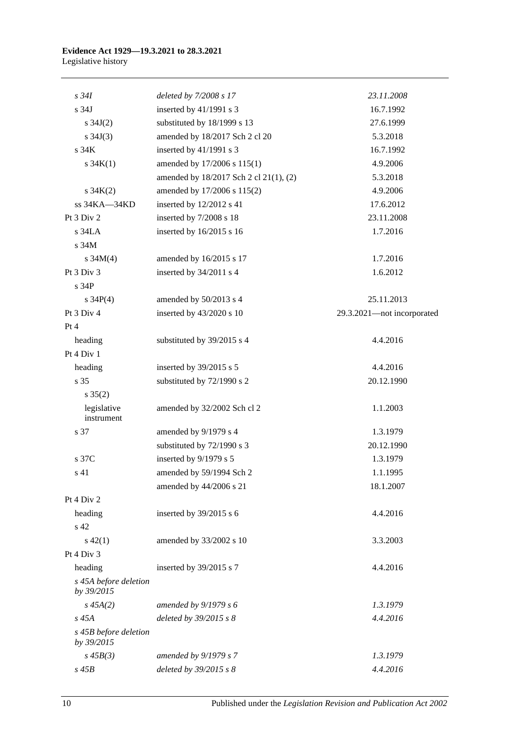| $s\,34I$                            | deleted by 7/2008 s 17                 | 23.11.2008                 |
|-------------------------------------|----------------------------------------|----------------------------|
| s <sub>34J</sub>                    | inserted by 41/1991 s 3                | 16.7.1992                  |
| $s \, 34J(2)$                       | substituted by 18/1999 s 13            | 27.6.1999                  |
| $s \, 34J(3)$                       | amended by 18/2017 Sch 2 cl 20         | 5.3.2018                   |
| s <sub>34K</sub>                    | inserted by 41/1991 s 3                | 16.7.1992                  |
| $s \, 34K(1)$                       | amended by 17/2006 s 115(1)            | 4.9.2006                   |
|                                     | amended by 18/2017 Sch 2 cl 21(1), (2) | 5.3.2018                   |
| $s \, 34K(2)$                       | amended by 17/2006 s 115(2)            | 4.9.2006                   |
| ss 34KA-34KD                        | inserted by 12/2012 s 41               | 17.6.2012                  |
| Pt 3 Div 2                          | inserted by 7/2008 s 18                | 23.11.2008                 |
| $s$ 34LA                            | inserted by 16/2015 s 16               | 1.7.2016                   |
| s 34M                               |                                        |                            |
| s $34M(4)$                          | amended by 16/2015 s 17                | 1.7.2016                   |
| Pt 3 Div 3                          | inserted by 34/2011 s 4                | 1.6.2012                   |
| s 34P                               |                                        |                            |
| s $34P(4)$                          | amended by 50/2013 s 4                 | 25.11.2013                 |
| Pt 3 Div 4                          | inserted by 43/2020 s 10               | 29.3.2021-not incorporated |
| Pt 4                                |                                        |                            |
| heading                             | substituted by 39/2015 s 4             | 4.4.2016                   |
| Pt 4 Div 1                          |                                        |                            |
| heading                             | inserted by $39/2015$ s 5              | 4.4.2016                   |
| s 35                                | substituted by 72/1990 s 2             | 20.12.1990                 |
| $s \, 35(2)$                        |                                        |                            |
| legislative                         | amended by 32/2002 Sch cl 2            | 1.1.2003                   |
| instrument                          |                                        |                            |
| s 37                                | amended by 9/1979 s 4                  | 1.3.1979                   |
|                                     | substituted by 72/1990 s 3             | 20.12.1990                 |
| s 37C                               | inserted by 9/1979 s 5                 | 1.3.1979                   |
| s 41                                | amended by 59/1994 Sch 2               | 1.1.1995                   |
|                                     | amended by 44/2006 s 21                | 18.1.2007                  |
| Pt 4 Div 2                          |                                        |                            |
| heading                             | inserted by $39/2015$ s 6              | 4.4.2016                   |
| s 42                                |                                        |                            |
| $s\ 42(1)$                          | amended by 33/2002 s 10                | 3.3.2003                   |
| Pt 4 Div 3                          |                                        |                            |
| heading                             | inserted by 39/2015 s 7                | 4.4.2016                   |
| s 45A before deletion<br>by 39/2015 |                                        |                            |
| $s\,45A(2)$                         | amended by $9/1979 s 6$                | 1.3.1979                   |
| $s\,45A$                            | deleted by 39/2015 s 8                 | 4.4.2016                   |
| s 45B before deletion<br>by 39/2015 |                                        |                            |
| $s\,45B(3)$                         | amended by 9/1979 s 7                  | 1.3.1979                   |
| $s$ 45 $B$                          | deleted by 39/2015 s 8                 | 4.4.2016                   |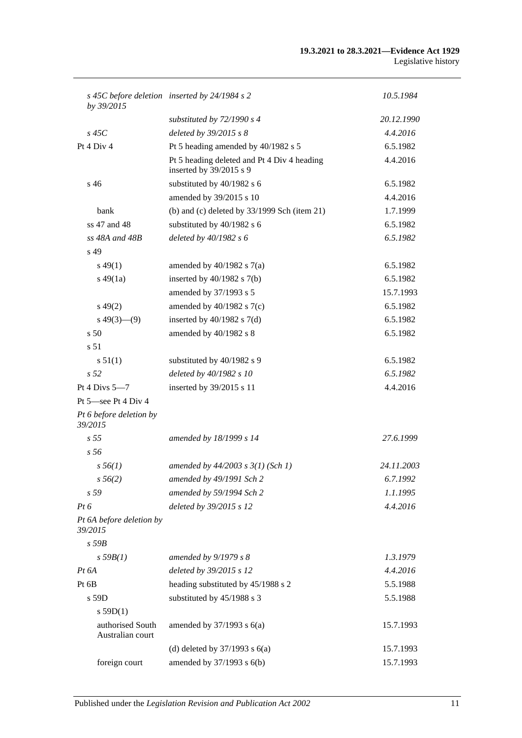| by 39/2015                           | s 45C before deletion inserted by 24/1984 s 2                          | 10.5.1984  |
|--------------------------------------|------------------------------------------------------------------------|------------|
|                                      | substituted by $72/1990 s 4$                                           | 20.12.1990 |
| $s$ 45 $C$                           | deleted by 39/2015 s 8                                                 | 4.4.2016   |
| Pt 4 Div 4                           | Pt 5 heading amended by 40/1982 s 5                                    | 6.5.1982   |
|                                      | Pt 5 heading deleted and Pt 4 Div 4 heading<br>inserted by 39/2015 s 9 | 4.4.2016   |
| s 46                                 | substituted by 40/1982 s 6                                             | 6.5.1982   |
|                                      | amended by 39/2015 s 10                                                | 4.4.2016   |
| bank                                 | (b) and (c) deleted by $33/1999$ Sch (item 21)                         | 1.7.1999   |
| ss 47 and 48                         | substituted by 40/1982 s 6                                             | 6.5.1982   |
| $ss$ 48A and 48B                     | deleted by 40/1982 s 6                                                 | 6.5.1982   |
| s 49                                 |                                                                        |            |
| $s\,49(1)$                           | amended by $40/1982$ s $7(a)$                                          | 6.5.1982   |
| $s\,49(1a)$                          | inserted by $40/1982$ s $7(b)$                                         | 6.5.1982   |
|                                      | amended by 37/1993 s 5                                                 | 15.7.1993  |
| $s\,49(2)$                           | amended by $40/1982$ s $7(c)$                                          | 6.5.1982   |
| $s\ 49(3)$ —(9)                      | inserted by $40/1982$ s $7(d)$                                         | 6.5.1982   |
| s <sub>50</sub>                      | amended by 40/1982 s 8                                                 | 6.5.1982   |
| s 51                                 |                                                                        |            |
| s 51(1)                              | substituted by 40/1982 s 9                                             | 6.5.1982   |
| s <sub>52</sub>                      | deleted by 40/1982 s 10                                                | 6.5.1982   |
| Pt 4 Divs $5-7$                      | inserted by 39/2015 s 11                                               | 4.4.2016   |
| Pt 5—see Pt 4 Div 4                  |                                                                        |            |
| Pt 6 before deletion by<br>39/2015   |                                                                        |            |
| s <sub>55</sub>                      | amended by 18/1999 s 14                                                | 27.6.1999  |
| s 56                                 |                                                                        |            |
| $s\,56(1)$                           | amended by $44/2003$ s $3(1)$ (Sch 1)                                  | 24.11.2003 |
| $s\,56(2)$                           | amended by 49/1991 Sch 2                                               | 6.7.1992   |
| s 59                                 | amended by 59/1994 Sch 2                                               | 1.1.1995   |
| $Pt\,6$                              | deleted by 39/2015 s 12                                                | 4.4.2016   |
| Pt 6A before deletion by<br>39/2015  |                                                                        |            |
| $s$ 59 $B$                           |                                                                        |            |
| s 59B(1)                             | amended by 9/1979 s 8                                                  | 1.3.1979   |
| $Pt\,6A$                             | deleted by 39/2015 s 12                                                | 4.4.2016   |
| Pt 6B                                | heading substituted by 45/1988 s 2                                     | 5.5.1988   |
| s 59D                                | substituted by 45/1988 s 3                                             | 5.5.1988   |
| s $59D(1)$                           |                                                                        |            |
| authorised South<br>Australian court | amended by $37/1993$ s $6(a)$                                          | 15.7.1993  |
|                                      | (d) deleted by $37/1993$ s $6(a)$                                      | 15.7.1993  |
| foreign court                        | amended by 37/1993 s 6(b)                                              | 15.7.1993  |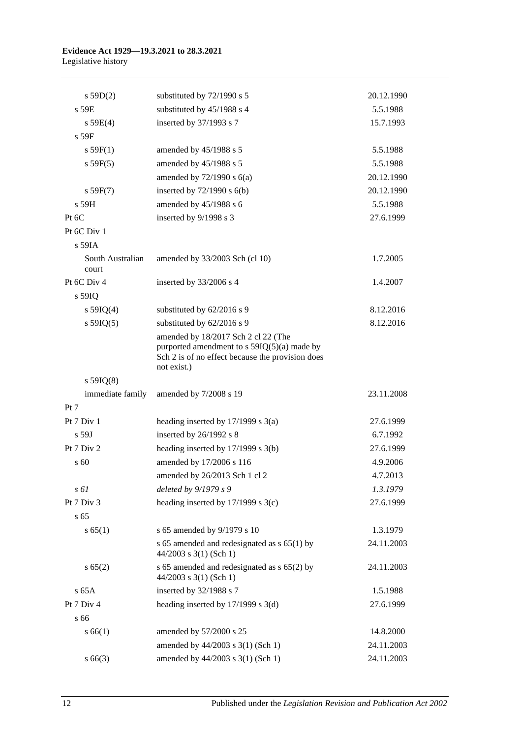| s 59D(2)                  | substituted by 72/1990 s 5                                                                                                                              | 20.12.1990 |
|---------------------------|---------------------------------------------------------------------------------------------------------------------------------------------------------|------------|
| $s$ 59 $E$                | substituted by 45/1988 s 4                                                                                                                              | 5.5.1988   |
| s 59E(4)                  | inserted by 37/1993 s 7                                                                                                                                 | 15.7.1993  |
| s 59F                     |                                                                                                                                                         |            |
| s 59F(1)                  | amended by 45/1988 s 5                                                                                                                                  | 5.5.1988   |
| s 59F(5)                  | amended by 45/1988 s 5                                                                                                                                  | 5.5.1988   |
|                           | amended by $72/1990$ s $6(a)$                                                                                                                           | 20.12.1990 |
| s 59F(7)                  | inserted by $72/1990$ s $6(b)$                                                                                                                          | 20.12.1990 |
| s 59H                     | amended by 45/1988 s 6                                                                                                                                  | 5.5.1988   |
| Pt 6C                     | inserted by 9/1998 s 3                                                                                                                                  | 27.6.1999  |
| Pt 6C Div 1               |                                                                                                                                                         |            |
| s 59IA                    |                                                                                                                                                         |            |
| South Australian<br>court | amended by 33/2003 Sch (cl 10)                                                                                                                          | 1.7.2005   |
| Pt 6C Div 4               | inserted by 33/2006 s 4                                                                                                                                 | 1.4.2007   |
| s 59IQ                    |                                                                                                                                                         |            |
| s $59IQ(4)$               | substituted by 62/2016 s 9                                                                                                                              | 8.12.2016  |
| s $59IQ(5)$               | substituted by 62/2016 s 9                                                                                                                              | 8.12.2016  |
|                           | amended by 18/2017 Sch 2 cl 22 (The<br>purported amendment to $s$ 59IQ(5)(a) made by<br>Sch 2 is of no effect because the provision does<br>not exist.) |            |
| $s$ 59IQ(8)               |                                                                                                                                                         |            |
| immediate family          | amended by 7/2008 s 19                                                                                                                                  | 23.11.2008 |
| Pt 7                      |                                                                                                                                                         |            |
| Pt 7 Div 1                | heading inserted by $17/1999$ s $3(a)$                                                                                                                  | 27.6.1999  |
| s 59J                     | inserted by 26/1992 s 8                                                                                                                                 | 6.7.1992   |
| Pt 7 Div 2                | heading inserted by $17/1999$ s $3(b)$                                                                                                                  | 27.6.1999  |
| s 60                      | amended by 17/2006 s 116                                                                                                                                | 4.9.2006   |
|                           | amended by 26/2013 Sch 1 cl 2                                                                                                                           | 4.7.2013   |
| s 61                      | deleted by 9/1979 s 9                                                                                                                                   | 1.3.1979   |
| Pt 7 Div 3                | heading inserted by 17/1999 s 3(c)                                                                                                                      | 27.6.1999  |
| s 65                      |                                                                                                                                                         |            |
| s 65(1)                   | s 65 amended by 9/1979 s 10                                                                                                                             | 1.3.1979   |
|                           | s 65 amended and redesignated as $s$ 65(1) by<br>$44/2003$ s 3(1) (Sch 1)                                                                               | 24.11.2003 |
| s 65(2)                   | s 65 amended and redesignated as s 65(2) by<br>44/2003 s 3(1) (Sch 1)                                                                                   | 24.11.2003 |
| $s$ 65A                   | inserted by 32/1988 s 7                                                                                                                                 | 1.5.1988   |
| Pt 7 Div 4                | heading inserted by $17/1999$ s $3(d)$                                                                                                                  | 27.6.1999  |
| s 66                      |                                                                                                                                                         |            |
| s 66(1)                   | amended by 57/2000 s 25                                                                                                                                 | 14.8.2000  |
|                           | amended by 44/2003 s 3(1) (Sch 1)                                                                                                                       | 24.11.2003 |
| $s\,66(3)$                | amended by 44/2003 s 3(1) (Sch 1)                                                                                                                       | 24.11.2003 |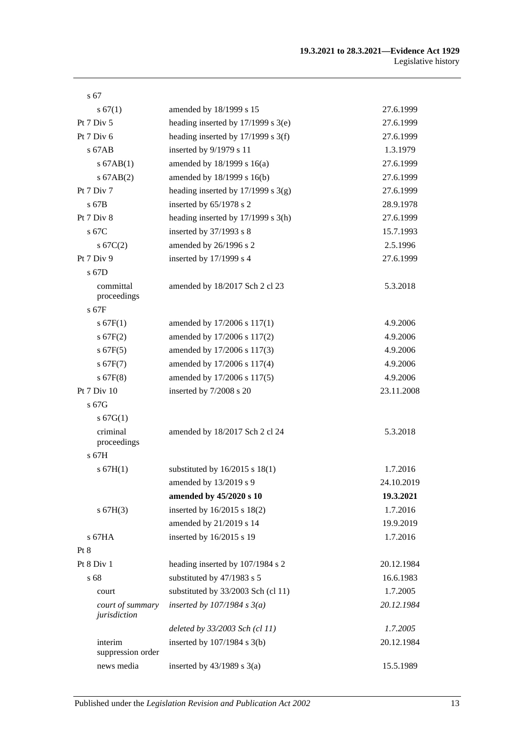| s 67                             |                                        |            |
|----------------------------------|----------------------------------------|------------|
| s 67(1)                          | amended by 18/1999 s 15                | 27.6.1999  |
| Pt 7 Div 5                       | heading inserted by $17/1999$ s $3(e)$ | 27.6.1999  |
| Pt $7$ Div $6$                   | heading inserted by 17/1999 s 3(f)     | 27.6.1999  |
| $s$ 67AB                         | inserted by 9/1979 s 11                | 1.3.1979   |
| $s$ 67AB $(1)$                   | amended by 18/1999 s 16(a)             | 27.6.1999  |
| $s$ 67AB $(2)$                   | amended by 18/1999 s 16(b)             | 27.6.1999  |
| Pt 7 Div 7                       | heading inserted by $17/1999$ s $3(g)$ | 27.6.1999  |
| s 67B                            | inserted by 65/1978 s 2                | 28.9.1978  |
| Pt 7 Div 8                       | heading inserted by $17/1999$ s $3(h)$ | 27.6.1999  |
| s 67C                            | inserted by 37/1993 s 8                | 15.7.1993  |
| s 67C(2)                         | amended by 26/1996 s 2                 | 2.5.1996   |
| Pt 7 Div 9                       | inserted by 17/1999 s 4                | 27.6.1999  |
| s 67D                            |                                        |            |
| committal                        | amended by 18/2017 Sch 2 cl 23         | 5.3.2018   |
| proceedings                      |                                        |            |
| $s$ 67F                          |                                        |            |
| s 67F(1)                         | amended by 17/2006 s 117(1)            | 4.9.2006   |
| s 67F(2)                         | amended by 17/2006 s 117(2)            | 4.9.2006   |
| $s$ 67F(5)                       | amended by 17/2006 s 117(3)            | 4.9.2006   |
| s 67F(7)                         | amended by 17/2006 s 117(4)            | 4.9.2006   |
| $s$ 67F(8)                       | amended by 17/2006 s 117(5)            | 4.9.2006   |
| Pt 7 Div 10                      | inserted by 7/2008 s 20                | 23.11.2008 |
| s 67G                            |                                        |            |
| s 67G(1)<br>criminal             |                                        |            |
| proceedings                      | amended by 18/2017 Sch 2 cl 24         | 5.3.2018   |
| s 67H                            |                                        |            |
| s 67H(1)                         | substituted by $16/2015$ s $18(1)$     | 1.7.2016   |
|                                  | amended by 13/2019 s 9                 | 24.10.2019 |
|                                  | amended by 45/2020 s 10                | 19.3.2021  |
| s 67H(3)                         | inserted by 16/2015 s 18(2)            | 1.7.2016   |
|                                  | amended by 21/2019 s 14                | 19.9.2019  |
| $s$ 67HA                         | inserted by 16/2015 s 19               | 1.7.2016   |
| Pt 8                             |                                        |            |
| Pt 8 Div 1                       | heading inserted by 107/1984 s 2       | 20.12.1984 |
| s 68                             | substituted by 47/1983 s 5             | 16.6.1983  |
| court                            | substituted by 33/2003 Sch (cl 11)     | 1.7.2005   |
| court of summary<br>jurisdiction | inserted by $107/1984$ s $3(a)$        | 20.12.1984 |
|                                  | deleted by 33/2003 Sch (cl 11)         | 1.7.2005   |
| interim<br>suppression order     | inserted by $107/1984$ s $3(b)$        | 20.12.1984 |
| news media                       | inserted by $43/1989$ s $3(a)$         | 15.5.1989  |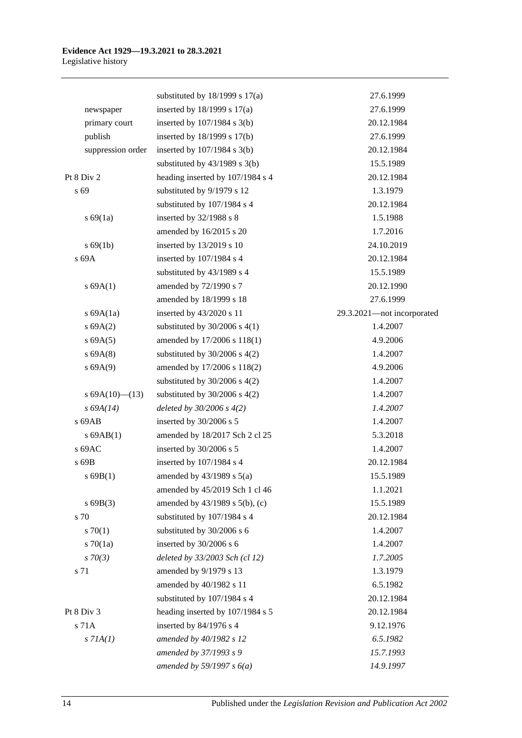|                   | substituted by $18/1999$ s $17(a)$  | 27.6.1999                  |
|-------------------|-------------------------------------|----------------------------|
| newspaper         | inserted by $18/1999$ s $17(a)$     | 27.6.1999                  |
| primary court     | inserted by $107/1984$ s $3(b)$     | 20.12.1984                 |
| publish           | inserted by 18/1999 s 17(b)         | 27.6.1999                  |
| suppression order | inserted by $107/1984$ s $3(b)$     | 20.12.1984                 |
|                   | substituted by $43/1989$ s $3(b)$   | 15.5.1989                  |
| Pt 8 Div 2        | heading inserted by 107/1984 s 4    | 20.12.1984                 |
| s 69              | substituted by 9/1979 s 12          | 1.3.1979                   |
|                   | substituted by 107/1984 s 4         | 20.12.1984                 |
| s 69(1a)          | inserted by 32/1988 s 8             | 1.5.1988                   |
|                   | amended by 16/2015 s 20             | 1.7.2016                   |
| s 69(1b)          | inserted by 13/2019 s 10            | 24.10.2019                 |
| s 69A             | inserted by 107/1984 s 4            | 20.12.1984                 |
|                   | substituted by 43/1989 s 4          | 15.5.1989                  |
| s 69A(1)          | amended by 72/1990 s 7              | 20.12.1990                 |
|                   | amended by 18/1999 s 18             | 27.6.1999                  |
| s $69A(1a)$       | inserted by 43/2020 s 11            | 29.3.2021-not incorporated |
| s 69A(2)          | substituted by $30/2006$ s 4(1)     | 1.4.2007                   |
| s 69A(5)          | amended by 17/2006 s 118(1)         | 4.9.2006                   |
| s 69A(8)          | substituted by $30/2006$ s $4(2)$   | 1.4.2007                   |
| s 69A(9)          | amended by 17/2006 s 118(2)         | 4.9.2006                   |
|                   | substituted by $30/2006$ s 4(2)     | 1.4.2007                   |
| s $69A(10)$ (13)  | substituted by $30/2006$ s $4(2)$   | 1.4.2007                   |
| $s\,69A(14)$      | deleted by $30/2006 s 4(2)$         | 1.4.2007                   |
| s 69AB            | inserted by 30/2006 s 5             | 1.4.2007                   |
| $s$ 69AB $(1)$    | amended by 18/2017 Sch 2 cl 25      | 5.3.2018                   |
| s 69AC            | inserted by 30/2006 s 5             | 1.4.2007                   |
| s 69B             | inserted by 107/1984 s 4            | 20.12.1984                 |
| s69B(1)           | amended by $43/1989$ s $5(a)$       | 15.5.1989                  |
|                   | amended by 45/2019 Sch 1 cl 46      | 1.1.2021                   |
| s69B(3)           | amended by $43/1989$ s $5(b)$ , (c) | 15.5.1989                  |
| s 70              | substituted by 107/1984 s 4         | 20.12.1984                 |
| $s \, 70(1)$      | substituted by 30/2006 s 6          | 1.4.2007                   |
| $s \, 70(1a)$     | inserted by 30/2006 s 6             | 1.4.2007                   |
| $s \, 70(3)$      | deleted by 33/2003 Sch (cl 12)      | 1.7.2005                   |
| s 71              | amended by 9/1979 s 13              | 1.3.1979                   |
|                   | amended by 40/1982 s 11             | 6.5.1982                   |
|                   | substituted by 107/1984 s 4         | 20.12.1984                 |
| Pt 8 Div 3        | heading inserted by 107/1984 s 5    | 20.12.1984                 |
| s 71A             | inserted by 84/1976 s 4             | 9.12.1976                  |
|                   |                                     | 6.5.1982                   |
| $s$ 71A(1)        | amended by 40/1982 s 12             |                            |
|                   | amended by 37/1993 s 9              | 15.7.1993                  |
|                   | amended by 59/1997 s $6(a)$         | 14.9.1997                  |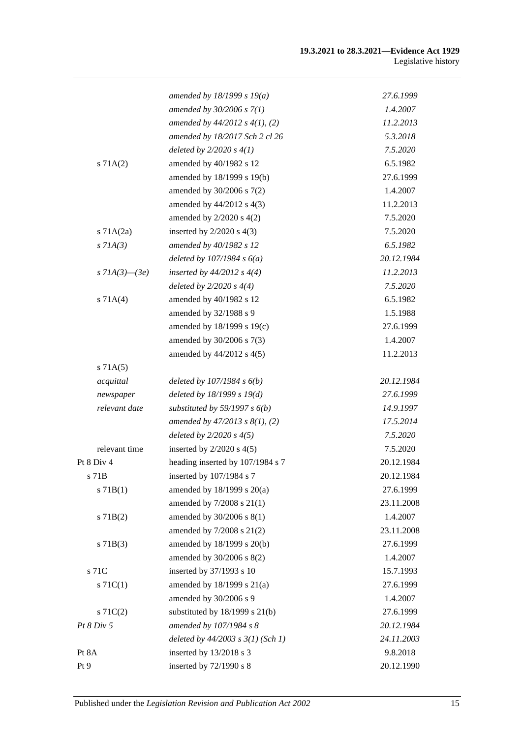#### **19.3.2021 to 28.3.2021—Evidence Act 1929** Legislative history

|                   | amended by 18/1999 s 19(a)            | 27.6.1999  |
|-------------------|---------------------------------------|------------|
|                   | amended by $30/2006 s 7(1)$           | 1.4.2007   |
|                   | amended by $44/2012$ s $4(1)$ , (2)   | 11.2.2013  |
|                   | amended by 18/2017 Sch 2 cl 26        | 5.3.2018   |
|                   | deleted by $2/2020 s 4(1)$            | 7.5.2020   |
| s 71A(2)          | amended by 40/1982 s 12               | 6.5.1982   |
|                   | amended by 18/1999 s 19(b)            | 27.6.1999  |
|                   | amended by 30/2006 s 7(2)             | 1.4.2007   |
|                   | amended by 44/2012 s 4(3)             | 11.2.2013  |
|                   | amended by $2/2020$ s $4(2)$          | 7.5.2020   |
| $s$ 71A $(2a)$    | inserted by $2/2020$ s $4(3)$         | 7.5.2020   |
| $s$ 71A(3)        | amended by 40/1982 s 12               | 6.5.1982   |
|                   | deleted by $107/1984 s 6(a)$          | 20.12.1984 |
| s $7IA(3) - (3e)$ | inserted by $44/2012$ s $4(4)$        | 11.2.2013  |
|                   | deleted by $2/2020 s 4(4)$            | 7.5.2020   |
| s 71A(4)          | amended by 40/1982 s 12               | 6.5.1982   |
|                   | amended by 32/1988 s 9                | 1.5.1988   |
|                   | amended by 18/1999 s 19(c)            | 27.6.1999  |
|                   | amended by 30/2006 s 7(3)             | 1.4.2007   |
|                   | amended by 44/2012 s 4(5)             | 11.2.2013  |
| s 71A(5)          |                                       |            |
| acquittal         | deleted by $107/1984 s 6(b)$          | 20.12.1984 |
| newspaper         | deleted by $18/1999 s 19(d)$          | 27.6.1999  |
| relevant date     | substituted by 59/1997 s $6(b)$       | 14.9.1997  |
|                   | amended by $47/2013$ s $8(1)$ , (2)   | 17.5.2014  |
|                   | deleted by $2/2020 s 4(5)$            | 7.5.2020   |
| relevant time     | inserted by $2/2020$ s $4(5)$         | 7.5.2020   |
| Pt 8 Div 4        | heading inserted by 107/1984 s 7      | 20.12.1984 |
| s 71B             | inserted by $107/1984$ s 7            | 20.12.1984 |
| s 71B(1)          | amended by 18/1999 s 20(a)            | 27.6.1999  |
|                   | amended by 7/2008 s 21(1)             | 23.11.2008 |
| $s$ 71B(2)        | amended by 30/2006 s 8(1)             | 1.4.2007   |
|                   | amended by 7/2008 s 21(2)             | 23.11.2008 |
| $s$ 71B(3)        | amended by 18/1999 s 20(b)            | 27.6.1999  |
|                   | amended by 30/2006 s 8(2)             | 1.4.2007   |
| s 71C             | inserted by 37/1993 s 10              | 15.7.1993  |
| $s \, 71C(1)$     | amended by 18/1999 s 21(a)            | 27.6.1999  |
|                   | amended by 30/2006 s 9                | 1.4.2007   |
| $s \, 71C(2)$     | substituted by $18/1999$ s $21(b)$    | 27.6.1999  |
| Pt 8 Div 5        | amended by 107/1984 s 8               | 20.12.1984 |
|                   | deleted by $44/2003$ s $3(1)$ (Sch 1) | 24.11.2003 |
| Pt 8A             | inserted by 13/2018 s 3               | 9.8.2018   |
| Pt 9              | inserted by 72/1990 s 8               | 20.12.1990 |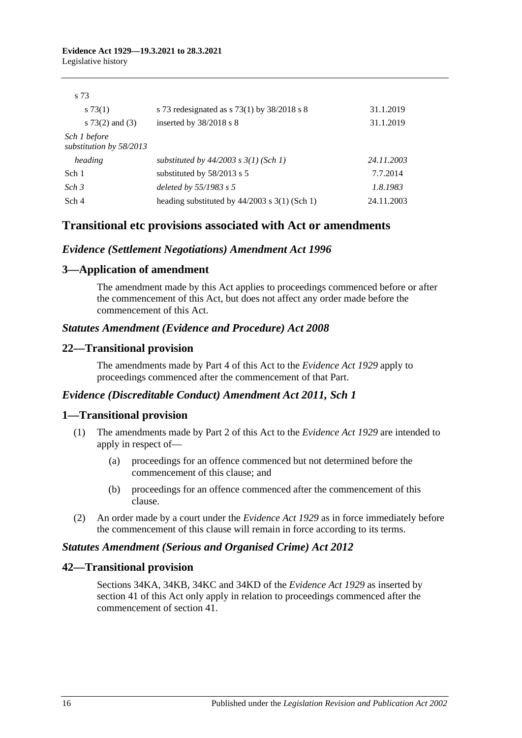$527$ 

| S 10                                    |                                                   |            |
|-----------------------------------------|---------------------------------------------------|------------|
| s73(1)                                  | s 73 redesignated as $s$ 73(1) by 38/2018 s 8     | 31.1.2019  |
| s $73(2)$ and $(3)$                     | inserted by $38/2018$ s 8                         | 31.1.2019  |
| Sch 1 before<br>substitution by 58/2013 |                                                   |            |
| heading                                 | substituted by $44/2003$ s $3(1)$ (Sch 1)         | 24.11.2003 |
| Sch 1                                   | substituted by 58/2013 s 5                        | 7.7.2014   |
| Sch <sub>3</sub>                        | deleted by 55/1983 s 5                            | 1.8.1983   |
| Sch 4                                   | heading substituted by $44/2003$ s $3(1)$ (Sch 1) | 24.11.2003 |
|                                         |                                                   |            |

# **Transitional etc provisions associated with Act or amendments**

# *Evidence (Settlement Negotiations) Amendment Act 1996*

# **3—Application of amendment**

The amendment made by this Act applies to proceedings commenced before or after the commencement of this Act, but does not affect any order made before the commencement of this Act.

## *Statutes Amendment (Evidence and Procedure) Act 2008*

# **22—Transitional provision**

The amendments made by Part 4 of this Act to the *[Evidence Act](http://www.legislation.sa.gov.au/index.aspx?action=legref&type=act&legtitle=Evidence%20Act%201929) 1929* apply to proceedings commenced after the commencement of that Part.

## *Evidence (Discreditable Conduct) Amendment Act 2011, Sch 1*

## **1—Transitional provision**

- (1) The amendments made by Part 2 of this Act to the *[Evidence Act](http://www.legislation.sa.gov.au/index.aspx?action=legref&type=act&legtitle=Evidence%20Act%201929) 1929* are intended to apply in respect of—
	- (a) proceedings for an offence commenced but not determined before the commencement of this clause; and
	- (b) proceedings for an offence commenced after the commencement of this clause.
- (2) An order made by a court under the *[Evidence Act](http://www.legislation.sa.gov.au/index.aspx?action=legref&type=act&legtitle=Evidence%20Act%201929) 1929* as in force immediately before the commencement of this clause will remain in force according to its terms.

## *Statutes Amendment (Serious and Organised Crime) Act 2012*

## **42—Transitional provision**

Sections 34KA, 34KB, 34KC and 34KD of the *[Evidence Act](http://www.legislation.sa.gov.au/index.aspx?action=legref&type=act&legtitle=Evidence%20Act%201929) 1929* as inserted by section 41 of this Act only apply in relation to proceedings commenced after the commencement of section 41.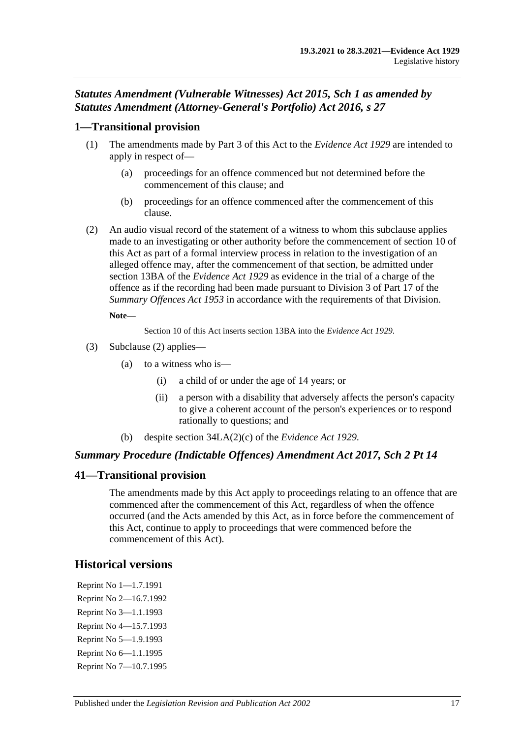# *Statutes Amendment (Vulnerable Witnesses) Act 2015, Sch 1 as amended by Statutes Amendment (Attorney-General's Portfolio) Act 2016, s 27*

# **1—Transitional provision**

- (1) The amendments made by Part 3 of this Act to the *[Evidence Act](http://www.legislation.sa.gov.au/index.aspx?action=legref&type=act&legtitle=Evidence%20Act%201929) 1929* are intended to apply in respect of—
	- (a) proceedings for an offence commenced but not determined before the commencement of this clause; and
	- (b) proceedings for an offence commenced after the commencement of this clause.
- <span id="page-118-0"></span>(2) An audio visual record of the statement of a witness to whom this subclause applies made to an investigating or other authority before the commencement of section 10 of this Act as part of a formal interview process in relation to the investigation of an alleged offence may, after the commencement of that section, be admitted under section 13BA of the *[Evidence Act](http://www.legislation.sa.gov.au/index.aspx?action=legref&type=act&legtitle=Evidence%20Act%201929) 1929* as evidence in the trial of a charge of the offence as if the recording had been made pursuant to Division 3 of Part 17 of the *[Summary Offences Act](http://www.legislation.sa.gov.au/index.aspx?action=legref&type=act&legtitle=Summary%20Offences%20Act%201953) 1953* in accordance with the requirements of that Division.

#### **Note—**

Section 10 of this Act inserts section 13BA into the *[Evidence Act](http://www.legislation.sa.gov.au/index.aspx?action=legref&type=act&legtitle=Evidence%20Act%201929) 1929*.

- (3) [Subclause \(2\)](#page-118-0) applies—
	- (a) to a witness who is—
		- (i) a child of or under the age of 14 years; or
		- (ii) a person with a disability that adversely affects the person's capacity to give a coherent account of the person's experiences or to respond rationally to questions; and
	- (b) despite section 34LA(2)(c) of the *[Evidence Act](http://www.legislation.sa.gov.au/index.aspx?action=legref&type=act&legtitle=Evidence%20Act%201929) 1929*.

# *Summary Procedure (Indictable Offences) Amendment Act 2017, Sch 2 Pt 14*

# **41—Transitional provision**

The amendments made by this Act apply to proceedings relating to an offence that are commenced after the commencement of this Act, regardless of when the offence occurred (and the Acts amended by this Act, as in force before the commencement of this Act, continue to apply to proceedings that were commenced before the commencement of this Act).

# **Historical versions**

Reprint No 1—1.7.1991 Reprint No 2—16.7.1992 Reprint No 3—1.1.1993 Reprint No 4—15.7.1993 Reprint No 5—1.9.1993 Reprint No 6—1.1.1995 Reprint No 7—10.7.1995